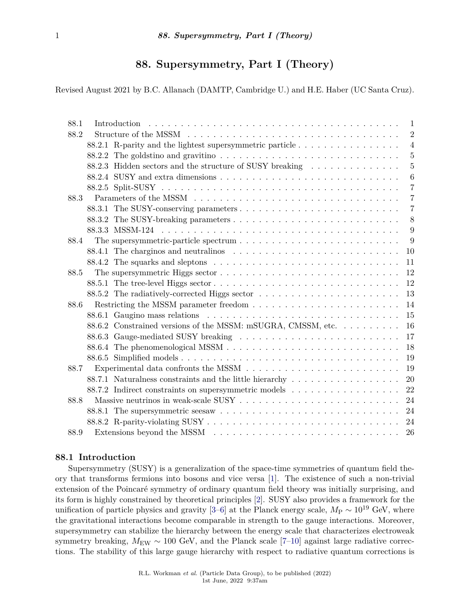# **88. Supersymmetry, Part I (Theory)**

Revised August 2021 by B.C. Allanach (DAMTP, Cambridge U.) and H.E. Haber (UC Santa Cruz).

| 88.1 |  |                                                                                                       | 1                |  |
|------|--|-------------------------------------------------------------------------------------------------------|------------------|--|
| 88.2 |  |                                                                                                       |                  |  |
|      |  | 88.2.1 R-parity and the lightest supersymmetric particle                                              | $\overline{4}$   |  |
|      |  |                                                                                                       | $\overline{5}$   |  |
|      |  | 88.2.3 Hidden sectors and the structure of SUSY breaking                                              | 5                |  |
|      |  |                                                                                                       | $\boldsymbol{6}$ |  |
|      |  |                                                                                                       | $\overline{7}$   |  |
| 88.3 |  |                                                                                                       | $\overline{7}$   |  |
|      |  |                                                                                                       | $\overline{7}$   |  |
|      |  |                                                                                                       | 8                |  |
|      |  |                                                                                                       | 9                |  |
| 88.4 |  | The supersymmetric-particle spectrum $\ldots \ldots \ldots \ldots \ldots \ldots \ldots \ldots \ldots$ | 9                |  |
|      |  |                                                                                                       | 10               |  |
|      |  |                                                                                                       | 11               |  |
| 88.5 |  | The supersymmetric Higgs sector $\dots \dots \dots \dots \dots \dots \dots \dots \dots \dots \dots$   | 12               |  |
|      |  |                                                                                                       | 12               |  |
|      |  |                                                                                                       | 13               |  |
| 88.6 |  |                                                                                                       | 14               |  |
|      |  |                                                                                                       | 15               |  |
|      |  | 88.6.2 Constrained versions of the MSSM: mSUGRA, CMSSM, etc                                           | 16               |  |
|      |  |                                                                                                       | 17               |  |
|      |  |                                                                                                       | 18               |  |
|      |  |                                                                                                       | 19               |  |
| 88.7 |  | Experimental data confronts the MSSM $\ldots \ldots \ldots \ldots \ldots \ldots \ldots \ldots \ldots$ | 19               |  |
|      |  |                                                                                                       | 20               |  |
|      |  |                                                                                                       | 22               |  |
| 88.8 |  |                                                                                                       | 24               |  |
|      |  |                                                                                                       | 24               |  |
|      |  |                                                                                                       | 24               |  |
| 88.9 |  |                                                                                                       | 26               |  |

# <span id="page-0-0"></span>**88.1 Introduction**

Supersymmetry (SUSY) is a generalization of the space-time symmetries of quantum field theory that transforms fermions into bosons and vice versa [\[1\]](#page-26-0). The existence of such a non-trivial extension of the Poincaré symmetry of ordinary quantum field theory was initially surprising, and its form is highly constrained by theoretical principles [\[2\]](#page-26-1). SUSY also provides a framework for the unification of particle physics and gravity [\[3–](#page-26-2)[6\]](#page-26-3) at the Planck energy scale,  $M_P \sim 10^{19}$  GeV, where the gravitational interactions become comparable in strength to the gauge interactions. Moreover, supersymmetry can stabilize the hierarchy between the energy scale that characterizes electroweak symmetry breaking,  $M_{\text{EW}} \sim 100$  GeV, and the Planck scale [\[7–](#page-26-4)[10\]](#page-26-5) against large radiative corrections. The stability of this large gauge hierarchy with respect to radiative quantum corrections is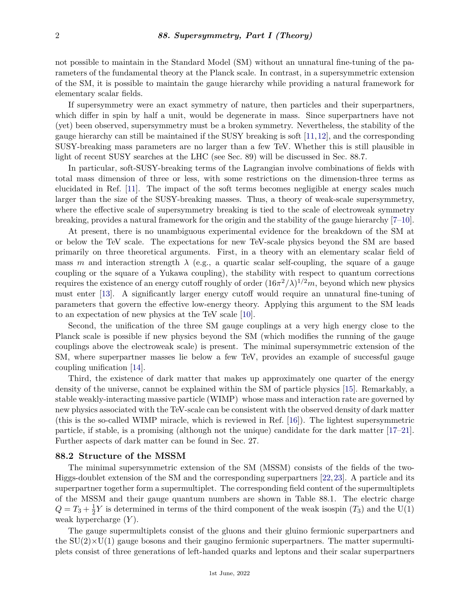not possible to maintain in the Standard Model (SM) without an unnatural fine-tuning of the parameters of the fundamental theory at the Planck scale. In contrast, in a supersymmetric extension of the SM, it is possible to maintain the gauge hierarchy while providing a natural framework for elementary scalar fields.

If supersymmetry were an exact symmetry of nature, then particles and their superpartners, which differ in spin by half a unit, would be degenerate in mass. Since superpartners have not (yet) been observed, supersymmetry must be a broken symmetry. Nevertheless, the stability of the gauge hierarchy can still be maintained if the SUSY breaking is soft [\[11,](#page-26-6)[12\]](#page-26-7), and the corresponding SUSY-breaking mass parameters are no larger than a few TeV. Whether this is still plausible in light of recent SUSY searches at the LHC (see Sec. 89) will be discussed in Sec. 88.7.

In particular, soft-SUSY-breaking terms of the Lagrangian involve combinations of fields with total mass dimension of three or less, with some restrictions on the dimension-three terms as elucidated in Ref. [\[11\]](#page-26-6). The impact of the soft terms becomes negligible at energy scales much larger than the size of the SUSY-breaking masses. Thus, a theory of weak-scale supersymmetry, where the effective scale of supersymmetry breaking is tied to the scale of electroweak symmetry breaking, provides a natural framework for the origin and the stability of the gauge hierarchy [\[7–](#page-26-4)[10\]](#page-26-5).

At present, there is no unambiguous experimental evidence for the breakdown of the SM at or below the TeV scale. The expectations for new TeV-scale physics beyond the SM are based primarily on three theoretical arguments. First, in a theory with an elementary scalar field of mass *m* and interaction strength  $\lambda$  (e.g., a quartic scalar self-coupling, the square of a gauge coupling or the square of a Yukawa coupling), the stability with respect to quantum corrections requires the existence of an energy cutoff roughly of order  $(16\pi^2/\lambda)^{1/2}m$ , beyond which new physics must enter [\[13\]](#page-26-8). A significantly larger energy cutoff would require an unnatural fine-tuning of parameters that govern the effective low-energy theory. Applying this argument to the SM leads to an expectation of new physics at the TeV scale [\[10\]](#page-26-5).

Second, the unification of the three SM gauge couplings at a very high energy close to the Planck scale is possible if new physics beyond the SM (which modifies the running of the gauge couplings above the electroweak scale) is present. The minimal supersymmetric extension of the SM, where superpartner masses lie below a few TeV, provides an example of successful gauge coupling unification [\[14\]](#page-26-9).

Third, the existence of dark matter that makes up approximately one quarter of the energy density of the universe, cannot be explained within the SM of particle physics [\[15\]](#page-26-10). Remarkably, a stable weakly-interacting massive particle (WIMP) whose mass and interaction rate are governed by new physics associated with the TeV-scale can be consistent with the observed density of dark matter (this is the so-called WIMP miracle, which is reviewed in Ref. [\[16\]](#page-26-11)). The lightest supersymmetric particle, if stable, is a promising (although not the unique) candidate for the dark matter [\[17–](#page-26-12)[21\]](#page-26-13). Further aspects of dark matter can be found in Sec. 27.

# <span id="page-1-0"></span>**88.2 Structure of the MSSM**

The minimal supersymmetric extension of the SM (MSSM) consists of the fields of the two-Higgs-doublet extension of the SM and the corresponding superpartners [\[22,](#page-26-14)[23\]](#page-26-15). A particle and its superpartner together form a supermultiplet. The corresponding field content of the supermultiplets of the MSSM and their gauge quantum numbers are shown in Table 88.1. The electric charge  $Q = T_3 + \frac{1}{2}$  $\frac{1}{2}Y$  is determined in terms of the third component of the weak isospin  $(T_3)$  and the U(1) weak hypercharge (*Y* ).

The gauge supermultiplets consist of the gluons and their gluino fermionic superpartners and the  $SU(2) \times U(1)$  gauge bosons and their gaugino fermionic superpartners. The matter supermultiplets consist of three generations of left-handed quarks and leptons and their scalar superpartners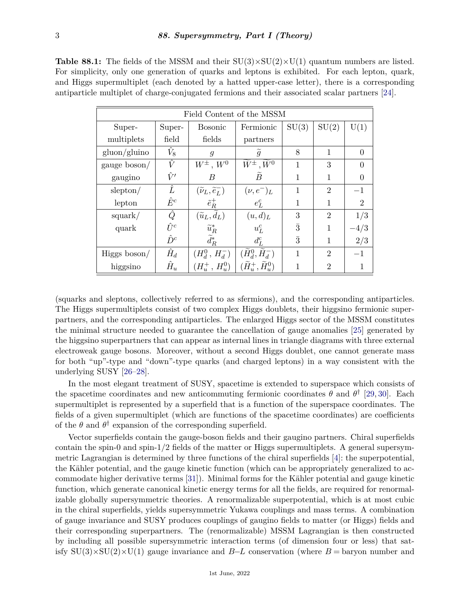**Table 88.1:** The fields of the MSSM and their  $SU(3)\times SU(2)\times U(1)$  quantum numbers are listed. For simplicity, only one generation of quarks and leptons is exhibited. For each lepton, quark, and Higgs supermultiplet (each denoted by a hatted upper-case letter), there is a corresponding antiparticle multiplet of charge-conjugated fermions and their associated scalar partners [\[24\]](#page-27-0).

| Field Content of the MSSM |             |                                          |                                                          |                |                |          |  |  |  |  |
|---------------------------|-------------|------------------------------------------|----------------------------------------------------------|----------------|----------------|----------|--|--|--|--|
| Super-                    | Super-      | <b>Bosonic</b>                           | Fermionic                                                | SU(3)          | SU(2)          | U(1)     |  |  |  |  |
| multiplets                | field       | fields                                   | partners                                                 |                |                |          |  |  |  |  |
| gluon/gluino              | $\hat{V}_8$ | $\mathfrak{g}$                           | $\mathfrak{g}$                                           | 8              | 1              | $\Omega$ |  |  |  |  |
| gauge boson/              | $\hat{V}$   | $W^{\pm}$ , $W^0$                        | $\widetilde{W}^{\pm}$ , $\widetilde{W}^0$                | 1              | 3              |          |  |  |  |  |
| gaugino                   | $\hat{V}'$  | B                                        | $\widetilde{B}$                                          | 1              | 1              | 0        |  |  |  |  |
| slepton/                  | Ê           | $(\widetilde{\nu}_L, \widetilde{e}_L^-)$ | $(\nu, e^-)_L$                                           | 1              | $\overline{2}$ | $-1$     |  |  |  |  |
| lepton                    | $\hat{E}^c$ | $\tilde{e}^+_R$                          | $e^c_L$                                                  | 1              | $\mathbf{1}$   | 2        |  |  |  |  |
| square/                   | Ĝ           | $(\widetilde{u}_L, \widetilde{d}_L)$     | (u,d) <sub>L</sub>                                       | 3              | $\overline{2}$ | 1/3      |  |  |  |  |
| quark                     | $\hat{U}^c$ | $\widetilde{u}_R^*$                      | $u_L^c$                                                  | $\overline{3}$ |                | $-4/3$   |  |  |  |  |
|                           | $\hat{D}^c$ | $d_R^*$                                  | $d_{L}^{c}$                                              | $\bar{3}$      |                | 2/3      |  |  |  |  |
| Higgs boson/              | $\hat{H}_d$ | $(H_d^0, H_d^-)$                         | $(\widetilde{H}_{d}^0,\overline{\widetilde{H}_{d}^{-}})$ | 1              | $\overline{2}$ | $-1$     |  |  |  |  |
| higgsino                  | $\hat{H}_u$ | $(H_u^+, H_u^0)$                         | $(\widetilde{H}^+_u, \widetilde{H}^0_u)$                 |                | $\mathfrak{D}$ |          |  |  |  |  |

(squarks and sleptons, collectively referred to as sfermions), and the corresponding antiparticles. The Higgs supermultiplets consist of two complex Higgs doublets, their higgsino fermionic superpartners, and the corresponding antiparticles. The enlarged Higgs sector of the MSSM constitutes the minimal structure needed to guarantee the cancellation of gauge anomalies [\[25\]](#page-27-1) generated by the higgsino superpartners that can appear as internal lines in triangle diagrams with three external electroweak gauge bosons. Moreover, without a second Higgs doublet, one cannot generate mass for both "up"-type and "down"-type quarks (and charged leptons) in a way consistent with the underlying SUSY [\[26–](#page-27-2)[28\]](#page-27-3).

In the most elegant treatment of SUSY, spacetime is extended to superspace which consists of the spacetime coordinates and new anticommuting fermionic coordinates  $\theta$  and  $\theta^{\dagger}$  [\[29,](#page-27-4) [30\]](#page-27-5). Each supermultiplet is represented by a superfield that is a function of the superspace coordinates. The fields of a given supermultiplet (which are functions of the spacetime coordinates) are coefficients of the  $\theta$  and  $\theta^{\dagger}$  expansion of the corresponding superfield.

Vector superfields contain the gauge-boson fields and their gaugino partners. Chiral superfields contain the spin-0 and spin- $1/2$  fields of the matter or Higgs supermultiplets. A general supersymmetric Lagrangian is determined by three functions of the chiral superfields [\[4\]](#page-26-16): the superpotential, the Kähler potential, and the gauge kinetic function (which can be appropriately generalized to accommodate higher derivative terms [\[31\]](#page-27-6)). Minimal forms for the Kähler potential and gauge kinetic function, which generate canonical kinetic energy terms for all the fields, are required for renormalizable globally supersymmetric theories. A renormalizable superpotential, which is at most cubic in the chiral superfields, yields supersymmetric Yukawa couplings and mass terms. A combination of gauge invariance and SUSY produces couplings of gaugino fields to matter (or Higgs) fields and their corresponding superpartners. The (renormalizable) MSSM Lagrangian is then constructed by including all possible supersymmetric interaction terms (of dimension four or less) that satisfy  $SU(3)\times SU(2)\times U(1)$  gauge invariance and *B−L* conservation (where *B* = baryon number and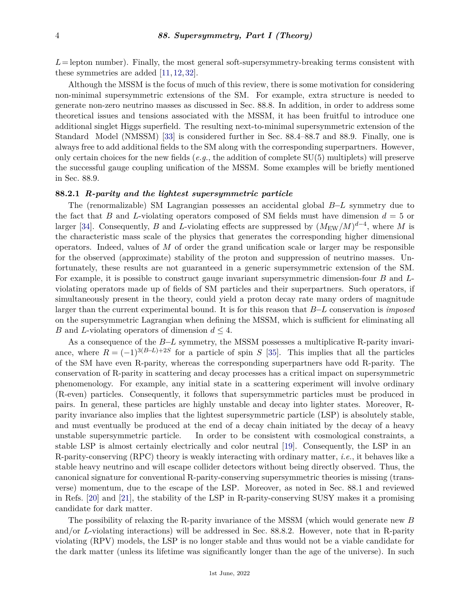$L =$  lepton number). Finally, the most general soft-supersymmetry-breaking terms consistent with these symmetries are added [\[11,](#page-26-6) [12,](#page-26-7) [32\]](#page-27-7).

Although the MSSM is the focus of much of this review, there is some motivation for considering non-minimal supersymmetric extensions of the SM. For example, extra structure is needed to generate non-zero neutrino masses as discussed in Sec. 88.8. In addition, in order to address some theoretical issues and tensions associated with the MSSM, it has been fruitful to introduce one additional singlet Higgs superfield. The resulting next-to-minimal supersymmetric extension of the Standard Model (NMSSM) [\[33\]](#page-27-8) is considered further in Sec. 88.4–88.7 and 88.9. Finally, one is always free to add additional fields to the SM along with the corresponding superpartners. However, only certain choices for the new fields (*e.g.*, the addition of complete SU(5) multiplets) will preserve the successful gauge coupling unification of the MSSM. Some examples will be briefly mentioned in Sec. 88.9.

#### <span id="page-3-0"></span>**88.2.1** *R-parity and the lightest supersymmetric particle*

The (renormalizable) SM Lagrangian possesses an accidental global *B*−*L* symmetry due to the fact that *B* and *L*-violating operators composed of SM fields must have dimension  $d = 5$  or larger [\[34\]](#page-27-9). Consequently, *B* and *L*-violating effects are suppressed by  $(M_{\text{EW}}/M)^{d-4}$ , where *M* is the characteristic mass scale of the physics that generates the corresponding higher dimensional operators. Indeed, values of *M* of order the grand unification scale or larger may be responsible for the observed (approximate) stability of the proton and suppression of neutrino masses. Unfortunately, these results are not guaranteed in a generic supersymmetric extension of the SM. For example, it is possible to construct gauge invariant supersymmetric dimension-four *B* and *L*violating operators made up of fields of SM particles and their superpartners. Such operators, if simultaneously present in the theory, could yield a proton decay rate many orders of magnitude larger than the current experimental bound. It is for this reason that *B*−*L* conservation is *imposed* on the supersymmetric Lagrangian when defining the MSSM, which is sufficient for eliminating all *B* and *L*-violating operators of dimension  $d \leq 4$ .

As a consequence of the *B*−*L* symmetry, the MSSM possesses a multiplicative R-parity invariance, where  $R = (-1)^{3(B-L)+2S}$  for a particle of spin *S* [\[35\]](#page-27-10). This implies that all the particles of the SM have even R-parity, whereas the corresponding superpartners have odd R-parity. The conservation of R-parity in scattering and decay processes has a critical impact on supersymmetric phenomenology. For example, any initial state in a scattering experiment will involve ordinary (R-even) particles. Consequently, it follows that supersymmetric particles must be produced in pairs. In general, these particles are highly unstable and decay into lighter states. Moreover, Rparity invariance also implies that the lightest supersymmetric particle (LSP) is absolutely stable, and must eventually be produced at the end of a decay chain initiated by the decay of a heavy unstable supersymmetric particle. In order to be consistent with cosmological constraints, a stable LSP is almost certainly electrically and color neutral [\[19\]](#page-26-17). Consequently, the LSP in an R-parity-conserving (RPC) theory is weakly interacting with ordinary matter, *i.e.*, it behaves like a stable heavy neutrino and will escape collider detectors without being directly observed. Thus, the canonical signature for conventional R-parity-conserving supersymmetric theories is missing (transverse) momentum, due to the escape of the LSP. Moreover, as noted in Sec. 88.1 and reviewed in Refs. [\[20\]](#page-26-18) and [\[21\]](#page-26-13), the stability of the LSP in R-parity-conserving SUSY makes it a promising candidate for dark matter.

The possibility of relaxing the R-parity invariance of the MSSM (which would generate new *B* and/or *L*-violating interactions) will be addressed in Sec. 88.8.2. However, note that in R-parity violating (RPV) models, the LSP is no longer stable and thus would not be a viable candidate for the dark matter (unless its lifetime was significantly longer than the age of the universe). In such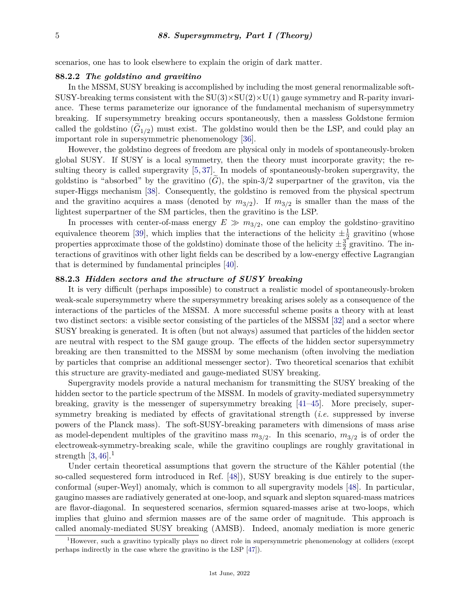scenarios, one has to look elsewhere to explain the origin of dark matter.

#### <span id="page-4-0"></span>**88.2.2** *The goldstino and gravitino*

In the MSSM, SUSY breaking is accomplished by including the most general renormalizable soft-SUSY-breaking terms consistent with the  $SU(3) \times SU(2) \times U(1)$  gauge symmetry and R-parity invariance. These terms parameterize our ignorance of the fundamental mechanism of supersymmetry breaking. If supersymmetry breaking occurs spontaneously, then a massless Goldstone fermion called the goldstino  $(G_{1/2})$  must exist. The goldstino would then be the LSP, and could play an important role in supersymmetric phenomenology [\[36\]](#page-27-11).

However, the goldstino degrees of freedom are physical only in models of spontaneously-broken global SUSY. If SUSY is a local symmetry, then the theory must incorporate gravity; the resulting theory is called supergravity [\[5,](#page-26-19) [37\]](#page-27-12). In models of spontaneously-broken supergravity, the goldstino is "absorbed" by the gravitino  $(G)$ , the spin-3/2 superpartner of the graviton, via the super-Higgs mechanism [\[38\]](#page-27-13). Consequently, the goldstino is removed from the physical spectrum and the gravitino acquires a mass (denoted by  $m_{3/2}$ ). If  $m_{3/2}$  is smaller than the mass of the lightest superpartner of the SM particles, then the gravitino is the LSP.

In processes with center-of-mass energy  $E \gg m_{3/2}$ , one can employ the goldstino–gravitino equivalence theorem [\[39\]](#page-27-14), which implies that the interactions of the helicity  $\pm \frac{1}{2}$  $\frac{1}{2}$  gravitino (whose properties approximate those of the goldstino) dominate those of the helicity  $\pm \frac{3}{2}$  $\frac{3}{2}$  gravitino. The interactions of gravitinos with other light fields can be described by a low-energy effective Lagrangian that is determined by fundamental principles [\[40\]](#page-27-15).

# <span id="page-4-1"></span>**88.2.3** *Hidden sectors and the structure of SUSY breaking*

It is very difficult (perhaps impossible) to construct a realistic model of spontaneously-broken weak-scale supersymmetry where the supersymmetry breaking arises solely as a consequence of the interactions of the particles of the MSSM. A more successful scheme posits a theory with at least two distinct sectors: a visible sector consisting of the particles of the MSSM [\[32\]](#page-27-7) and a sector where SUSY breaking is generated. It is often (but not always) assumed that particles of the hidden sector are neutral with respect to the SM gauge group. The effects of the hidden sector supersymmetry breaking are then transmitted to the MSSM by some mechanism (often involving the mediation by particles that comprise an additional messenger sector). Two theoretical scenarios that exhibit this structure are gravity-mediated and gauge-mediated SUSY breaking.

Supergravity models provide a natural mechanism for transmitting the SUSY breaking of the hidden sector to the particle spectrum of the MSSM. In models of gravity-mediated supersymmetry breaking, gravity is the messenger of supersymmetry breaking [\[41–](#page-27-16)[45\]](#page-28-0). More precisely, supersymmetry breaking is mediated by effects of gravitational strength (*i.e.* suppressed by inverse powers of the Planck mass). The soft-SUSY-breaking parameters with dimensions of mass arise as model-dependent multiples of the gravitino mass  $m_{3/2}$ . In this scenario,  $m_{3/2}$  is of order the electroweak-symmetry-breaking scale, while the gravitino couplings are roughly gravitational in strength  $[3, 46]$  $[3, 46]$  $[3, 46]$ <sup>[1](#page-4-2)</sup>

Under certain theoretical assumptions that govern the structure of the Kähler potential (the so-called sequestered form introduced in Ref. [\[48\]](#page-28-2)), SUSY breaking is due entirely to the superconformal (super-Weyl) anomaly, which is common to all supergravity models [\[48\]](#page-28-2). In particular, gaugino masses are radiatively generated at one-loop, and squark and slepton squared-mass matrices are flavor-diagonal. In sequestered scenarios, sfermion squared-masses arise at two-loops, which implies that gluino and sfermion masses are of the same order of magnitude. This approach is called anomaly-mediated SUSY breaking (AMSB). Indeed, anomaly mediation is more generic

<span id="page-4-2"></span><sup>1</sup>However, such a gravitino typically plays no direct role in supersymmetric phenomenology at colliders (except perhaps indirectly in the case where the gravitino is the LSP [\[47\]](#page-28-3)).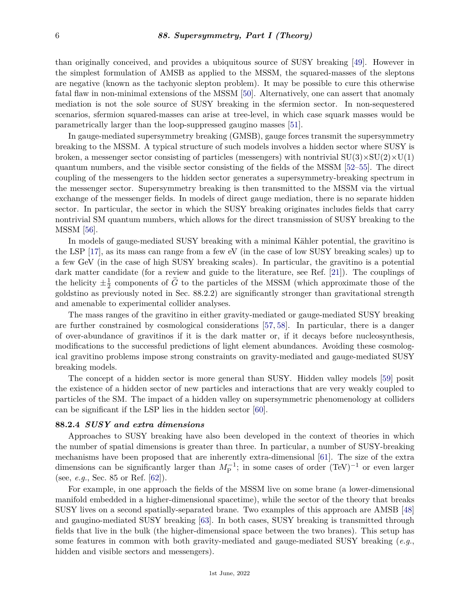than originally conceived, and provides a ubiquitous source of SUSY breaking [\[49\]](#page-28-4). However in the simplest formulation of AMSB as applied to the MSSM, the squared-masses of the sleptons are negative (known as the tachyonic slepton problem). It may be possible to cure this otherwise fatal flaw in non-minimal extensions of the MSSM [\[50\]](#page-28-5). Alternatively, one can assert that anomaly mediation is not the sole source of SUSY breaking in the sfermion sector. In non-sequestered scenarios, sfermion squared-masses can arise at tree-level, in which case squark masses would be parametrically larger than the loop-suppressed gaugino masses [\[51\]](#page-28-6).

In gauge-mediated supersymmetry breaking (GMSB), gauge forces transmit the supersymmetry breaking to the MSSM. A typical structure of such models involves a hidden sector where SUSY is broken, a messenger sector consisting of particles (messengers) with nontrivial  $SU(3)\times SU(2)\times U(1)$ quantum numbers, and the visible sector consisting of the fields of the MSSM [\[52–](#page-28-7)[55\]](#page-28-8). The direct coupling of the messengers to the hidden sector generates a supersymmetry-breaking spectrum in the messenger sector. Supersymmetry breaking is then transmitted to the MSSM via the virtual exchange of the messenger fields. In models of direct gauge mediation, there is no separate hidden sector. In particular, the sector in which the SUSY breaking originates includes fields that carry nontrivial SM quantum numbers, which allows for the direct transmission of SUSY breaking to the MSSM [\[56\]](#page-28-9).

In models of gauge-mediated SUSY breaking with a minimal Kähler potential, the gravitino is the LSP [\[17\]](#page-26-12), as its mass can range from a few eV (in the case of low SUSY breaking scales) up to a few GeV (in the case of high SUSY breaking scales). In particular, the gravitino is a potential dark matter candidate (for a review and guide to the literature, see Ref. [\[21\]](#page-26-13)). The couplings of the helicity  $\pm \frac{1}{2}$  $\frac{1}{2}$  components of *G* to the particles of the MSSM (which approximate those of the goldstino as previously noted in Sec. 88.2.2) are significantly stronger than gravitational strength and amenable to experimental collider analyses.

The mass ranges of the gravitino in either gravity-mediated or gauge-mediated SUSY breaking are further constrained by cosmological considerations [\[57,](#page-28-10) [58\]](#page-28-11). In particular, there is a danger of over-abundance of gravitinos if it is the dark matter or, if it decays before nucleosynthesis, modifications to the successful predictions of light element abundances. Avoiding these cosmological gravitino problems impose strong constraints on gravity-mediated and gauge-mediated SUSY breaking models.

The concept of a hidden sector is more general than SUSY. Hidden valley models [\[59\]](#page-28-12) posit the existence of a hidden sector of new particles and interactions that are very weakly coupled to particles of the SM. The impact of a hidden valley on supersymmetric phenomenology at colliders can be significant if the LSP lies in the hidden sector [\[60\]](#page-28-13).

#### <span id="page-5-0"></span>**88.2.4** *SUSY and extra dimensions*

Approaches to SUSY breaking have also been developed in the context of theories in which the number of spatial dimensions is greater than three. In particular, a number of SUSY-breaking mechanisms have been proposed that are inherently extra-dimensional [\[61\]](#page-28-14). The size of the extra dimensions can be significantly larger than  $M_{\rm P}^{-1}$ ; in some cases of order (TeV)<sup>-1</sup> or even larger (see, *e.g.*, Sec. 85 or Ref. [\[62\]](#page-29-0)).

For example, in one approach the fields of the MSSM live on some brane (a lower-dimensional manifold embedded in a higher-dimensional spacetime), while the sector of the theory that breaks SUSY lives on a second spatially-separated brane. Two examples of this approach are AMSB [\[48\]](#page-28-2) and gaugino-mediated SUSY breaking [\[63\]](#page-29-1). In both cases, SUSY breaking is transmitted through fields that live in the bulk (the higher-dimensional space between the two branes). This setup has some features in common with both gravity-mediated and gauge-mediated SUSY breaking (*e.g.*, hidden and visible sectors and messengers).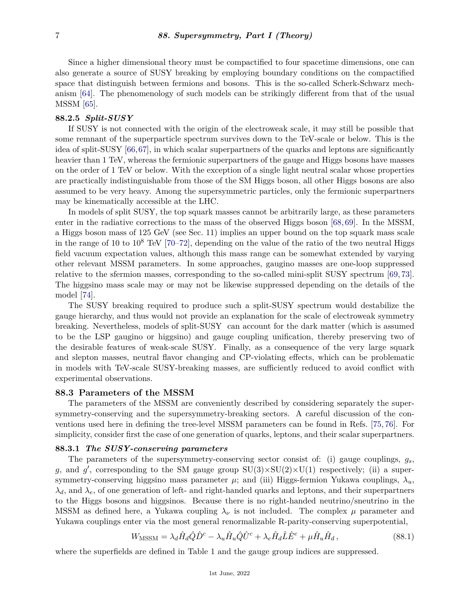Since a higher dimensional theory must be compactified to four spacetime dimensions, one can also generate a source of SUSY breaking by employing boundary conditions on the compactified space that distinguish between fermions and bosons. This is the so-called Scherk-Schwarz mechanism [\[64\]](#page-29-2). The phenomenology of such models can be strikingly different from that of the usual MSSM [\[65\]](#page-29-3).

### <span id="page-6-0"></span>**88.2.5** *Split-SUSY*

If SUSY is not connected with the origin of the electroweak scale, it may still be possible that some remnant of the superparticle spectrum survives down to the TeV-scale or below. This is the idea of split-SUSY [\[66,](#page-29-4)[67\]](#page-29-5), in which scalar superpartners of the quarks and leptons are significantly heavier than 1 TeV, whereas the fermionic superpartners of the gauge and Higgs bosons have masses on the order of 1 TeV or below. With the exception of a single light neutral scalar whose properties are practically indistinguishable from those of the SM Higgs boson, all other Higgs bosons are also assumed to be very heavy. Among the supersymmetric particles, only the fermionic superpartners may be kinematically accessible at the LHC.

In models of split SUSY, the top squark masses cannot be arbitrarily large, as these parameters enter in the radiative corrections to the mass of the observed Higgs boson [\[68,](#page-29-6) [69\]](#page-29-7). In the MSSM, a Higgs boson mass of 125 GeV (see Sec. 11) implies an upper bound on the top squark mass scale in the range of 10 to  $10^8$  TeV [\[70–](#page-29-8)[72\]](#page-29-9), depending on the value of the ratio of the two neutral Higgs field vacuum expectation values, although this mass range can be somewhat extended by varying other relevant MSSM parameters. In some approaches, gaugino masses are one-loop suppressed relative to the sfermion masses, corresponding to the so-called mini-split SUSY spectrum [\[69,](#page-29-7)[73\]](#page-29-10). The higgsino mass scale may or may not be likewise suppressed depending on the details of the model [\[74\]](#page-29-11).

The SUSY breaking required to produce such a split-SUSY spectrum would destabilize the gauge hierarchy, and thus would not provide an explanation for the scale of electroweak symmetry breaking. Nevertheless, models of split-SUSY can account for the dark matter (which is assumed to be the LSP gaugino or higgsino) and gauge coupling unification, thereby preserving two of the desirable features of weak-scale SUSY. Finally, as a consequence of the very large squark and slepton masses, neutral flavor changing and CP-violating effects, which can be problematic in models with TeV-scale SUSY-breaking masses, are sufficiently reduced to avoid conflict with experimental observations.

# <span id="page-6-1"></span>**88.3 Parameters of the MSSM**

The parameters of the MSSM are conveniently described by considering separately the supersymmetry-conserving and the supersymmetry-breaking sectors. A careful discussion of the conventions used here in defining the tree-level MSSM parameters can be found in Refs. [\[75,](#page-29-12) [76\]](#page-29-13). For simplicity, consider first the case of one generation of quarks, leptons, and their scalar superpartners.

#### <span id="page-6-2"></span>**88.3.1** *The SUSY-conserving parameters*

The parameters of the supersymmetry-conserving sector consist of: (i) gauge couplings, *gs*, g, and g', corresponding to the SM gauge group  $SU(3) \times SU(2) \times U(1)$  respectively; (ii) a supersymmetry-conserving higgsino mass parameter  $\mu$ ; and (iii) Higgs-fermion Yukawa couplings,  $\lambda_u$ ,  $\lambda_d$ , and  $\lambda_e$ , of one generation of left- and right-handed quarks and leptons, and their superpartners to the Higgs bosons and higgsinos. Because there is no right-handed neutrino/sneutrino in the MSSM as defined here, a Yukawa coupling  $\lambda_{\nu}$  is not included. The complex  $\mu$  parameter and Yukawa couplings enter via the most general renormalizable R-parity-conserving superpotential,

$$
W_{\text{MSSM}} = \lambda_d \hat{H}_d \hat{Q} \hat{D}^c - \lambda_u \hat{H}_u \hat{Q} \hat{U}^c + \lambda_e \hat{H}_d \hat{L} \hat{E}^c + \mu \hat{H}_u \hat{H}_d, \qquad (88.1)
$$

where the superfields are defined in Table 1 and the gauge group indices are suppressed.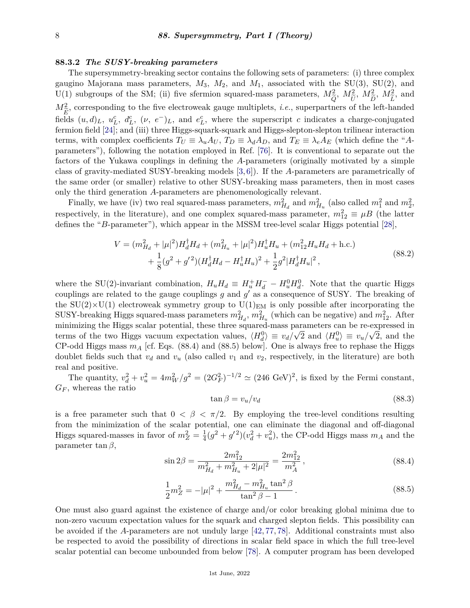#### <span id="page-7-0"></span>**88.3.2** *The SUSY-breaking parameters*

The supersymmetry-breaking sector contains the following sets of parameters: (i) three complex gaugino Majorana mass parameters,  $M_3$ ,  $M_2$ , and  $M_1$ , associated with the SU(3), SU(2), and U(1) subgroups of the SM; (ii) five sfermion squared-mass parameters,  $M_{\tilde{c}}^2$ ,  $M_{\tilde{t}}^2$ ,  $M_{\tilde{t}}^2$ ,  $M_{\tilde{t}}^2$ , and  $M_{\widetilde{B}}^2$ , corresponding to the five electroweak gauge multiplets, *i.e.*, superpartners of the left-handed  $E^{\text{L}}$  and  $E^{\text{L}}$  and  $E^{\text{L}}$ ,  $(\nu, e^{-})_L$ , and  $e^c_L$ , where the superscript *c* indicates a charge-conjugated fermion field [\[24\]](#page-27-0); and (iii) three Higgs-squark-squark and Higgs-slepton-slepton trilinear interaction terms, with complex coefficients  $T_U \equiv \lambda_u A_U$ ,  $T_D \equiv \lambda_d A_D$ , and  $T_E \equiv \lambda_e A_E$  (which define the "*A*parameters"), following the notation employed in Ref. [\[76\]](#page-29-13). It is conventional to separate out the factors of the Yukawa couplings in defining the *A*-parameters (originally motivated by a simple class of gravity-mediated SUSY-breaking models [\[3,](#page-26-2) [6\]](#page-26-3)). If the *A*-parameters are parametrically of the same order (or smaller) relative to other SUSY-breaking mass parameters, then in most cases only the third generation *A*-parameters are phenomenologically relevant.

Finally, we have (iv) two real squared-mass parameters,  $m_{H_d}^2$  and  $m_{H_u}^2$  (also called  $m_1^2$  and  $m_2^2$ , respectively, in the literature), and one complex squared-mass parameter,  $m_{12}^2 \equiv \mu B$  (the latter defines the "*B*-parameter"), which appear in the MSSM tree-level scalar Higgs potential [\[28\]](#page-27-3),

$$
V = (m_{H_d}^2 + |\mu|^2) H_d^{\dagger} H_d + (m_{H_u}^2 + |\mu|^2) H_u^{\dagger} H_u + (m_{12}^2 H_u H_d + \text{h.c.})
$$
  
+  $\frac{1}{8} (g^2 + g'^2) (H_d^{\dagger} H_d - H_u^{\dagger} H_u)^2 + \frac{1}{2} g^2 |H_d^{\dagger} H_u|^2,$  (88.2)

where the SU(2)-invariant combination,  $H_u H_d \equiv H_u^+ H_d^- - H_u^0 H_d^0$ . Note that the quartic Higgs couplings are related to the gauge couplings  $g$  and  $g'$  as a consequence of SUSY. The breaking of the SU(2) $\times$ U(1) electroweak symmetry group to U(1)<sub>EM</sub> is only possible after incorporating the SUSY-breaking Higgs squared-mass parameters  $m_{H_d}^2$ ,  $m_{H_u}^2$  (which can be negative) and  $m_{12}^2$ . After minimizing the Higgs scalar potential, these three squared-mass parameters can be re-expressed in terms of the two Higgs vacuum expectation values,  $\langle H_d^0 \rangle \equiv v_d/\sqrt{2}$  and  $\langle H_u^0 \rangle \equiv v_u/\sqrt{2}$ , and the CP-odd Higgs mass  $m_A$  [cf. Eqs. (88.4) and (88.5) below]. One is always free to rephase the Higgs doublet fields such that  $v_d$  and  $v_u$  (also called  $v_1$  and  $v_2$ , respectively, in the literature) are both real and positive.

The quantity,  $v_d^2 + v_u^2 = 4m_W^2/g^2 = (2G_F^2)^{-1/2} \simeq (246 \text{ GeV})^2$ , is fixed by the Fermi constant, *G<sup>F</sup>* , whereas the ratio

$$
\tan \beta = v_u/v_d \tag{88.3}
$$

is a free parameter such that  $0 < \beta < \pi/2$ . By employing the tree-level conditions resulting from the minimization of the scalar potential, one can eliminate the diagonal and off-diagonal Higgs squared-masses in favor of  $m_Z^2 = \frac{1}{4}$  $\frac{1}{4}(g^2 + g'^2)(v_d^2 + v_u^2)$ , the CP-odd Higgs mass  $m_A$  and the parameter tan *β*,

$$
\sin 2\beta = \frac{2m_{12}^2}{m_{H_d}^2 + m_{H_u}^2 + 2|\mu|^2} = \frac{2m_{12}^2}{m_A^2},\tag{88.4}
$$

$$
\frac{1}{2}m_Z^2 = -|\mu|^2 + \frac{m_{H_d}^2 - m_{H_u}^2 \tan^2 \beta}{\tan^2 \beta - 1}.
$$
\n(88.5)

One must also guard against the existence of charge and/or color breaking global minima due to non-zero vacuum expectation values for the squark and charged slepton fields. This possibility can be avoided if the *A*-parameters are not unduly large [\[42,](#page-27-17) [77,](#page-29-14) [78\]](#page-29-15). Additional constraints must also be respected to avoid the possibility of directions in scalar field space in which the full tree-level scalar potential can become unbounded from below [\[78\]](#page-29-15). A computer program has been developed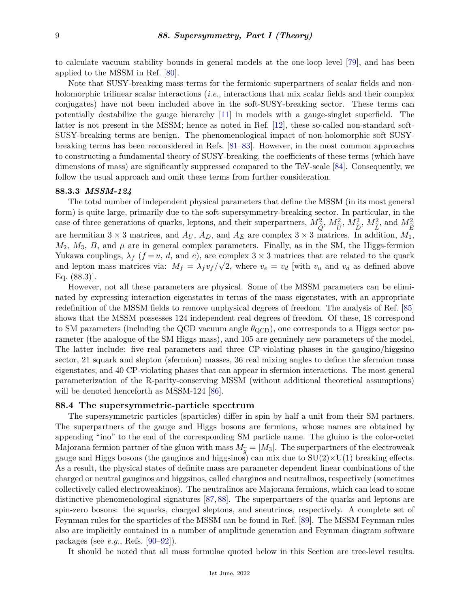to calculate vacuum stability bounds in general models at the one-loop level [\[79\]](#page-29-16), and has been applied to the MSSM in Ref. [\[80\]](#page-29-17).

Note that SUSY-breaking mass terms for the fermionic superpartners of scalar fields and nonholomorphic trilinear scalar interactions (*i.e.*, interactions that mix scalar fields and their complex conjugates) have not been included above in the soft-SUSY-breaking sector. These terms can potentially destabilize the gauge hierarchy [\[11\]](#page-26-6) in models with a gauge-singlet superfield. The latter is not present in the MSSM; hence as noted in Ref. [\[12\]](#page-26-7), these so-called non-standard soft-SUSY-breaking terms are benign. The phenomenological impact of non-holomorphic soft SUSYbreaking terms has been reconsidered in Refs. [\[81–](#page-29-18)[83\]](#page-29-19). However, in the most common approaches to constructing a fundamental theory of SUSY-breaking, the coefficients of these terms (which have dimensions of mass) are significantly suppressed compared to the TeV-scale [\[84\]](#page-29-20). Consequently, we follow the usual approach and omit these terms from further consideration.

#### <span id="page-8-0"></span>**88.3.3** *MSSM-124*

The total number of independent physical parameters that define the MSSM (in its most general form) is quite large, primarily due to the soft-supersymmetry-breaking sector. In particular, in the case of three generations of quarks, leptons, and their superpartners,  $M_{\tilde{c}}^2$ ,  $M_{\tilde{c}}^2$ ,  $M_{\tilde{c}}^2$ ,  $M_{\tilde{c}}^2$ , and  $M_{\tilde{c}}^2$ are hermitian  $3 \times 3$  matrices, and *A<sub>U</sub>*, *A<sub>D</sub>*, and *A<sub>E</sub>* are complex  $3 \times 3$  matrices. In addition, *M*<sub>1</sub>,  $M_2$ ,  $M_3$ , *B*, and  $\mu$  are in general complex parameters. Finally, as in the SM, the Higgs-fermion Yukawa couplings,  $\lambda_f$  ( $f = u$ , *d*, and *e*), are complex  $3 \times 3$  matrices that are related to the quark and lepton mass matrices via:  $M_f = \lambda_f v_f / \sqrt{2}$ , where  $v_e = v_d$  [with  $v_u$  and  $v_d$  as defined above Eq. (88.3)].

However, not all these parameters are physical. Some of the MSSM parameters can be eliminated by expressing interaction eigenstates in terms of the mass eigenstates, with an appropriate redefinition of the MSSM fields to remove unphysical degrees of freedom. The analysis of Ref. [\[85\]](#page-30-0) shows that the MSSM possesses 124 independent real degrees of freedom. Of these, 18 correspond to SM parameters (including the QCD vacuum angle  $\theta_{\rm QCD}$ ), one corresponds to a Higgs sector parameter (the analogue of the SM Higgs mass), and 105 are genuinely new parameters of the model. The latter include: five real parameters and three CP-violating phases in the gaugino/higgsino sector, 21 squark and slepton (sfermion) masses, 36 real mixing angles to define the sfermion mass eigenstates, and 40 CP-violating phases that can appear in sfermion interactions. The most general parameterization of the R-parity-conserving MSSM (without additional theoretical assumptions) will be denoted henceforth as MSSM-124 [\[86\]](#page-30-1).

# <span id="page-8-1"></span>**88.4 The supersymmetric-particle spectrum**

The supersymmetric particles (sparticles) differ in spin by half a unit from their SM partners. The superpartners of the gauge and Higgs bosons are fermions, whose names are obtained by appending "ino" to the end of the corresponding SM particle name. The gluino is the color-octet Majorana fermion partner of the gluon with mass  $M_{\tilde{g}} = |M_3|$ . The superpartners of the electroweak<br>gauge and Higgs bosons (the gauginos and higgsinos) can mix due to  $SU(2)\times U(1)$  breaking effects gauge and Higgs bosons (the gauginos and higgsinos) can mix due to  $SU(2)\times U(1)$  breaking effects. As a result, the physical states of definite mass are parameter dependent linear combinations of the charged or neutral gauginos and higgsinos, called charginos and neutralinos, respectively (sometimes collectively called electroweakinos). The neutralinos are Majorana fermions, which can lead to some distinctive phenomenological signatures [\[87,](#page-30-2) [88\]](#page-30-3). The superpartners of the quarks and leptons are spin-zero bosons: the squarks, charged sleptons, and sneutrinos, respectively. A complete set of Feynman rules for the sparticles of the MSSM can be found in Ref. [\[89\]](#page-30-4). The MSSM Feynman rules also are implicitly contained in a number of amplitude generation and Feynman diagram software packages (see *e.g.*, Refs. [\[90](#page-30-5)[–92\]](#page-30-6)).

It should be noted that all mass formulae quoted below in this Section are tree-level results.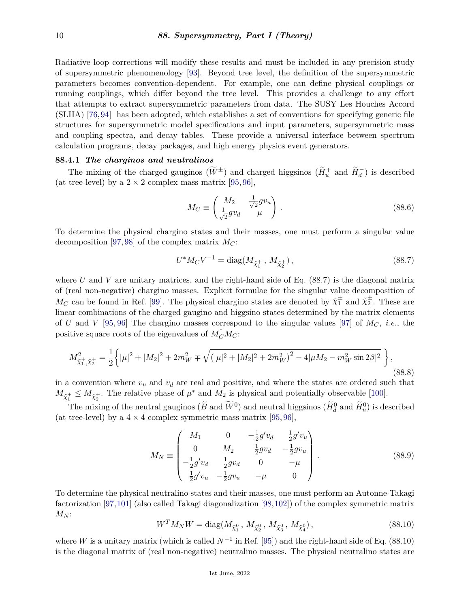Radiative loop corrections will modify these results and must be included in any precision study of supersymmetric phenomenology [\[93\]](#page-30-7). Beyond tree level, the definition of the supersymmetric parameters becomes convention-dependent. For example, one can define physical couplings or running couplings, which differ beyond the tree level. This provides a challenge to any effort that attempts to extract supersymmetric parameters from data. The SUSY Les Houches Accord (SLHA) [\[76,](#page-29-13)[94\]](#page-30-8) has been adopted, which establishes a set of conventions for specifying generic file structures for supersymmetric model specifications and input parameters, supersymmetric mass and coupling spectra, and decay tables. These provide a universal interface between spectrum calculation programs, decay packages, and high energy physics event generators.

# <span id="page-9-0"></span>**88.4.1** *The charginos and neutralinos*

The mixing of the charged gauginos  $(\widetilde{W}^{\pm})$  and charged higgsinos  $(\widetilde{H}_u^+$  and  $\widetilde{H}_d^-$ ) is described (at tree-level) by a  $2 \times 2$  complex mass matrix [\[95,](#page-30-9) [96\]](#page-30-10),

$$
M_C \equiv \begin{pmatrix} M_2 & \frac{1}{\sqrt{2}}gv_u \\ \frac{1}{\sqrt{2}}gv_d & \mu \end{pmatrix} . \tag{88.6}
$$

To determine the physical chargino states and their masses, one must perform a singular value decomposition [\[97,](#page-30-11) [98\]](#page-30-12) of the complex matrix  $M_C$ :

$$
U^* M_C V^{-1} = \text{diag}(M_{\tilde{\chi}_1^+}, M_{\tilde{\chi}_2^+}), \qquad (88.7)
$$

where *U* and *V* are unitary matrices, and the right-hand side of Eq. (88.7) is the diagonal matrix of (real non-negative) chargino masses. Explicit formulae for the singular value decomposition of *M<sub>C</sub>* can be found in Ref. [\[99\]](#page-30-13). The physical chargino states are denoted by  $\tilde{\chi}^{\pm}$  and  $\tilde{\chi}^{\pm}$ . These are linear combinations of the charged gaugino and higgsino states determined by the matrix elements of *U* and *V* [\[95,](#page-30-9) [96\]](#page-30-10) The chargino masses correspond to the singular values [\[97\]](#page-30-11) of *MC*, *i.e.*, the positive square roots of the eigenvalues of  $M_C^{\dagger}M_C$ :

$$
M_{\tilde{\chi}_1^+,\tilde{\chi}_2^+}^2 = \frac{1}{2} \left\{ |\mu|^2 + |M_2|^2 + 2m_W^2 \mp \sqrt{\left( |\mu|^2 + |M_2|^2 + 2m_W^2 \right)^2 - 4|\mu M_2 - m_W^2 \sin 2\beta|^2} \right\},\tag{88.8}
$$

in a convention where *v<sup>u</sup>* and *v<sup>d</sup>* are real and positive, and where the states are ordered such that  $M_{\tilde{\chi}_1^+} \leq M_{\tilde{\chi}_2^+}$ . The relative phase of  $\mu^*$  and  $M_2$  is physical and potentially observable [\[100\]](#page-30-14).

The mixing of the neutral gauginos  $(\widetilde{B}$  and  $\widetilde{W}^0)$  and neutral higgsinos  $(\widetilde{H}_d^0$  and  $\widetilde{H}_u^0)$  is described (at tree-level) by a  $4 \times 4$  complex symmetric mass matrix [\[95,](#page-30-9) [96\]](#page-30-10),

$$
M_N \equiv \begin{pmatrix} M_1 & 0 & -\frac{1}{2}g'v_d & \frac{1}{2}g'v_u \\ 0 & M_2 & \frac{1}{2}gv_d & -\frac{1}{2}gv_u \\ -\frac{1}{2}g'v_d & \frac{1}{2}gv_d & 0 & -\mu \\ \frac{1}{2}g'v_u & -\frac{1}{2}gv_u & -\mu & 0 \end{pmatrix} .
$$
 (88.9)

To determine the physical neutralino states and their masses, one must perform an Autonne-Takagi factorization [\[97,](#page-30-11)[101\]](#page-30-15) (also called Takagi diagonalization [\[98,](#page-30-12)[102\]](#page-30-16)) of the complex symmetric matrix  $M_N$ :

$$
W^{T} M_{N} W = \text{diag}(M_{\tilde{\chi}_{1}^{0}}, M_{\tilde{\chi}_{2}^{0}}, M_{\tilde{\chi}_{3}^{0}}, M_{\tilde{\chi}_{4}^{0}}), \qquad (88.10)
$$

where *W* is a unitary matrix (which is called  $N^{-1}$  in Ref. [\[95\]](#page-30-9)) and the right-hand side of Eq. (88.10) is the diagonal matrix of (real non-negative) neutralino masses. The physical neutralino states are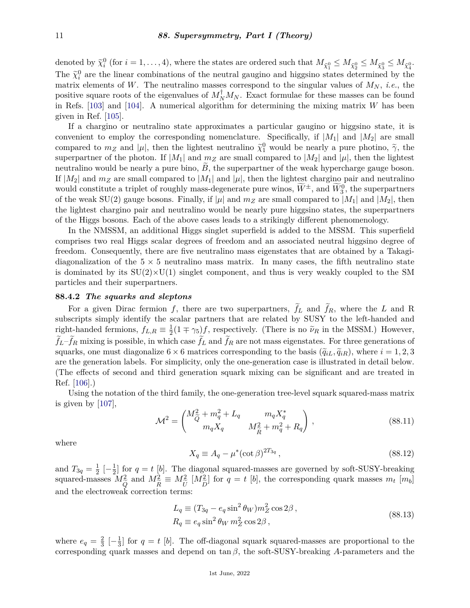denoted by  $\tilde{\chi}_i^0$  (for  $i = 1, ..., 4$ ), where the states are ordered such that  $M_{\tilde{\chi}_1^0} \leq M_{\tilde{\chi}_2^0} \leq M_{\tilde{\chi}_3^0} \leq M_{\tilde{\chi}_4^0}$ . The  $\tilde{\chi}_i^0$  are the linear combinations of the neutral gaugino and higgsino states determined by the neutral gaughten is a set of  $\tilde{M}$  of  $\tilde{M}$  is a set of  $\tilde{M}$ matrix elements of W. The neutralino masses correspond to the singular values of  $M_N$ , *i.e.*, the positive square roots of the eigenvalues of  $M_N^{\dagger}M_N$ . Exact formulae for these masses can be found in Refs. [\[103\]](#page-30-17) and [\[104\]](#page-30-18). A numerical algorithm for determining the mixing matrix *W* has been given in Ref. [\[105\]](#page-30-19).

If a chargino or neutralino state approximates a particular gaugino or higgsino state, it is convenient to employ the corresponding nomenclature. Specifically, if  $|M_1|$  and  $|M_2|$  are small compared to  $m_Z$  and |µ|, then the lightest neutralino  $\tilde{\chi}^0_1$  would be nearly a pure photino,  $\tilde{\gamma}$ , the superpartner of the photon. If  $|M_1|$  and  $m_Z$  are small compared to  $|M_2|$  and  $|\mu|$ , then the lightest neutralino would be nearly a pure bino,  $B$ , the superpartner of the weak hypercharge gauge boson. If  $|M_2|$  and  $m_Z$  are small compared to  $|M_1|$  and  $|\mu|$ , then the lightest chargino pair and neutralino would constitute a triplet of roughly mass-degenerate pure winos,  $\widetilde{W}^{\pm}$ , and  $\widetilde{W}_{3}^{0}$ , the superpartners of the weak  $SU(2)$  gauge bosons. Finally, if  $|\mu|$  and  $m_Z$  are small compared to  $|M_1|$  and  $|M_2|$ , then the lightest chargino pair and neutralino would be nearly pure higgsino states, the superpartners of the Higgs bosons. Each of the above cases leads to a strikingly different phenomenology.

In the NMSSM, an additional Higgs singlet superfield is added to the MSSM. This superfield comprises two real Higgs scalar degrees of freedom and an associated neutral higgsino degree of freedom. Consequently, there are five neutralino mass eigenstates that are obtained by a Takagidiagonalization of the  $5 \times 5$  neutralino mass matrix. In many cases, the fifth neutralino state is dominated by its  $SU(2)\times U(1)$  singlet component, and thus is very weakly coupled to the SM particles and their superpartners.

#### <span id="page-10-0"></span>**88.4.2** *The squarks and sleptons*

For a given Dirac fermion  $f$ , there are two superpartners,  $\tilde{f}_L$  and  $\tilde{f}_R$ , where the *L* and R subscripts simply identify the scalar partners that are related by SUSY to the left-handed and right-handed fermions,  $f_{L,R} \equiv \frac{1}{2}$  $\frac{1}{2}(1 \mp \gamma_5)f$ , respectively. (There is no  $\tilde{\nu}_R$  in the MSSM.) However,  $f_L - f_R$  mixing is possible, in which case  $f_L$  and  $f_R$  are not mass eigenstates. For three generations of squarks, one must diagonalize  $6 \times 6$  matrices corresponding to the basis  $(\tilde{q}_{iL}, \tilde{q}_{iR})$ , where  $i = 1, 2, 3$ are the generation labels. For simplicity, only the one-generation case is illustrated in detail below. (The effects of second and third generation squark mixing can be significant and are treated in Ref. [\[106\]](#page-30-20).)

Using the notation of the third family, the one-generation tree-level squark squared-mass matrix is given by [\[107\]](#page-30-21),

$$
\mathcal{M}^2 = \begin{pmatrix} M_{\tilde{Q}}^2 + m_q^2 + L_q & m_q X_q^* \\ m_q X_q & M_{\tilde{R}}^2 + m_q^2 + R_q \end{pmatrix},
$$
\n(88.11)

where

$$
X_q \equiv A_q - \mu^* (\cot \beta)^{2T_{3q}}, \tag{88.12}
$$

and  $T_{3q} = \frac{1}{2}$  $\frac{1}{2}$   $\left[-\frac{1}{2}\right]$  $\frac{1}{2}$  for  $q = t$  [b]. The diagonal squared-masses are governed by soft-SUSY-breaking squared-masses  $M_{\odot}^2$ *Q*e and  $M_{\tilde{r}}^2$ *R*e  $\equiv M_{\widetilde{\Omega}}^2$  $\frac{U}{n}$  $[M_{\tilde{r}}^2]$ *D*e  $\int$  for  $q = t$  [*b*], the corresponding quark masses  $m_t$  [ $m_b$ ] and the electroweak correction terms:

$$
L_q \equiv (T_{3q} - e_q \sin^2 \theta_W) m_Z^2 \cos 2\beta ,
$$
  
\n
$$
R_q \equiv e_q \sin^2 \theta_W m_Z^2 \cos 2\beta ,
$$
\n(88.13)

where  $e_q = \frac{2}{3}$  $rac{2}{3}$   $\left[-\frac{1}{3}\right]$  $\frac{1}{3}$  for  $q = t$  [b]. The off-diagonal squark squared-masses are proportional to the corresponding quark masses and depend on tan *β*, the soft-SUSY-breaking *A*-parameters and the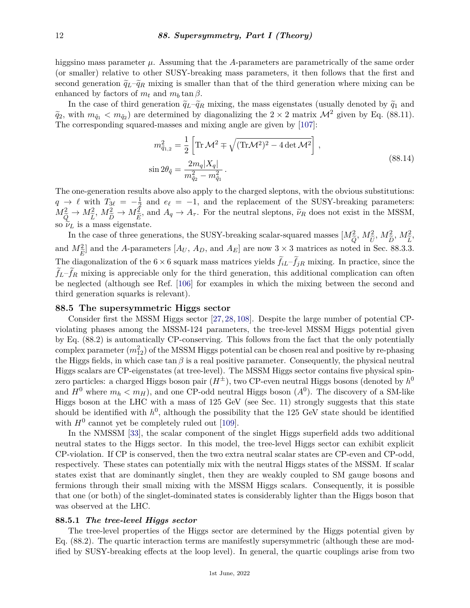higgsino mass parameter  $\mu$ . Assuming that the *A*-parameters are parametrically of the same order (or smaller) relative to other SUSY-breaking mass parameters, it then follows that the first and second generation  $\tilde{q}_L-\tilde{q}_R$  mixing is smaller than that of the third generation where mixing can be enhanced by factors of  $m_t$  and  $m_b \tan \beta$ .

In the case of third generation  $\tilde{q}_L - \tilde{q}_R$  mixing, the mass eigenstates (usually denoted by  $\tilde{q}_1$  and  $\tilde{q}_2$ , with  $m_{\tilde{q}_1} < m_{\tilde{q}_2}$  are determined by diagonalizing the  $2 \times 2$  matrix  $\mathcal{M}^2$  given by Eq. (88.11). The corresponding squared-masses and mixing angle are given by [\[107\]](#page-30-21):

$$
m_{\tilde{q}_{1,2}}^2 = \frac{1}{2} \left[ \text{Tr} \mathcal{M}^2 \mp \sqrt{(\text{Tr} \mathcal{M}^2)^2 - 4 \det \mathcal{M}^2} \right],
$$
  
\n
$$
\sin 2\theta_{\tilde{q}} = \frac{2m_q |X_q|}{m_{\tilde{q}_2}^2 - m_{\tilde{q}_1}^2}.
$$
\n(88.14)

The one-generation results above also apply to the charged sleptons, with the obvious substitutions:  $q \rightarrow \ell$  with  $T_{3\ell} = -\frac{1}{2}$  $\frac{1}{2}$  and  $e_{\ell} = -1$ , and the replacement of the SUSY-breaking parameters:  $M_{\tilde{Q}}^2 \rightarrow M_{\tilde{L}}^2$ <br>so  $\tilde{\nu}_L$  is a r  $M_{\tilde{D}}^2 \rightarrow M_{\tilde{E}}^2$ , and  $A_q \rightarrow A_\tau$ . For the neutral sleptons,  $\tilde{\nu}_R$  does not exist in the MSSM, nass ejgenstate so  $\tilde{\nu}_L$  is a mass eigenstate.

In the case of three generations, the SUSY-breaking scalar-squared masses  $[M_{\tilde{c}}^2, M_{\tilde{r}}^2, M_{\tilde{r}}^2, M_{\tilde{r}}^2]$ and  $M_{\tilde{E}}^2$ ] and the *A*-parameters [*A<sub>U</sub>*, *A<sub>D</sub>*, and *A<sub>E</sub>*] are now 3 × 3 matrices as noted in Sec. 88.3.3. *E*e The diagonalization of the  $6 \times 6$  squark mass matrices yields  $f_{iL}-f_{jR}$  mixing. In practice, since the  $f_L - f_R$  mixing is appreciable only for the third generation, this additional complication can often be neglected (although see Ref. [\[106\]](#page-30-20) for examples in which the mixing between the second and third generation squarks is relevant).

## <span id="page-11-0"></span>**88.5 The supersymmetric Higgs sector**

Consider first the MSSM Higgs sector [\[27,](#page-27-18) [28,](#page-27-3) [108\]](#page-30-22). Despite the large number of potential CPviolating phases among the MSSM-124 parameters, the tree-level MSSM Higgs potential given by Eq. (88.2) is automatically CP-conserving. This follows from the fact that the only potentially  $\text{complex parameter}~(m_{12}^2) \text{ of the MSSM Higgs potential can be chosen real and positive by re-phasing}$ the Higgs fields, in which case  $\tan \beta$  is a real positive parameter. Consequently, the physical neutral Higgs scalars are CP-eigenstates (at tree-level). The MSSM Higgs sector contains five physical spinzero particles: a charged Higgs boson pair  $(H^{\pm})$ , two CP-even neutral Higgs bosons (denoted by  $h^0$ and  $H^0$  where  $m_h < m_H$ ), and one CP-odd neutral Higgs boson  $(A^0)$ . The discovery of a SM-like Higgs boson at the LHC with a mass of 125 GeV (see Sec. 11) strongly suggests that this state should be identified with  $h^0$ , although the possibility that the 125 GeV state should be identified with  $H^0$  cannot yet be completely ruled out [\[109\]](#page-30-23).

In the NMSSM [\[33\]](#page-27-8), the scalar component of the singlet Higgs superfield adds two additional neutral states to the Higgs sector. In this model, the tree-level Higgs sector can exhibit explicit CP-violation. If CP is conserved, then the two extra neutral scalar states are CP-even and CP-odd, respectively. These states can potentially mix with the neutral Higgs states of the MSSM. If scalar states exist that are dominantly singlet, then they are weakly coupled to SM gauge bosons and fermions through their small mixing with the MSSM Higgs scalars. Consequently, it is possible that one (or both) of the singlet-dominated states is considerably lighter than the Higgs boson that was observed at the LHC.

#### <span id="page-11-1"></span>**88.5.1** *The tree-level Higgs sector*

The tree-level properties of the Higgs sector are determined by the Higgs potential given by Eq. (88.2). The quartic interaction terms are manifestly supersymmetric (although these are modified by SUSY-breaking effects at the loop level). In general, the quartic couplings arise from two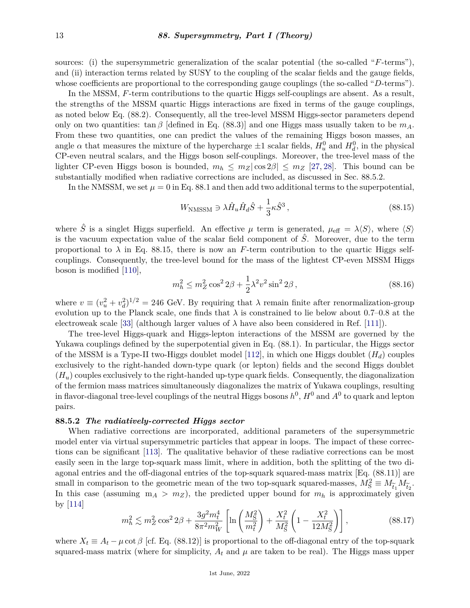sources: (i) the supersymmetric generalization of the scalar potential (the so-called "*F*-terms"), and (ii) interaction terms related by SUSY to the coupling of the scalar fields and the gauge fields, whose coefficients are proportional to the corresponding gauge couplings (the so-called "*D*-terms").

In the MSSM, F-term contributions to the quartic Higgs self-couplings are absent. As a result, the strengths of the MSSM quartic Higgs interactions are fixed in terms of the gauge couplings, as noted below Eq. (88.2). Consequently, all the tree-level MSSM Higgs-sector parameters depend only on two quantities:  $\tan \beta$  [defined in Eq. (88.3)] and one Higgs mass usually taken to be  $m_A$ . From these two quantities, one can predict the values of the remaining Higgs boson masses, an angle  $\alpha$  that measures the mixture of the hypercharge  $\pm 1$  scalar fields,  $H_u^0$  and  $H_d^0$ , in the physical CP-even neutral scalars, and the Higgs boson self-couplings. Moreover, the tree-level mass of the lighter CP-even Higgs boson is bounded,  $m_h \leq m_Z |\cos 2\beta| \leq m_Z |27,28|$ . This bound can be substantially modified when radiative corrections are included, as discussed in Sec. 88.5.2.

In the NMSSM, we set  $\mu = 0$  in Eq. 88.1 and then add two additional terms to the superpotential,

$$
W_{\rm NMSSM} \ni \lambda \hat{H}_u \hat{H}_d \hat{S} + \frac{1}{3} \kappa \hat{S}^3 , \qquad (88.15)
$$

where  $\hat{S}$  is a singlet Higgs superfield. An effective  $\mu$  term is generated,  $\mu_{\text{eff}} = \lambda \langle S \rangle$ , where  $\langle S \rangle$ is the vacuum expectation value of the scalar field component of  $\hat{S}$ . Moreover, due to the term proportional to  $\lambda$  in Eq. 88.15, there is now an *F*-term contribution to the quartic Higgs selfcouplings. Consequently, the tree-level bound for the mass of the lightest CP-even MSSM Higgs boson is modified [\[110\]](#page-30-24),

$$
m_h^2 \le m_Z^2 \cos^2 2\beta + \frac{1}{2}\lambda^2 v^2 \sin^2 2\beta \,,\tag{88.16}
$$

where  $v \equiv (v_u^2 + v_d^2)^{1/2} = 246$  GeV. By requiring that  $\lambda$  remain finite after renormalization-group evolution up to the Planck scale, one finds that  $\lambda$  is constrained to lie below about 0.7–0.8 at the electroweak scale [\[33\]](#page-27-8) (although larger values of  $\lambda$  have also been considered in Ref. [\[111\]](#page-30-25)).

The tree-level Higgs-quark and Higgs-lepton interactions of the MSSM are governed by the Yukawa couplings defined by the superpotential given in Eq. (88.1). In particular, the Higgs sector of the MSSM is a Type-II two-Higgs doublet model [\[112\]](#page-31-0), in which one Higgs doublet (*Hd*) couples exclusively to the right-handed down-type quark (or lepton) fields and the second Higgs doublet (*Hu*) couples exclusively to the right-handed up-type quark fields. Consequently, the diagonalization of the fermion mass matrices simultaneously diagonalizes the matrix of Yukawa couplings, resulting in flavor-diagonal tree-level couplings of the neutral Higgs bosons  $h^0$ ,  $H^0$  and  $A^0$  to quark and lepton pairs.

#### <span id="page-12-0"></span>**88.5.2** *The radiatively-corrected Higgs sector*

When radiative corrections are incorporated, additional parameters of the supersymmetric model enter via virtual supersymmetric particles that appear in loops. The impact of these corrections can be significant [\[113\]](#page-31-1). The qualitative behavior of these radiative corrections can be most easily seen in the large top-squark mass limit, where in addition, both the splitting of the two diagonal entries and the off-diagonal entries of the top-squark squared-mass matrix [Eq. (88.11)] are small in comparison to the geometric mean of the two top-squark squared-masses,  $M_S^2 \equiv M_{\widetilde{t}_1} M_{\widetilde{t}_2}$ .<br>In this case (assuming  $m_A > m_Z$ ), the predicted upper bound for  $m_b$  is approximately given In this case (assuming  $m_A > m_Z$ ), the predicted upper bound for  $m_h$  is approximately given by  $|114|$ 

$$
m_h^2 \lesssim m_Z^2 \cos^2 2\beta + \frac{3g^2 m_t^4}{8\pi^2 m_W^2} \left[ \ln \left( \frac{M_S^2}{m_t^2} \right) + \frac{X_t^2}{M_S^2} \left( 1 - \frac{X_t^2}{12 M_S^2} \right) \right],\tag{88.17}
$$

where  $X_t \equiv A_t - \mu \cot \beta$  [cf. Eq. (88.12)] is proportional to the off-diagonal entry of the top-squark squared-mass matrix (where for simplicity,  $A_t$  and  $\mu$  are taken to be real). The Higgs mass upper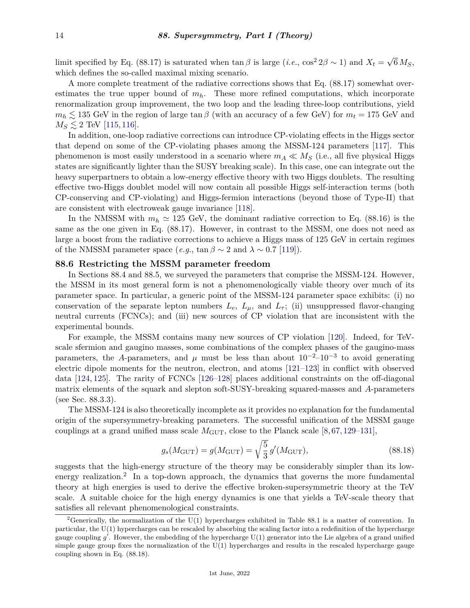limit specified by Eq. (88.17) is saturated when  $\tan \beta$  is large (*i.e.*,  $\cos^2 2\beta \sim 1$ ) and  $X_t = \sqrt{\frac{2}{\pi}}$  $6\,M_S,$ which defines the so-called maximal mixing scenario.

A more complete treatment of the radiative corrections shows that Eq. (88.17) somewhat overestimates the true upper bound of *mh*. These more refined computations, which incorporate renormalization group improvement, the two loop and the leading three-loop contributions, yield  $m_h \lesssim 135$  GeV in the region of large tan  $\beta$  (with an accuracy of a few GeV) for  $m_t = 175$  GeV and  $M_S \lesssim 2$  TeV [\[115,](#page-31-3) [116\]](#page-31-4).

In addition, one-loop radiative corrections can introduce CP-violating effects in the Higgs sector that depend on some of the CP-violating phases among the MSSM-124 parameters [\[117\]](#page-31-5). This phenomenon is most easily understood in a scenario where  $m_A \ll M_S$  (i.e., all five physical Higgs states are significantly lighter than the SUSY breaking scale). In this case, one can integrate out the heavy superpartners to obtain a low-energy effective theory with two Higgs doublets. The resulting effective two-Higgs doublet model will now contain all possible Higgs self-interaction terms (both CP-conserving and CP-violating) and Higgs-fermion interactions (beyond those of Type-II) that are consistent with electroweak gauge invariance [\[118\]](#page-31-6).

In the NMSSM with  $m_h \simeq 125$  GeV, the dominant radiative correction to Eq. (88.16) is the same as the one given in Eq. (88.17). However, in contrast to the MSSM, one does not need as large a boost from the radiative corrections to achieve a Higgs mass of 125 GeV in certain regimes of the NMSSM parameter space (*e.g.*,  $\tan \beta \sim 2$  and  $\lambda \sim 0.7$  [\[119\]](#page-31-7)).

#### <span id="page-13-0"></span>**88.6 Restricting the MSSM parameter freedom**

In Sections 88.4 and 88.5, we surveyed the parameters that comprise the MSSM-124. However, the MSSM in its most general form is not a phenomenologically viable theory over much of its parameter space. In particular, a generic point of the MSSM-124 parameter space exhibits: (i) no conservation of the separate lepton numbers  $L_e$ ,  $L_\mu$ , and  $L_\tau$ ; (ii) unsuppressed flavor-changing neutral currents (FCNCs); and (iii) new sources of CP violation that are inconsistent with the experimental bounds.

For example, the MSSM contains many new sources of CP violation [\[120\]](#page-31-8). Indeed, for TeVscale sfermion and gaugino masses, some combinations of the complex phases of the gaugino-mass parameters, the *A*-parameters, and  $\mu$  must be less than about  $10^{-2}$ – $10^{-3}$  to avoid generating electric dipole moments for the neutron, electron, and atoms [\[121–](#page-31-9)[123\]](#page-31-10) in conflict with observed data [\[124,](#page-31-11) [125\]](#page-31-12). The rarity of FCNCs [\[126–](#page-31-13)[128\]](#page-31-14) places additional constraints on the off-diagonal matrix elements of the squark and slepton soft-SUSY-breaking squared-masses and *A*-parameters (see Sec. 88.3.3).

The MSSM-124 is also theoretically incomplete as it provides no explanation for the fundamental origin of the supersymmetry-breaking parameters. The successful unification of the MSSM gauge couplings at a grand unified mass scale  $M_{\text{GUT}}$ , close to the Planck scale [\[8,](#page-26-20)[67,](#page-29-5)[129–](#page-31-15)[131\]](#page-31-16),

$$
g_s(M_{\text{GUT}}) = g(M_{\text{GUT}}) = \sqrt{\frac{5}{3}} g'(M_{\text{GUT}}),
$$
\n(88.18)

suggests that the high-energy structure of the theory may be considerably simpler than its low-energy realization.<sup>[2](#page-13-1)</sup> In a top-down approach, the dynamics that governs the more fundamental theory at high energies is used to derive the effective broken-supersymmetric theory at the TeV scale. A suitable choice for the high energy dynamics is one that yields a TeV-scale theory that satisfies all relevant phenomenological constraints.

<span id="page-13-1"></span><sup>&</sup>lt;sup>2</sup>Generically, the normalization of the U(1) hypercharges exhibited in Table 88.1 is a matter of convention. In particular, the U(1) hypercharges can be rescaled by absorbing the scaling factor into a redefinition of the hypercharge gauge coupling g'. However, the embedding of the hypercharge U(1) generator into the Lie algebra of a grand unified simple gauge group fixes the normalization of the  $U(1)$  hypercharges and results in the rescaled hypercharge gauge coupling shown in Eq. (88.18).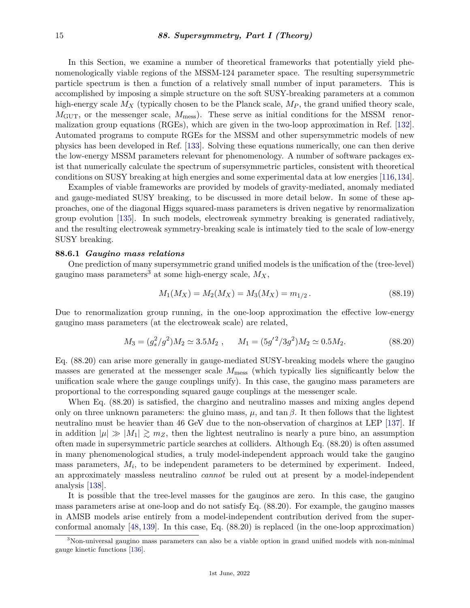In this Section, we examine a number of theoretical frameworks that potentially yield phenomenologically viable regions of the MSSM-124 parameter space. The resulting supersymmetric particle spectrum is then a function of a relatively small number of input parameters. This is accomplished by imposing a simple structure on the soft SUSY-breaking parameters at a common high-energy scale  $M_X$  (typically chosen to be the Planck scale,  $M_P$ , the grand unified theory scale, *M*GUT, or the messenger scale, *M*mess). These serve as initial conditions for the MSSM renormalization group equations (RGEs), which are given in the two-loop approximation in Ref. [\[132\]](#page-31-17). Automated programs to compute RGEs for the MSSM and other supersymmetric models of new physics has been developed in Ref. [\[133\]](#page-31-18). Solving these equations numerically, one can then derive the low-energy MSSM parameters relevant for phenomenology. A number of software packages exist that numerically calculate the spectrum of supersymmetric particles, consistent with theoretical conditions on SUSY breaking at high energies and some experimental data at low energies [\[116,](#page-31-4)[134\]](#page-31-19).

Examples of viable frameworks are provided by models of gravity-mediated, anomaly mediated and gauge-mediated SUSY breaking, to be discussed in more detail below. In some of these approaches, one of the diagonal Higgs squared-mass parameters is driven negative by renormalization group evolution [\[135\]](#page-32-0). In such models, electroweak symmetry breaking is generated radiatively, and the resulting electroweak symmetry-breaking scale is intimately tied to the scale of low-energy SUSY breaking.

# <span id="page-14-0"></span>**88.6.1** *Gaugino mass relations*

One prediction of many supersymmetric grand unified models is the unification of the (tree-level) gaugino mass parameters<sup>[3](#page-14-1)</sup> at some high-energy scale,  $M_X$ ,

$$
M_1(M_X) = M_2(M_X) = M_3(M_X) = m_{1/2}.
$$
\n(88.19)

Due to renormalization group running, in the one-loop approximation the effective low-energy gaugino mass parameters (at the electroweak scale) are related,

$$
M_3 = (g_s^2/g^2)M_2 \simeq 3.5M_2 \ , \qquad M_1 = (5g'^2/3g^2)M_2 \simeq 0.5M_2. \tag{88.20}
$$

Eq. (88.20) can arise more generally in gauge-mediated SUSY-breaking models where the gaugino masses are generated at the messenger scale  $M_{\text{mess}}$  (which typically lies significantly below the unification scale where the gauge couplings unify). In this case, the gaugino mass parameters are proportional to the corresponding squared gauge couplings at the messenger scale.

When Eq. (88.20) is satisfied, the chargino and neutralino masses and mixing angles depend only on three unknown parameters: the gluino mass,  $\mu$ , and tan  $\beta$ . It then follows that the lightest neutralino must be heavier than 46 GeV due to the non-observation of charginos at LEP [\[137\]](#page-32-1). If in addition  $|\mu| \gg |M_1| \gtrsim m_Z$ , then the lightest neutralino is nearly a pure bino, an assumption often made in supersymmetric particle searches at colliders. Although Eq. (88.20) is often assumed in many phenomenological studies, a truly model-independent approach would take the gaugino mass parameters,  $M_i$ , to be independent parameters to be determined by experiment. Indeed, an approximately massless neutralino *cannot* be ruled out at present by a model-independent analysis [\[138\]](#page-32-2).

It is possible that the tree-level masses for the gauginos are zero. In this case, the gaugino mass parameters arise at one-loop and do not satisfy Eq. (88.20). For example, the gaugino masses in AMSB models arise entirely from a model-independent contribution derived from the superconformal anomaly [\[48,](#page-28-2) [139\]](#page-32-3). In this case, Eq. (88.20) is replaced (in the one-loop approximation)

<span id="page-14-1"></span><sup>3</sup>Non-universal gaugino mass parameters can also be a viable option in grand unified models with non-minimal gauge kinetic functions [\[136\]](#page-32-4).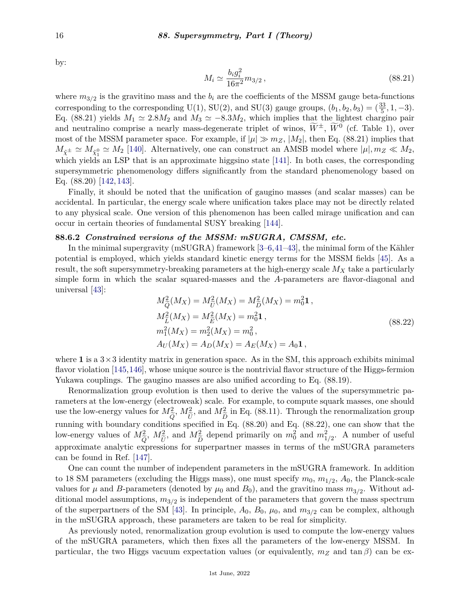by:

$$
M_i \simeq \frac{b_i g_i^2}{16\pi^2} m_{3/2} \,, \tag{88.21}
$$

where  $m_{3/2}$  is the gravitino mass and the  $b_i$  are the coefficients of the MSSM gauge beta-functions corresponding to the corresponding U(1), SU(2), and SU(3) gauge groups,  $(b_1, b_2, b_3) = (\frac{33}{5}, 1, -3)$ . Eq. (88.21) yields  $M_1 \simeq 2.8M_2$  and  $M_3 \simeq -8.3M_2$ , which implies that the lightest chargino pair and neutralino comprise a nearly mass-degenerate triplet of winos,  $\widetilde{W}^{\pm}$ ,  $\widetilde{W}^0$  (cf. Table 1), over most of the MSSM parameter space. For example, if  $|\mu| \gg m_Z$ ,  $|M_2|$ , then Eq. (88.21) implies that  $M_{\tilde{\chi}^{\pm}} \simeq M_{\tilde{\chi}^0_1} \simeq M_2$  [\[140\]](#page-32-5). Alternatively, one can construct an AMSB model where  $|\mu|, m_Z \ll M_2$ , which yields an LSP that is an approximate higgsino state [\[141\]](#page-32-6). In both cases, the corresponding supersymmetric phenomenology differs significantly from the standard phenomenology based on Eq. (88.20) [\[142,](#page-32-7) [143\]](#page-32-8).

Finally, it should be noted that the unification of gaugino masses (and scalar masses) can be accidental. In particular, the energy scale where unification takes place may not be directly related to any physical scale. One version of this phenomenon has been called mirage unification and can occur in certain theories of fundamental SUSY breaking [\[144\]](#page-32-9).

# <span id="page-15-0"></span>**88.6.2** *Constrained versions of the MSSM: mSUGRA, CMSSM, etc.*

In the minimal supergravity (mSUGRA) framework [\[3–](#page-26-2)[6,](#page-26-3)[41–](#page-27-16)[43\]](#page-27-19), the minimal form of the Kähler potential is employed, which yields standard kinetic energy terms for the MSSM fields [\[45\]](#page-28-0). As a result, the soft supersymmetry-breaking parameters at the high-energy scale *M<sup>X</sup>* take a particularly simple form in which the scalar squared-masses and the *A*-parameters are flavor-diagonal and universal [\[43\]](#page-27-19):

$$
M_{\tilde{Q}}^2(M_X) = M_{\tilde{U}}^2(M_X) = M_{\tilde{D}}^2(M_X) = m_0^2 \mathbf{1},
$$
  
\n
$$
M_{\tilde{L}}^2(M_X) = M_{\tilde{E}}^2(M_X) = m_0^2 \mathbf{1},
$$
  
\n
$$
m_1^2(M_X) = m_2^2(M_X) = m_0^2,
$$
  
\n
$$
A_U(M_X) = A_D(M_X) = A_E(M_X) = A_0 \mathbf{1},
$$
\n(88.22)

where 1 is a  $3 \times 3$  identity matrix in generation space. As in the SM, this approach exhibits minimal flavor violation [\[145,](#page-32-10)[146\]](#page-32-11), whose unique source is the nontrivial flavor structure of the Higgs-fermion Yukawa couplings. The gaugino masses are also unified according to Eq. (88.19).

Renormalization group evolution is then used to derive the values of the supersymmetric parameters at the low-energy (electroweak) scale. For example, to compute squark masses, one should use the low-energy values for  $M_{\tilde{c}}^2$ ,  $M_{\tilde{r}}^2$ , and  $M_{\tilde{c}}^2$  in Eq. (88.11). Through the renormalization group running with boundary conditions specified in Eq. (88.20) and Eq. (88.22), one can show that the low-energy values of  $M_{\tilde{O}}^2$ ,  $M_{\tilde{H}}^2$ , and  $M_{\tilde{D}}^2$  depend primarily on  $m_0^2$  and  $m_{1/2}^2$ . A number of useful approximate analytic expressions for superpartner masses in terms of the mSUGRA parameters can be found in Ref. [\[147\]](#page-32-12).

One can count the number of independent parameters in the mSUGRA framework. In addition to 18 SM parameters (excluding the Higgs mass), one must specify  $m_0$ ,  $m_{1/2}$ ,  $A_0$ , the Planck-scale values for  $\mu$  and *B*-parameters (denoted by  $\mu_0$  and  $B_0$ ), and the gravitino mass  $m_{3/2}$ . Without additional model assumptions, *m*3*/*<sup>2</sup> is independent of the parameters that govern the mass spectrum of the superpartners of the SM [\[43\]](#page-27-19). In principle,  $A_0$ ,  $B_0$ ,  $\mu_0$ , and  $m_{3/2}$  can be complex, although in the mSUGRA approach, these parameters are taken to be real for simplicity.

As previously noted, renormalization group evolution is used to compute the low-energy values of the mSUGRA parameters, which then fixes all the parameters of the low-energy MSSM. In particular, the two Higgs vacuum expectation values (or equivalently,  $m_Z$  and  $\tan \beta$ ) can be ex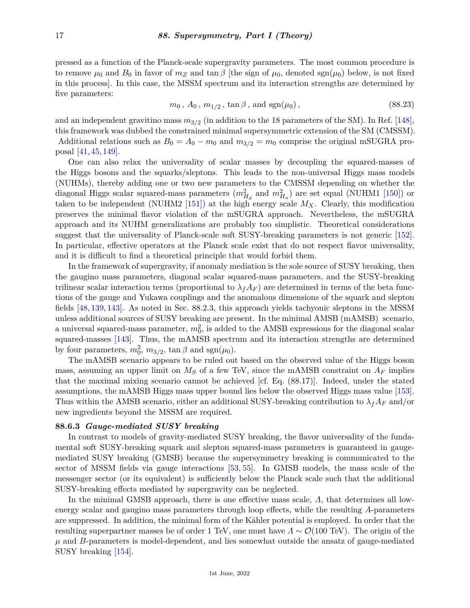pressed as a function of the Planck-scale supergravity parameters. The most common procedure is to remove  $\mu_0$  and  $B_0$  in favor of  $m_Z$  and  $\tan \beta$  [the sign of  $\mu_0$ , denoted sgn( $\mu_0$ ) below, is not fixed in this process]. In this case, the MSSM spectrum and its interaction strengths are determined by five parameters:

$$
m_0
$$
,  $A_0$ ,  $m_{1/2}$ ,  $\tan \beta$ , and  $\text{sgn}(\mu_0)$ ,  $(88.23)$ 

and an independent gravitino mass *m*3*/*<sup>2</sup> (in addition to the 18 parameters of the SM). In Ref. [\[148\]](#page-32-13), this framework was dubbed the constrained minimal supersymmetric extension of the SM (CMSSM). Additional relations such as  $B_0 = A_0 - m_0$  and  $m_{3/2} = m_0$  comprise the original mSUGRA proposal [\[41,](#page-27-16) [45,](#page-28-0) [149\]](#page-32-14).

One can also relax the universality of scalar masses by decoupling the squared-masses of the Higgs bosons and the squarks/sleptons. This leads to the non-universal Higgs mass models (NUHMs), thereby adding one or two new parameters to the CMSSM depending on whether the diagonal Higgs scalar squared-mass parameters  $(m_{H_d}^2$  and  $m_{H_u}^2)$  are set equal (NUHM1 [\[150\]](#page-32-15)) or taken to be independent (NUHM2 [\[151\]](#page-32-16)) at the high energy scale *MX*. Clearly, this modification preserves the minimal flavor violation of the mSUGRA approach. Nevertheless, the mSUGRA approach and its NUHM generalizations are probably too simplistic. Theoretical considerations suggest that the universality of Planck-scale soft SUSY-breaking parameters is not generic [\[152\]](#page-32-17). In particular, effective operators at the Planck scale exist that do not respect flavor universality, and it is difficult to find a theoretical principle that would forbid them.

In the framework of supergravity, if anomaly mediation is the sole source of SUSY breaking, then the gaugino mass parameters, diagonal scalar squared-mass parameters, and the SUSY-breaking trilinear scalar interaction terms (proportional to  $\lambda_f A_F$ ) are determined in terms of the beta functions of the gauge and Yukawa couplings and the anomalous dimensions of the squark and slepton fields [\[48,](#page-28-2) [139,](#page-32-3) [143\]](#page-32-8). As noted in Sec. 88.2.3, this approach yields tachyonic sleptons in the MSSM unless additional sources of SUSY breaking are present. In the minimal AMSB (mAMSB) scenario, a universal squared-mass parameter,  $m_0^2$ , is added to the AMSB expressions for the diagonal scalar squared-masses [\[143\]](#page-32-8). Thus, the mAMSB spectrum and its interaction strengths are determined by four parameters,  $m_0^2$ ,  $m_{3/2}$ ,  $\tan \beta$  and sgn( $\mu_0$ ).

The mAMSB scenario appears to be ruled out based on the observed value of the Higgs boson mass, assuming an upper limit on  $M<sub>S</sub>$  of a few TeV, since the mAMSB constraint on  $A<sub>F</sub>$  implies that the maximal mixing scenario cannot be achieved [cf. Eq. (88.17)]. Indeed, under the stated assumptions, the mAMSB Higgs mass upper bound lies below the observed Higgs mass value [\[153\]](#page-32-18). Thus within the AMSB scenario, either an additional SUSY-breaking contribution to  $\lambda_f A_F$  and/or new ingredients beyond the MSSM are required.

# <span id="page-16-0"></span>**88.6.3** *Gauge-mediated SUSY breaking*

In contrast to models of gravity-mediated SUSY breaking, the flavor universality of the fundamental soft SUSY-breaking squark and slepton squared-mass parameters is guaranteed in gaugemediated SUSY breaking (GMSB) because the supersymmetry breaking is communicated to the sector of MSSM fields via gauge interactions [\[53,](#page-28-15) [55\]](#page-28-8). In GMSB models, the mass scale of the messenger sector (or its equivalent) is sufficiently below the Planck scale such that the additional SUSY-breaking effects mediated by supergravity can be neglected.

In the minimal GMSB approach, there is one effective mass scale, *Λ*, that determines all lowenergy scalar and gaugino mass parameters through loop effects, while the resulting *A*-parameters are suppressed. In addition, the minimal form of the Kähler potential is employed. In order that the resulting superpartner masses be of order 1 TeV, one must have  $\Lambda \sim \mathcal{O}(100 \text{ TeV})$ . The origin of the  $\mu$  and *B*-parameters is model-dependent, and lies somewhat outside the ansatz of gauge-mediated SUSY breaking [\[154\]](#page-32-19).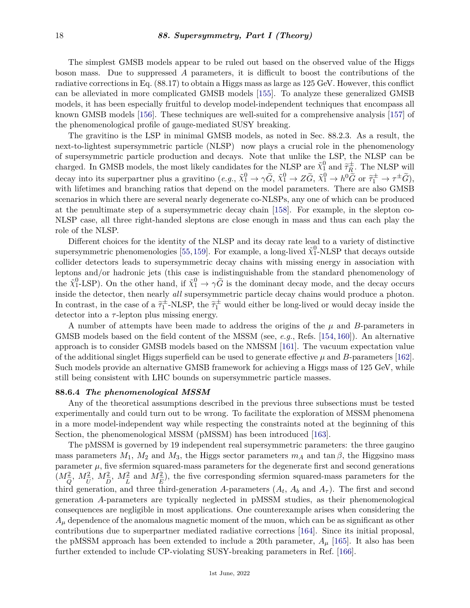The simplest GMSB models appear to be ruled out based on the observed value of the Higgs boson mass. Due to suppressed *A* parameters, it is difficult to boost the contributions of the radiative corrections in Eq. (88.17) to obtain a Higgs mass as large as 125 GeV. However, this conflict can be alleviated in more complicated GMSB models [\[155\]](#page-32-20). To analyze these generalized GMSB models, it has been especially fruitful to develop model-independent techniques that encompass all known GMSB models [\[156\]](#page-32-21). These techniques are well-suited for a comprehensive analysis [\[157\]](#page-32-22) of the phenomenological profile of gauge-mediated SUSY breaking.

The gravitino is the LSP in minimal GMSB models, as noted in Sec. 88.2.3. As a result, the next-to-lightest supersymmetric particle (NLSP) now plays a crucial role in the phenomenology of supersymmetric particle production and decays. Note that unlike the LSP, the NLSP can be charged. In GMSB models, the most likely candidates for the NLSP are  $\tilde{\chi}^0_1$  and  $\tilde{\tau}^{\pm}_R$ . The NLSP will decay into its superpartner plus a gravitino  $(e.g., \tilde{\chi}_1^0 \to \gamma \tilde{G}, \tilde{\chi}_1^0 \to Z \tilde{G}, \tilde{\chi}_1^0 \to h^0 \tilde{G}$  or  $\tilde{\tau}_1^{\pm} \to \tau^{\pm} \tilde{G}$ ), with lifetimes and branching ratios that depend on the model parameters. There are also GMSB scenarios in which there are several nearly degenerate co-NLSPs, any one of which can be produced at the penultimate step of a supersymmetric decay chain [\[158\]](#page-32-23). For example, in the slepton co-NLSP case, all three right-handed sleptons are close enough in mass and thus can each play the role of the NLSP.

Different choices for the identity of the NLSP and its decay rate lead to a variety of distinctive supersymmetric phenomenologies [\[55,](#page-28-8)[159\]](#page-33-0). For example, a long-lived  $\tilde{\chi}^0_1$ -NLSP that decays outside collider detectors leads to supersymmetric decay chains with missing energy in association with leptons and/or hadronic jets (this case is indistinguishable from the standard phenomenology of the  $\tilde{\chi}_1^0$ -LSP). On the other hand, if  $\tilde{\chi}_1^0 \to \gamma \tilde{G}$  is the dominant decay mode, and the decay occurs inside the detector, then nearly *all* supersymmetric particle decay chains would produce a photon. In contrast, in the case of a  $\tilde{\tau}_1^{\pm}$ -NLSP, the  $\tilde{\tau}_1^{\pm}$  would either be long-lived or would decay inside the detector into a *τ* -lepton plus missing energy.

A number of attempts have been made to address the origins of the *µ* and *B*-parameters in GMSB models based on the field content of the MSSM (see, *e.g.*, Refs. [\[154,](#page-32-19) [160\]](#page-33-1)). An alternative approach is to consider GMSB models based on the NMSSM [\[161\]](#page-33-2). The vacuum expectation value of the additional singlet Higgs superfield can be used to generate effective  $\mu$  and  $B$ -parameters [\[162\]](#page-33-3). Such models provide an alternative GMSB framework for achieving a Higgs mass of 125 GeV, while still being consistent with LHC bounds on supersymmetric particle masses.

#### <span id="page-17-0"></span>**88.6.4** *The phenomenological MSSM*

Any of the theoretical assumptions described in the previous three subsections must be tested experimentally and could turn out to be wrong. To facilitate the exploration of MSSM phenomena in a more model-independent way while respecting the constraints noted at the beginning of this Section, the phenomenological MSSM (pMSSM) has been introduced [\[163\]](#page-33-4).

The pMSSM is governed by 19 independent real supersymmetric parameters: the three gaugino mass parameters  $M_1$ ,  $M_2$  and  $M_3$ , the Higgs sector parameters  $m_A$  and tan  $\beta$ , the Higgsino mass parameter  $\mu$ , five sfermion squared-mass parameters for the degenerate first and second generations  $(M_{\tilde{c}}^2, M_{\tilde{r}}^2, M_{\tilde{r}}^2, M_{\tilde{r}}^2)$  and  $M_{\tilde{r}}^2$ ), the five corresponding sfermion squared-mass parameters for the third generation, and three third-generation *A*-parameters  $(A_t, A_b \text{ and } A_\tau)$ . The first and second generation *A*-parameters are typically neglected in pMSSM studies, as their phenomenological consequences are negligible in most applications. One counterexample arises when considering the  $A_\mu$  dependence of the anomalous magnetic moment of the muon, which can be as significant as other contributions due to superpartner mediated radiative corrections [\[164\]](#page-33-5). Since its initial proposal, the pMSSM approach has been extended to include a 20th parameter, *A<sup>µ</sup>* [\[165\]](#page-33-6). It also has been further extended to include CP-violating SUSY-breaking parameters in Ref. [\[166\]](#page-33-7).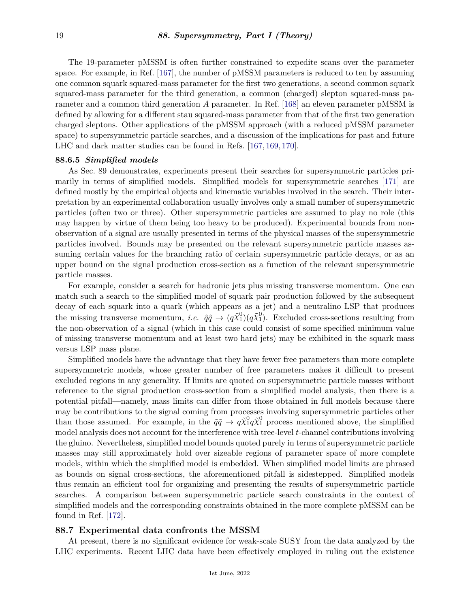The 19-parameter pMSSM is often further constrained to expedite scans over the parameter space. For example, in Ref. [\[167\]](#page-33-8), the number of pMSSM parameters is reduced to ten by assuming one common squark squared-mass parameter for the first two generations, a second common squark squared-mass parameter for the third generation, a common (charged) slepton squared-mass parameter and a common third generation *A* parameter. In Ref. [\[168\]](#page-33-9) an eleven parameter pMSSM is defined by allowing for a different stau squared-mass parameter from that of the first two generation charged sleptons. Other applications of the pMSSM approach (with a reduced pMSSM parameter space) to supersymmetric particle searches, and a discussion of the implications for past and future LHC and dark matter studies can be found in Refs. [\[167,](#page-33-8) [169,](#page-33-10) [170\]](#page-33-11).

#### <span id="page-18-0"></span>**88.6.5** *Simplified models*

As Sec. 89 demonstrates, experiments present their searches for supersymmetric particles primarily in terms of simplified models. Simplified models for supersymmetric searches [\[171\]](#page-33-12) are defined mostly by the empirical objects and kinematic variables involved in the search. Their interpretation by an experimental collaboration usually involves only a small number of supersymmetric particles (often two or three). Other supersymmetric particles are assumed to play no role (this may happen by virtue of them being too heavy to be produced). Experimental bounds from nonobservation of a signal are usually presented in terms of the physical masses of the supersymmetric particles involved. Bounds may be presented on the relevant supersymmetric particle masses assuming certain values for the branching ratio of certain supersymmetric particle decays, or as an upper bound on the signal production cross-section as a function of the relevant supersymmetric particle masses.

For example, consider a search for hadronic jets plus missing transverse momentum. One can match such a search to the simplified model of squark pair production followed by the subsequent decay of each squark into a quark (which appears as a jet) and a neutralino LSP that produces the missing transverse momentum, *i.e.*  $\tilde{q}\tilde{q} \to (q\tilde{\chi}^0_1)(q\tilde{\chi}^0_1)$ . Excluded cross-sections resulting from the non-observation of a signal (which in this case could consist of some specified minimum value of missing transverse momentum and at least two hard jets) may be exhibited in the squark mass versus LSP mass plane.

Simplified models have the advantage that they have fewer free parameters than more complete supersymmetric models, whose greater number of free parameters makes it difficult to present excluded regions in any generality. If limits are quoted on supersymmetric particle masses without reference to the signal production cross-section from a simplified model analysis, then there is a potential pitfall—namely, mass limits can differ from those obtained in full models because there may be contributions to the signal coming from processes involving supersymmetric particles other than those assumed. For example, in the  $\tilde{q}\tilde{q} \to q\tilde{\chi}^0_1 q\tilde{\chi}^0_1$  process mentioned above, the simplified model analysis does not account for the interference with tree-level *t*-channel contributions involving the gluino. Nevertheless, simplified model bounds quoted purely in terms of supersymmetric particle masses may still approximately hold over sizeable regions of parameter space of more complete models, within which the simplified model is embedded. When simplified model limits are phrased as bounds on signal cross-sections, the aforementioned pitfall is sidestepped. Simplified models thus remain an efficient tool for organizing and presenting the results of supersymmetric particle searches. A comparison between supersymmetric particle search constraints in the context of simplified models and the corresponding constraints obtained in the more complete pMSSM can be found in Ref. [\[172\]](#page-33-13).

#### <span id="page-18-1"></span>**88.7 Experimental data confronts the MSSM**

At present, there is no significant evidence for weak-scale SUSY from the data analyzed by the LHC experiments. Recent LHC data have been effectively employed in ruling out the existence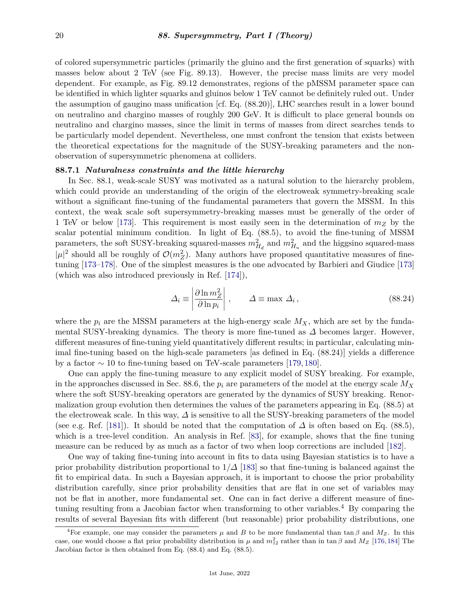of colored supersymmetric particles (primarily the gluino and the first generation of squarks) with masses below about 2 TeV (see Fig. 89.13). However, the precise mass limits are very model dependent. For example, as Fig. 89.12 demonstrates, regions of the pMSSM parameter space can be identified in which lighter squarks and gluinos below 1 TeV cannot be definitely ruled out. Under the assumption of gaugino mass unification [cf. Eq. (88.20)], LHC searches result in a lower bound on neutralino and chargino masses of roughly 200 GeV. It is difficult to place general bounds on neutralino and chargino masses, since the limit in terms of masses from direct searches tends to be particularly model dependent. Nevertheless, one must confront the tension that exists between the theoretical expectations for the magnitude of the SUSY-breaking parameters and the nonobservation of supersymmetric phenomena at colliders.

#### <span id="page-19-0"></span>**88.7.1** *Naturalness constraints and the little hierarchy*

In Sec. 88.1, weak-scale SUSY was motivated as a natural solution to the hierarchy problem, which could provide an understanding of the origin of the electroweak symmetry-breaking scale without a significant fine-tuning of the fundamental parameters that govern the MSSM. In this context, the weak scale soft supersymmetry-breaking masses must be generally of the order of 1 TeV or below [\[173\]](#page-33-14). This requirement is most easily seen in the determination of *m<sup>Z</sup>* by the scalar potential minimum condition. In light of Eq. (88.5), to avoid the fine-tuning of MSSM parameters, the soft SUSY-breaking squared-masses  $m_{H_d}^2$  and  $m_{H_u}^2$  and the higgsino squared-mass  $|\mu|^2$  should all be roughly of  $\mathcal{O}(m_Z^2)$ . Many authors have proposed quantitative measures of finetuning [\[173–](#page-33-14)[178\]](#page-33-15). One of the simplest measures is the one advocated by Barbieri and Giudice [\[173\]](#page-33-14) (which was also introduced previously in Ref. [\[174\]](#page-33-16)),

$$
\Delta_i \equiv \left| \frac{\partial \ln m_Z^2}{\partial \ln p_i} \right|, \qquad \Delta \equiv \max \Delta_i, \qquad (88.24)
$$

where the  $p_i$  are the MSSM parameters at the high-energy scale  $M_X$ , which are set by the fundamental SUSY-breaking dynamics. The theory is more fine-tuned as *∆* becomes larger. However, different measures of fine-tuning yield quantitatively different results; in particular, calculating minimal fine-tuning based on the high-scale parameters [as defined in Eq. (88.24)] yields a difference by a factor  $\sim 10$  to fine-tuning based on TeV-scale parameters [\[179,](#page-33-17) [180\]](#page-33-18).

One can apply the fine-tuning measure to any explicit model of SUSY breaking. For example, in the approaches discussed in Sec. 88.6, the  $p_i$  are parameters of the model at the energy scale  $M_X$ where the soft SUSY-breaking operators are generated by the dynamics of SUSY breaking. Renormalization group evolution then determines the values of the parameters appearing in Eq. (88.5) at the electroweak scale. In this way, *∆* is sensitive to all the SUSY-breaking parameters of the model (see e.g. Ref. [\[181\]](#page-33-19)). It should be noted that the computation of *∆* is often based on Eq. (88.5), which is a tree-level condition. An analysis in Ref. [\[83\]](#page-29-19), for example, shows that the fine tuning measure can be reduced by as much as a factor of two when loop corrections are included [\[182\]](#page-34-0).

One way of taking fine-tuning into account in fits to data using Bayesian statistics is to have a prior probability distribution proportional to  $1/\Delta$  [\[183\]](#page-34-1) so that fine-tuning is balanced against the fit to empirical data. In such a Bayesian approach, it is important to choose the prior probability distribution carefully, since prior probability densities that are flat in one set of variables may not be flat in another, more fundamental set. One can in fact derive a different measure of fine-tuning resulting from a Jacobian factor when transforming to other variables.<sup>[4](#page-19-1)</sup> By comparing the results of several Bayesian fits with different (but reasonable) prior probability distributions, one

<span id="page-19-1"></span><sup>&</sup>lt;sup>4</sup>For example, one may consider the parameters  $\mu$  and  $B$  to be more fundamental than tan  $\beta$  and  $M_Z$ . In this case, one would choose a flat prior probability distribution in  $\mu$  and  $m_{12}^2$  rather than in tan  $\beta$  and  $M_Z$  [\[176,](#page-33-20)[184\]](#page-34-2) The Jacobian factor is then obtained from Eq. (88.4) and Eq. (88.5).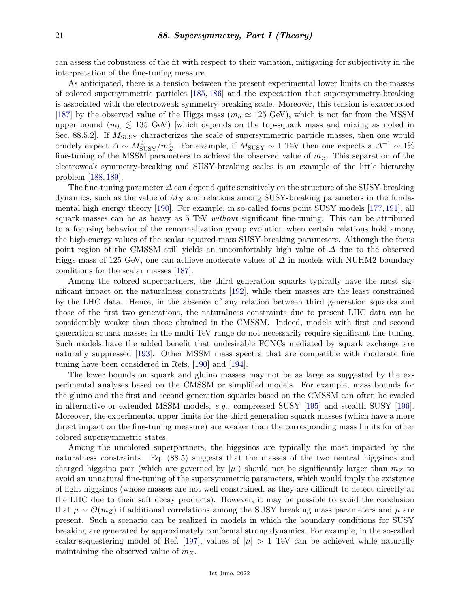can assess the robustness of the fit with respect to their variation, mitigating for subjectivity in the interpretation of the fine-tuning measure.

As anticipated, there is a tension between the present experimental lower limits on the masses of colored supersymmetric particles [\[185,](#page-34-3) [186\]](#page-34-4) and the expectation that supersymmetry-breaking is associated with the electroweak symmetry-breaking scale. Moreover, this tension is exacerbated [\[187\]](#page-34-5) by the observed value of the Higgs mass  $(m_h \approx 125 \text{ GeV})$ , which is not far from the MSSM upper bound  $(m_h \leq 135 \text{ GeV})$  [which depends on the top-squark mass and mixing as noted in Sec. 88.5.2]. If  $M_{\text{SUSY}}$  characterizes the scale of supersymmetric particle masses, then one would crudely expect  $\Delta \sim M_{\text{SUSY}}^2/m_Z^2$ . For example, if  $M_{\text{SUSY}} \sim 1$  TeV then one expects a  $\Delta^{-1} \sim 1\%$ fine-tuning of the MSSM parameters to achieve the observed value of *mZ*. This separation of the electroweak symmetry-breaking and SUSY-breaking scales is an example of the little hierarchy problem [\[188,](#page-34-6) [189\]](#page-34-7).

The fine-tuning parameter *∆* can depend quite sensitively on the structure of the SUSY-breaking dynamics, such as the value of *M<sup>X</sup>* and relations among SUSY-breaking parameters in the fundamental high energy theory [\[190\]](#page-34-8). For example, in so-called focus point SUSY models [\[177,](#page-33-21) [191\]](#page-34-9), all squark masses can be as heavy as 5 TeV *without* significant fine-tuning. This can be attributed to a focusing behavior of the renormalization group evolution when certain relations hold among the high-energy values of the scalar squared-mass SUSY-breaking parameters. Although the focus point region of the CMSSM still yields an uncomfortably high value of *∆* due to the observed Higgs mass of 125 GeV, one can achieve moderate values of *∆* in models with NUHM2 boundary conditions for the scalar masses [\[187\]](#page-34-5).

Among the colored superpartners, the third generation squarks typically have the most significant impact on the naturalness constraints [\[192\]](#page-34-10), while their masses are the least constrained by the LHC data. Hence, in the absence of any relation between third generation squarks and those of the first two generations, the naturalness constraints due to present LHC data can be considerably weaker than those obtained in the CMSSM. Indeed, models with first and second generation squark masses in the multi-TeV range do not necessarily require significant fine tuning. Such models have the added benefit that undesirable FCNCs mediated by squark exchange are naturally suppressed [\[193\]](#page-34-11). Other MSSM mass spectra that are compatible with moderate fine tuning have been considered in Refs. [\[190\]](#page-34-8) and [\[194\]](#page-34-12).

The lower bounds on squark and gluino masses may not be as large as suggested by the experimental analyses based on the CMSSM or simplified models. For example, mass bounds for the gluino and the first and second generation squarks based on the CMSSM can often be evaded in alternative or extended MSSM models, *e.g.*, compressed SUSY [\[195\]](#page-34-13) and stealth SUSY [\[196\]](#page-34-14). Moreover, the experimental upper limits for the third generation squark masses (which have a more direct impact on the fine-tuning measure) are weaker than the corresponding mass limits for other colored supersymmetric states.

Among the uncolored superpartners, the higgsinos are typically the most impacted by the naturalness constraints. Eq. (88.5) suggests that the masses of the two neutral higgsinos and charged higgsino pair (which are governed by  $|\mu|$ ) should not be significantly larger than  $m_Z$  to avoid an unnatural fine-tuning of the supersymmetric parameters, which would imply the existence of light higgsinos (whose masses are not well constrained, as they are difficult to detect directly at the LHC due to their soft decay products). However, it may be possible to avoid the conclusion that  $\mu \sim \mathcal{O}(m_Z)$  if additional correlations among the SUSY breaking mass parameters and  $\mu$  are present. Such a scenario can be realized in models in which the boundary conditions for SUSY breaking are generated by approximately conformal strong dynamics. For example, in the so-called scalar-sequestering model of Ref. [\[197\]](#page-34-15), values of  $|\mu| > 1$  TeV can be achieved while naturally maintaining the observed value of *mZ*.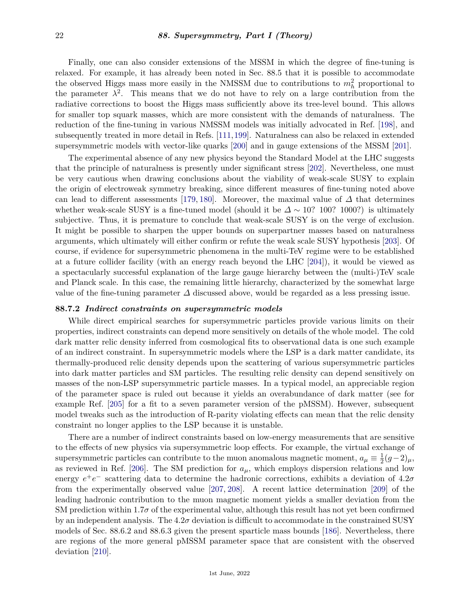Finally, one can also consider extensions of the MSSM in which the degree of fine-tuning is relaxed. For example, it has already been noted in Sec. 88.5 that it is possible to accommodate the observed Higgs mass more easily in the NMSSM due to contributions to  $m_h^2$  proportional to the parameter  $\lambda^2$ . This means that we do not have to rely on a large contribution from the radiative corrections to boost the Higgs mass sufficiently above its tree-level bound. This allows for smaller top squark masses, which are more consistent with the demands of naturalness. The reduction of the fine-tuning in various NMSSM models was initially advocated in Ref. [\[198\]](#page-34-16), and subsequently treated in more detail in Refs. [\[111,](#page-30-25)[199\]](#page-34-17). Naturalness can also be relaxed in extended supersymmetric models with vector-like quarks [\[200\]](#page-34-18) and in gauge extensions of the MSSM [\[201\]](#page-34-19).

The experimental absence of any new physics beyond the Standard Model at the LHC suggests that the principle of naturalness is presently under significant stress [\[202\]](#page-34-20). Nevertheless, one must be very cautious when drawing conclusions about the viability of weak-scale SUSY to explain the origin of electroweak symmetry breaking, since different measures of fine-tuning noted above can lead to different assessments [\[179,](#page-33-17) [180\]](#page-33-18). Moreover, the maximal value of  $\Delta$  that determines whether weak-scale SUSY is a fine-tuned model (should it be  $\Delta \sim 10$ ? 1000?) is ultimately subjective. Thus, it is premature to conclude that weak-scale SUSY is on the verge of exclusion. It might be possible to sharpen the upper bounds on superpartner masses based on naturalness arguments, which ultimately will either confirm or refute the weak scale SUSY hypothesis [\[203\]](#page-34-21). Of course, if evidence for supersymmetric phenomena in the multi-TeV regime were to be established at a future collider facility (with an energy reach beyond the LHC [\[204\]](#page-35-0)), it would be viewed as a spectacularly successful explanation of the large gauge hierarchy between the (multi-)TeV scale and Planck scale. In this case, the remaining little hierarchy, characterized by the somewhat large value of the fine-tuning parameter *∆* discussed above, would be regarded as a less pressing issue.

#### <span id="page-21-0"></span>**88.7.2** *Indirect constraints on supersymmetric models*

While direct empirical searches for supersymmetric particles provide various limits on their properties, indirect constraints can depend more sensitively on details of the whole model. The cold dark matter relic density inferred from cosmological fits to observational data is one such example of an indirect constraint. In supersymmetric models where the LSP is a dark matter candidate, its thermally-produced relic density depends upon the scattering of various supersymmetric particles into dark matter particles and SM particles. The resulting relic density can depend sensitively on masses of the non-LSP supersymmetric particle masses. In a typical model, an appreciable region of the parameter space is ruled out because it yields an overabundance of dark matter (see for example Ref. [\[205\]](#page-35-1) for a fit to a seven parameter version of the pMSSM). However, subsequent model tweaks such as the introduction of R-parity violating effects can mean that the relic density constraint no longer applies to the LSP because it is unstable.

There are a number of indirect constraints based on low-energy measurements that are sensitive to the effects of new physics via supersymmetric loop effects. For example, the virtual exchange of supersymmetric particles can contribute to the muon anomalous magnetic moment,  $a_{\mu} \equiv \frac{1}{2}$  $rac{1}{2}(g-2)_{\mu}$ , as reviewed in Ref. [\[206\]](#page-35-2). The SM prediction for  $a_{\mu}$ , which employs dispersion relations and low energy *e* +*e* <sup>−</sup> scattering data to determine the hadronic corrections, exhibits a deviation of 4.2*σ* from the experimentally observed value [\[207,](#page-35-3) [208\]](#page-35-4). A recent lattice determination [\[209\]](#page-35-5) of the leading hadronic contribution to the muon magnetic moment yields a smaller deviation from the SM prediction within 1.7 $\sigma$  of the experimental value, although this result has not yet been confirmed by an independent analysis. The 4.2*σ* deviation is difficult to accommodate in the constrained SUSY models of Sec. 88.6.2 and 88.6.3 given the present sparticle mass bounds [\[186\]](#page-34-4). Nevertheless, there are regions of the more general pMSSM parameter space that are consistent with the observed deviation [\[210\]](#page-35-6).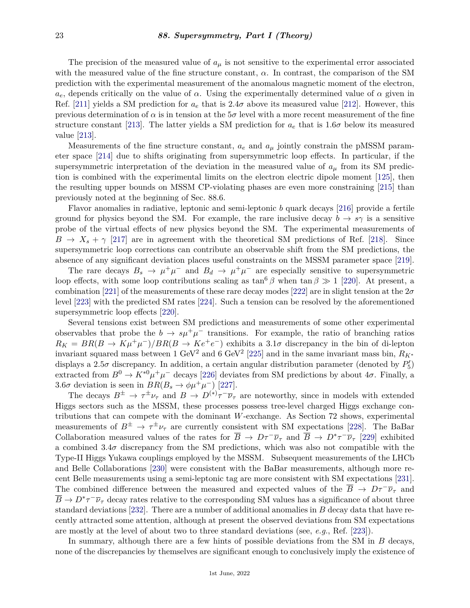The precision of the measured value of  $a<sub>\mu</sub>$  is not sensitive to the experimental error associated with the measured value of the fine structure constant, *α*. In contrast, the comparison of the SM prediction with the experimental measurement of the anomalous magnetic moment of the electron,  $a_e$ , depends critically on the value of *α*. Using the experimentally determined value of *α* given in Ref. [\[211\]](#page-35-7) yields a SM prediction for  $a_e$  that is 2.4 $\sigma$  above its measured value [\[212\]](#page-35-8). However, this previous determination of  $\alpha$  is in tension at the  $5\sigma$  level with a more recent measurement of the fine structure constant [\[213\]](#page-35-9). The latter yields a SM prediction for  $a_e$  that is 1.6 $\sigma$  below its measured value [\[213\]](#page-35-9).

Measurements of the fine structure constant, *a<sup>e</sup>* and *a<sup>µ</sup>* jointly constrain the pMSSM parameter space [\[214\]](#page-35-10) due to shifts originating from supersymmetric loop effects. In particular, if the supersymmetric interpretation of the deviation in the measured value of  $a_{\mu}$  from its SM prediction is combined with the experimental limits on the electron electric dipole moment [\[125\]](#page-31-12), then the resulting upper bounds on MSSM CP-violating phases are even more constraining [\[215\]](#page-35-11) than previously noted at the beginning of Sec. 88.6.

Flavor anomalies in radiative, leptonic and semi-leptonic *b* quark decays [\[216\]](#page-35-12) provide a fertile ground for physics beyond the SM. For example, the rare inclusive decay  $b \to s\gamma$  is a sensitive probe of the virtual effects of new physics beyond the SM. The experimental measurements of  $B \to X_s + \gamma$  [\[217\]](#page-35-13) are in agreement with the theoretical SM predictions of Ref. [\[218\]](#page-35-14). Since supersymmetric loop corrections can contribute an observable shift from the SM predictions, the absence of any significant deviation places useful constraints on the MSSM parameter space [\[219\]](#page-35-15).

The rare decays  $B_s \to \mu^+\mu^-$  and  $B_d \to \mu^+\mu^-$  are especially sensitive to supersymmetric loop effects, with some loop contributions scaling as  $\tan^6 \beta$  when  $\tan \beta \gg 1$  [\[220\]](#page-35-16). At present, a combination [\[221\]](#page-35-17) of the measurements of these rare decay modes [\[222\]](#page-35-18) are in slight tension at the 2*σ* level [\[223\]](#page-36-0) with the predicted SM rates [\[224\]](#page-36-1). Such a tension can be resolved by the aforementioned supersymmetric loop effects [\[220\]](#page-35-16).

Several tensions exist between SM predictions and measurements of some other experimental observables that probe the  $b \to s\mu^+\mu^-$  transitions. For example, the ratio of branching ratios  $R_K = BR(B \to K\mu^+\mu^-)/BR(B \to Ke^+e^-)$  exhibits a 3.1*σ* discrepancy in the bin of di-lepton invariant squared mass between 1 GeV<sup>2</sup> and 6 GeV<sup>2</sup> [\[225\]](#page-36-2) and in the same invariant mass bin,  $R_{K^*}$ displays a 2.5 $\sigma$  discrepancy. In addition, a certain angular distribution parameter (denoted by  $P_5'$ ) extracted from  $B^0 \to K^{*0} \mu^+ \mu^-$  decays [\[226\]](#page-36-3) deviates from SM predictions by about  $4\sigma$ . Finally, a 3.6 $\sigma$  deviation is seen in  $BR(B_s \to \phi \mu^+ \mu^-)$  [\[227\]](#page-36-4).

The decays  $B^{\pm} \to \tau^{\pm} \nu_{\tau}$  and  $B \to D^{(*)} \tau^- \overline{\nu}_{\tau}$  are noteworthy, since in models with extended Higgs sectors such as the MSSM, these processes possess tree-level charged Higgs exchange contributions that can compete with the dominant *W*-exchange. As Section 72 shows, experimental measurements of  $B^{\pm} \to \tau^{\pm} \nu_{\tau}$  are currently consistent with SM expectations [\[228\]](#page-36-5). The BaBar Collaboration measured values of the rates for  $\overline{B}$   $\to$   $D\tau^-\overline{\nu}_{\tau}$  and  $\overline{B}$   $\to$   $D^*\tau^-\overline{\nu}_{\tau}$  [\[229\]](#page-36-6) exhibited a combined  $3.4\sigma$  discrepancy from the SM predictions, which was also not compatible with the Type-II Higgs Yukawa couplings employed by the MSSM. Subsequent measurements of the LHCb and Belle Collaborations [\[230\]](#page-36-7) were consistent with the BaBar measurements, although more recent Belle measurements using a semi-leptonic tag are more consistent with SM expectations [\[231\]](#page-36-8). The combined difference between the measured and expected values of the  $\overline{B}$   $\rightarrow$   $D\tau^-\overline{\nu}_{\tau}$  and  $\overline{B} \to D^* \tau^- \overline{\nu}_{\tau}$  decay rates relative to the corresponding SM values has a significance of about three standard deviations [\[232\]](#page-36-9). There are a number of additional anomalies in *B* decay data that have recently attracted some attention, although at present the observed deviations from SM expectations are mostly at the level of about two to three standard deviations (see, *e.g.*, Ref. [\[223\]](#page-36-0)).

In summary, although there are a few hints of possible deviations from the SM in *B* decays, none of the discrepancies by themselves are significant enough to conclusively imply the existence of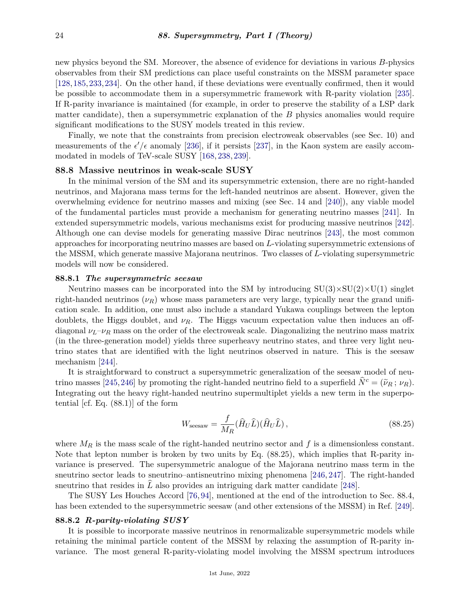new physics beyond the SM. Moreover, the absence of evidence for deviations in various *B*-physics observables from their SM predictions can place useful constraints on the MSSM parameter space [\[128,](#page-31-14)[185,](#page-34-3)[233,](#page-36-10)[234\]](#page-36-11). On the other hand, if these deviations were eventually confirmed, then it would be possible to accommodate them in a supersymmetric framework with R-parity violation [\[235\]](#page-36-12). If R-parity invariance is maintained (for example, in order to preserve the stability of a LSP dark matter candidate), then a supersymmetric explanation of the *B* physics anomalies would require significant modifications to the SUSY models treated in this review.

Finally, we note that the constraints from precision electroweak observables (see Sec. 10) and measurements of the  $\epsilon'/\epsilon$  anomaly [\[236\]](#page-36-13), if it persists [\[237\]](#page-36-14), in the Kaon system are easily accommodated in models of TeV-scale SUSY [\[168,](#page-33-9) [238,](#page-36-15) [239\]](#page-36-16).

#### <span id="page-23-0"></span>**88.8 Massive neutrinos in weak-scale SUSY**

In the minimal version of the SM and its supersymmetric extension, there are no right-handed neutrinos, and Majorana mass terms for the left-handed neutrinos are absent. However, given the overwhelming evidence for neutrino masses and mixing (see Sec. 14 and [\[240\]](#page-36-17)), any viable model of the fundamental particles must provide a mechanism for generating neutrino masses [\[241\]](#page-36-18). In extended supersymmetric models, various mechanisms exist for producing massive neutrinos [\[242\]](#page-36-19). Although one can devise models for generating massive Dirac neutrinos [\[243\]](#page-36-20), the most common approaches for incorporating neutrino masses are based on *L*-violating supersymmetric extensions of the MSSM, which generate massive Majorana neutrinos. Two classes of *L*-violating supersymmetric models will now be considered.

#### <span id="page-23-1"></span>**88.8.1** *The supersymmetric seesaw*

Neutrino masses can be incorporated into the SM by introducing  $SU(3)\times SU(2)\times U(1)$  singlet right-handed neutrinos  $(\nu_R)$  whose mass parameters are very large, typically near the grand unification scale. In addition, one must also include a standard Yukawa couplings between the lepton doublets, the Higgs doublet, and *νR*. The Higgs vacuum expectation value then induces an offdiagonal  $\nu_L-\nu_R$  mass on the order of the electroweak scale. Diagonalizing the neutrino mass matrix (in the three-generation model) yields three superheavy neutrino states, and three very light neutrino states that are identified with the light neutrinos observed in nature. This is the seesaw mechanism [\[244\]](#page-37-0).

It is straightforward to construct a supersymmetric generalization of the seesaw model of neu-trino masses [\[245,](#page-37-1)[246\]](#page-37-2) by promoting the right-handed neutrino field to a superfield  $\dot{N}^c = (\tilde{\nu}_R; \nu_R)$ . Integrating out the heavy right-handed neutrino supermultiplet yields a new term in the superpotential [cf. Eq. (88.1)] of the form

$$
W_{\text{seesaw}} = \frac{f}{M_R} (\hat{H}_U \hat{L}) (\hat{H}_U \hat{L}), \qquad (88.25)
$$

where *M<sup>R</sup>* is the mass scale of the right-handed neutrino sector and *f* is a dimensionless constant. Note that lepton number is broken by two units by Eq. (88.25), which implies that R-parity invariance is preserved. The supersymmetric analogue of the Majorana neutrino mass term in the sneutrino sector leads to sneutrino–antisneutrino mixing phenomena [\[246,](#page-37-2) [247\]](#page-37-3). The right-handed sneutrino that resides in *L* also provides an intriguing dark matter candidate [\[248\]](#page-37-4).

The SUSY Les Houches Accord [\[76,](#page-29-13) [94\]](#page-30-8), mentioned at the end of the introduction to Sec. 88.4, has been extended to the supersymmetric seesaw (and other extensions of the MSSM) in Ref. [\[249\]](#page-37-5).

#### <span id="page-23-2"></span>**88.8.2** *R-parity-violating SUSY*

It is possible to incorporate massive neutrinos in renormalizable supersymmetric models while retaining the minimal particle content of the MSSM by relaxing the assumption of R-parity invariance. The most general R-parity-violating model involving the MSSM spectrum introduces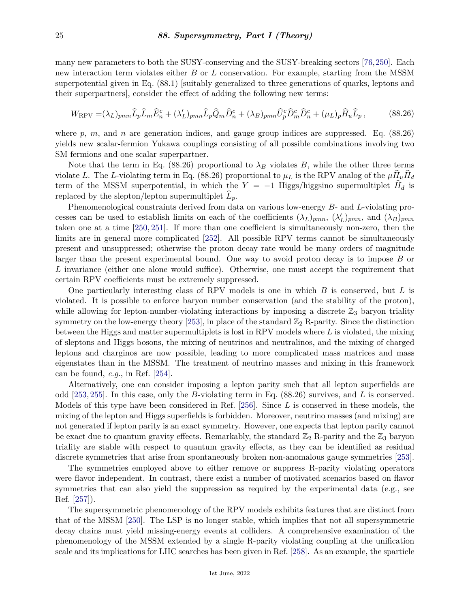many new parameters to both the SUSY-conserving and the SUSY-breaking sectors [\[76,](#page-29-13)[250\]](#page-37-6). Each new interaction term violates either *B* or *L* conservation. For example, starting from the MSSM superpotential given in Eq. (88.1) [suitably generalized to three generations of quarks, leptons and their superpartners], consider the effect of adding the following new terms:

$$
W_{\rm RPV} = (\lambda_L)_{pmn} \hat{L}_p \hat{L}_m \hat{E}_n^c + (\lambda_L')_{pmn} \hat{L}_p \hat{Q}_m \hat{D}_n^c + (\lambda_B)_{pmn} \hat{U}_p^c \hat{D}_m^c \hat{D}_n^c + (\mu_L)_p \hat{H}_u \hat{L}_p, \qquad (88.26)
$$

where *p*, *m*, and *n* are generation indices, and gauge group indices are suppressed. Eq. (88.26) yields new scalar-fermion Yukawa couplings consisting of all possible combinations involving two SM fermions and one scalar superpartner.

Note that the term in Eq. (88.26) proportional to  $\lambda_B$  violates *B*, while the other three terms violate *L*. The *L*-violating term in Eq. (88.26) proportional to  $\mu_L$  is the RPV analog of the  $\mu H_u H_d$ term of the MSSM superpotential, in which the  $Y = -1$  Higgs/higgsino supermultiplet  $H_d$  is replaced by the slepton/lepton supermultiplet  $L_p$ .

Phenomenological constraints derived from data on various low-energy *B*- and *L*-violating processes can be used to establish limits on each of the coefficients  $(\lambda_L)_{pmn}$ ,  $(\lambda_L')_{pmn}$ , and  $(\lambda_B)_{pmn}$ taken one at a time [\[250,](#page-37-6) [251\]](#page-37-7). If more than one coefficient is simultaneously non-zero, then the limits are in general more complicated [\[252\]](#page-37-8). All possible RPV terms cannot be simultaneously present and unsuppressed; otherwise the proton decay rate would be many orders of magnitude larger than the present experimental bound. One way to avoid proton decay is to impose *B* or *L* invariance (either one alone would suffice). Otherwise, one must accept the requirement that certain RPV coefficients must be extremely suppressed.

One particularly interesting class of RPV models is one in which *B* is conserved, but *L* is violated. It is possible to enforce baryon number conservation (and the stability of the proton), while allowing for lepton-number-violating interactions by imposing a discrete  $\mathbb{Z}_3$  baryon triality symmetry on the low-energy theory [\[253\]](#page-37-9), in place of the standard  $\mathbb{Z}_2$  R-parity. Since the distinction between the Higgs and matter supermultiplets is lost in RPV models where *L* is violated, the mixing of sleptons and Higgs bosons, the mixing of neutrinos and neutralinos, and the mixing of charged leptons and charginos are now possible, leading to more complicated mass matrices and mass eigenstates than in the MSSM. The treatment of neutrino masses and mixing in this framework can be found, *e.g.*, in Ref. [\[254\]](#page-37-10).

Alternatively, one can consider imposing a lepton parity such that all lepton superfields are odd [\[253,](#page-37-9) [255\]](#page-37-11). In this case, only the *B*-violating term in Eq. (88.26) survives, and *L* is conserved. Models of this type have been considered in Ref. [\[256\]](#page-37-12). Since *L* is conserved in these models, the mixing of the lepton and Higgs superfields is forbidden. Moreover, neutrino masses (and mixing) are not generated if lepton parity is an exact symmetry. However, one expects that lepton parity cannot be exact due to quantum gravity effects. Remarkably, the standard  $\mathbb{Z}_2$  R-parity and the  $\mathbb{Z}_3$  baryon triality are stable with respect to quantum gravity effects, as they can be identified as residual discrete symmetries that arise from spontaneously broken non-anomalous gauge symmetries [\[253\]](#page-37-9).

The symmetries employed above to either remove or suppress R-parity violating operators were flavor independent. In contrast, there exist a number of motivated scenarios based on flavor symmetries that can also yield the suppression as required by the experimental data (e.g., see Ref. [\[257\]](#page-37-13)).

The supersymmetric phenomenology of the RPV models exhibits features that are distinct from that of the MSSM [\[250\]](#page-37-6). The LSP is no longer stable, which implies that not all supersymmetric decay chains must yield missing-energy events at colliders. A comprehensive examination of the phenomenology of the MSSM extended by a single R-parity violating coupling at the unification scale and its implications for LHC searches has been given in Ref. [\[258\]](#page-37-14). As an example, the sparticle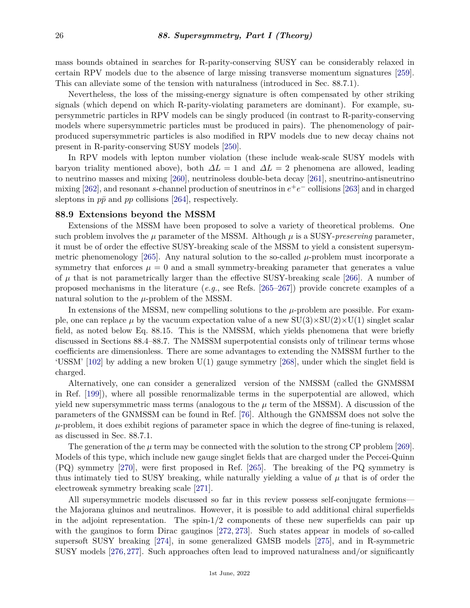mass bounds obtained in searches for R-parity-conserving SUSY can be considerably relaxed in certain RPV models due to the absence of large missing transverse momentum signatures [\[259\]](#page-37-15). This can alleviate some of the tension with naturalness (introduced in Sec. 88.7.1).

Nevertheless, the loss of the missing-energy signature is often compensated by other striking signals (which depend on which R-parity-violating parameters are dominant). For example, supersymmetric particles in RPV models can be singly produced (in contrast to R-parity-conserving models where supersymmetric particles must be produced in pairs). The phenomenology of pairproduced supersymmetric particles is also modified in RPV models due to new decay chains not present in R-parity-conserving SUSY models [\[250\]](#page-37-6).

In RPV models with lepton number violation (these include weak-scale SUSY models with baryon triality mentioned above), both *∆L* = 1 and *∆L* = 2 phenomena are allowed, leading to neutrino masses and mixing [\[260\]](#page-37-16), neutrinoless double-beta decay [\[261\]](#page-38-0), sneutrino-antisneutrino mixing [\[262\]](#page-38-1), and resonant *s*-channel production of sneutrinos in  $e^+e^-$  collisions [\[263\]](#page-38-2) and in charged sleptons in  $p\bar{p}$  and  $pp$  collisions [\[264\]](#page-38-3), respectively.

# <span id="page-25-0"></span>**88.9 Extensions beyond the MSSM**

Extensions of the MSSM have been proposed to solve a variety of theoretical problems. One such problem involves the  $\mu$  parameter of the MSSM. Although  $\mu$  is a SUSY-*preserving* parameter, it must be of order the effective SUSY-breaking scale of the MSSM to yield a consistent supersymmetric phenomenology  $[265]$ . Any natural solution to the so-called  $\mu$ -problem must incorporate a symmetry that enforces  $\mu = 0$  and a small symmetry-breaking parameter that generates a value of  $\mu$  that is not parametrically larger than the effective SUSY-breaking scale [\[266\]](#page-38-5). A number of proposed mechanisms in the literature (*e.g.*, see Refs. [\[265–](#page-38-4)[267\]](#page-38-6)) provide concrete examples of a natural solution to the *µ*-problem of the MSSM.

In extensions of the MSSM, new compelling solutions to the  $\mu$ -problem are possible. For example, one can replace  $\mu$  by the vacuum expectation value of a new  $SU(3)\times SU(2)\times U(1)$  singlet scalar field, as noted below Eq. 88.15. This is the NMSSM, which yields phenomena that were briefly discussed in Sections 88.4–88.7. The NMSSM superpotential consists only of trilinear terms whose coefficients are dimensionless. There are some advantages to extending the NMSSM further to the 'USSM' [\[102\]](#page-30-16) by adding a new broken U(1) gauge symmetry [\[268\]](#page-38-7), under which the singlet field is charged.

Alternatively, one can consider a generalized version of the NMSSM (called the GNMSSM in Ref. [\[199\]](#page-34-17)), where all possible renormalizable terms in the superpotential are allowed, which yield new supersymmetric mass terms (analogous to the  $\mu$  term of the MSSM). A discussion of the parameters of the GNMSSM can be found in Ref. [\[76\]](#page-29-13). Although the GNMSSM does not solve the  $\mu$ -problem, it does exhibit regions of parameter space in which the degree of fine-tuning is relaxed, as discussed in Sec. 88.7.1.

The generation of the  $\mu$  term may be connected with the solution to the strong CP problem [\[269\]](#page-38-8). Models of this type, which include new gauge singlet fields that are charged under the Peccei-Quinn (PQ) symmetry [\[270\]](#page-38-9), were first proposed in Ref. [\[265\]](#page-38-4). The breaking of the PQ symmetry is thus intimately tied to SUSY breaking, while naturally yielding a value of  $\mu$  that is of order the electroweak symmetry breaking scale [\[271\]](#page-38-10).

All supersymmetric models discussed so far in this review possess self-conjugate fermions the Majorana gluinos and neutralinos. However, it is possible to add additional chiral superfields in the adjoint representation. The spin- $1/2$  components of these new superfields can pair up with the gauginos to form Dirac gauginos [\[272,](#page-38-11) [273\]](#page-38-12). Such states appear in models of so-called supersoft SUSY breaking [\[274\]](#page-38-13), in some generalized GMSB models [\[275\]](#page-38-14), and in R-symmetric SUSY models [\[276,](#page-38-15) [277\]](#page-38-16). Such approaches often lead to improved naturalness and/or significantly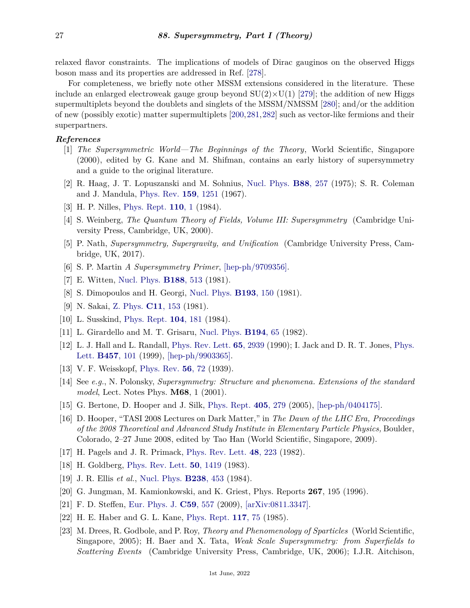relaxed flavor constraints. The implications of models of Dirac gauginos on the observed Higgs boson mass and its properties are addressed in Ref. [\[278\]](#page-38-17).

For completeness, we briefly note other MSSM extensions considered in the literature. These include an enlarged electroweak gauge group beyond  $SU(2) \times U(1)$  [\[279\]](#page-38-18); the addition of new Higgs supermultiplets beyond the doublets and singlets of the MSSM/NMSSM [\[280\]](#page-38-19); and/or the addition of new (possibly exotic) matter supermultiplets [\[200,](#page-34-18)[281,](#page-38-20)[282\]](#page-38-21) such as vector-like fermions and their superpartners.

## <span id="page-26-0"></span>*References*

- [1] *The Supersymmetric World—The Beginnings of the Theory*, World Scientific, Singapore (2000), edited by G. Kane and M. Shifman, contains an early history of supersymmetry and a guide to the original literature.
- <span id="page-26-1"></span>[2] R. Haag, J. T. Lopuszanski and M. Sohnius, [Nucl. Phys.](http://doi.org/10.1016/0550-3213(75)90279-5) **B88**[, 257](http://doi.org/10.1016/0550-3213(75)90279-5) (1975); S. R. Coleman and J. Mandula, [Phys. Rev.](http://doi.org/10.1103/PhysRev.159.1251) **159**[, 1251](http://doi.org/10.1103/PhysRev.159.1251) (1967).
- <span id="page-26-2"></span>[3] H. P. Nilles, [Phys. Rept.](http://doi.org/10.1016/0370-1573(84)90008-5) **[110](http://doi.org/10.1016/0370-1573(84)90008-5)**, 1 (1984).
- <span id="page-26-16"></span>[4] S. Weinberg, *The Quantum Theory of Fields, Volume III: Supersymmetry* (Cambridge University Press, Cambridge, UK, 2000).
- <span id="page-26-19"></span>[5] P. Nath, *Supersymmetry, Supergravity, and Unification* (Cambridge University Press, Cambridge, UK, 2017).
- <span id="page-26-3"></span>[6] S. P. Martin *A Supersymmetry Primer*, [\[hep-ph/9709356\].](https://arxiv.org/abs/hep-ph/9709356)
- <span id="page-26-4"></span>[7] E. Witten, [Nucl. Phys.](http://doi.org/10.1016/0550-3213(81)90006-7) **[B188](http://doi.org/10.1016/0550-3213(81)90006-7)**, 513 (1981).
- <span id="page-26-20"></span>[8] S. Dimopoulos and H. Georgi, [Nucl. Phys.](http://doi.org/10.1016/0550-3213(81)90522-8) **[B193](http://doi.org/10.1016/0550-3213(81)90522-8)**, 150 (1981).
- [9] N. Sakai, [Z. Phys.](http://doi.org/10.1007/BF01573998) **C11**[, 153](http://doi.org/10.1007/BF01573998) (1981).
- <span id="page-26-5"></span>[10] L. Susskind, [Phys. Rept.](http://doi.org/10.1016/0370-1573(84)90208-4) **104**[, 181](http://doi.org/10.1016/0370-1573(84)90208-4) (1984).
- <span id="page-26-6"></span>[11] L. Girardello and M. T. Grisaru, [Nucl. Phys.](http://doi.org/10.1016/0550-3213(82)90512-0) **[B194](http://doi.org/10.1016/0550-3213(82)90512-0)**, 65 (1982).
- <span id="page-26-7"></span>[12] L. J. Hall and L. Randall, [Phys. Rev. Lett.](http://doi.org/10.1103/PhysRevLett.65.2939) **65**[, 2939](http://doi.org/10.1103/PhysRevLett.65.2939) (1990); I. Jack and D. R. T. Jones, [Phys.](http://doi.org/10.1016/S0370-2693(99)00530-4) [Lett.](http://doi.org/10.1016/S0370-2693(99)00530-4) **[B457](http://doi.org/10.1016/S0370-2693(99)00530-4)**, 101 (1999), [\[hep-ph/9903365\].](https://arxiv.org/abs/hep-ph/9903365)
- <span id="page-26-8"></span>[13] V. F. Weisskopf, [Phys. Rev.](http://doi.org/10.1103/PhysRev.56.72) **56**[, 72](http://doi.org/10.1103/PhysRev.56.72) (1939).
- <span id="page-26-9"></span>[14] See *e.g.*, N. Polonsky, *Supersymmetry: Structure and phenomena. Extensions of the standard model*, Lect. Notes Phys. **M68**, 1 (2001).
- <span id="page-26-10"></span>[15] G. Bertone, D. Hooper and J. Silk, [Phys. Rept.](http://doi.org/10.1016/j.physrep.2004.08.031) **405**[, 279](http://doi.org/10.1016/j.physrep.2004.08.031) (2005), [\[hep-ph/0404175\].](https://arxiv.org/abs/hep-ph/0404175)
- <span id="page-26-11"></span>[16] D. Hooper, "TASI 2008 Lectures on Dark Matter," in *The Dawn of the LHC Era, Proceedings of the 2008 Theoretical and Advanced Study Institute in Elementary Particle Physics,* Boulder, Colorado, 2–27 June 2008, edited by Tao Han (World Scientific, Singapore, 2009).
- <span id="page-26-12"></span>[17] H. Pagels and J. R. Primack, [Phys. Rev. Lett.](http://doi.org/10.1103/PhysRevLett.48.223) **48**[, 223](http://doi.org/10.1103/PhysRevLett.48.223) (1982).
- <span id="page-26-17"></span>[18] H. Goldberg, [Phys. Rev. Lett.](http://doi.org/10.1103/PhysRevLett.103.099905) **50**[, 1419](http://doi.org/10.1103/PhysRevLett.103.099905) (1983).
- <span id="page-26-18"></span>[19] J. R. Ellis *et al.*, [Nucl. Phys.](http://doi.org/10.1016/0550-3213(84)90461-9) **[B238](http://doi.org/10.1016/0550-3213(84)90461-9)**, 453 (1984).
- [20] G. Jungman, M. Kamionkowski, and K. Griest, Phys. Reports **267**, 195 (1996).
- <span id="page-26-14"></span><span id="page-26-13"></span>[21] F. D. Steffen, [Eur. Phys. J.](http://doi.org/10.1140/epjc/s10052-008-0830-0) **C59**[, 557](http://doi.org/10.1140/epjc/s10052-008-0830-0) (2009), [\[arXiv:0811.3347\].](https://arxiv.org/abs/0811.3347)
- <span id="page-26-15"></span>[22] H. E. Haber and G. L. Kane, [Phys. Rept.](http://doi.org/10.1016/0370-1573(85)90051-1) **[117](http://doi.org/10.1016/0370-1573(85)90051-1)**, 75 (1985).
- [23] M. Drees, R. Godbole, and P. Roy, *Theory and Phenomenology of Sparticles* (World Scientific, Singapore, 2005); H. Baer and X. Tata, *Weak Scale Supersymmetry: from Superfields to Scattering Events* (Cambridge University Press, Cambridge, UK, 2006); I.J.R. Aitchison,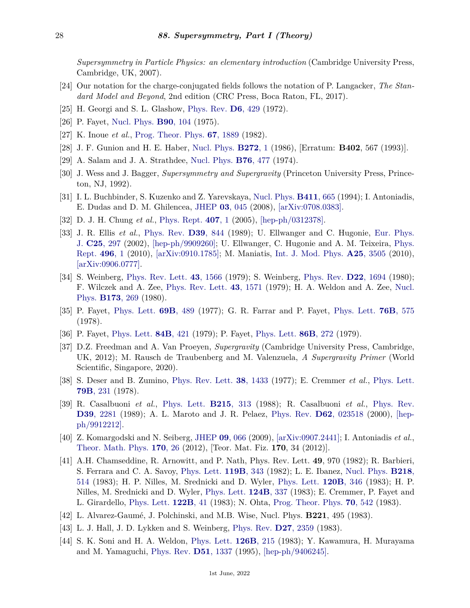*Supersymmetry in Particle Physics: an elementary introduction* (Cambridge University Press, Cambridge, UK, 2007).

- <span id="page-27-0"></span>[24] Our notation for the charge-conjugated fields follows the notation of P. Langacker, *The Standard Model and Beyond*, 2nd edition (CRC Press, Boca Raton, FL, 2017).
- <span id="page-27-1"></span>[25] H. Georgi and S. L. Glashow, [Phys. Rev.](http://doi.org/10.1103/PhysRevD.6.429) **D6**[, 429](http://doi.org/10.1103/PhysRevD.6.429) (1972).
- <span id="page-27-2"></span>[26] P. Fayet, [Nucl. Phys.](http://doi.org/10.1016/0550-3213(75)90636-7) **B90**[, 104](http://doi.org/10.1016/0550-3213(75)90636-7) (1975).
- <span id="page-27-18"></span>[27] K. Inoue *et al.*, [Prog. Theor. Phys.](http://doi.org/10.1143/PTP.67.1889) **67**[, 1889](http://doi.org/10.1143/PTP.67.1889) (1982).
- <span id="page-27-3"></span>[28] J. F. Gunion and H. E. Haber, [Nucl. Phys.](http://doi.org/10.1016/0550-3213(86)90340-8) **[B272](http://doi.org/10.1016/0550-3213(86)90340-8)**, 1 (1986), [Erratum: **B402**, 567 (1993)].
- <span id="page-27-4"></span>[29] A. Salam and J. A. Strathdee, [Nucl. Phys.](http://doi.org/10.1016/0550-3213(74)90537-9) **B76**[, 477](http://doi.org/10.1016/0550-3213(74)90537-9) (1974).
- <span id="page-27-5"></span>[30] J. Wess and J. Bagger, *Supersymmetry and Supergravity* (Princeton University Press, Princeton, NJ, 1992).
- <span id="page-27-6"></span>[31] I. L. Buchbinder, S. Kuzenko and Z. Yarevskaya, [Nucl. Phys.](http://doi.org/10.1016/0550-3213(94)90466-9) **[B411](http://doi.org/10.1016/0550-3213(94)90466-9)**, 665 (1994); I. Antoniadis, E. Dudas and D. M. Ghilencea, [JHEP](http://doi.org/10.1088/1126-6708/2008/03/045) **03**[, 045](http://doi.org/10.1088/1126-6708/2008/03/045) (2008), [\[arXiv:0708.0383\].](https://arxiv.org/abs/0708.0383)
- <span id="page-27-7"></span>[32] D. J. H. Chung *et al.*, [Phys. Rept.](http://doi.org/10.1016/j.physrep.2004.08.032) **[407](http://doi.org/10.1016/j.physrep.2004.08.032)**, 1 (2005), [\[hep-ph/0312378\].](https://arxiv.org/abs/hep-ph/0312378)
- <span id="page-27-8"></span>[33] J. R. Ellis *et al.*, [Phys. Rev.](http://doi.org/10.1103/PhysRevD.39.844) **D39**[, 844](http://doi.org/10.1103/PhysRevD.39.844) (1989); U. Ellwanger and C. Hugonie, [Eur. Phys.](http://doi.org/10.1007/s10052-002-0980-4) [J.](http://doi.org/10.1007/s10052-002-0980-4) **C25**[, 297](http://doi.org/10.1007/s10052-002-0980-4) (2002), [\[hep-ph/9909260\];](https://arxiv.org/abs/hep-ph/9909260) U. Ellwanger, C. Hugonie and A. M. Teixeira, [Phys.](http://doi.org/10.1016/j.physrep.2010.07.001) [Rept.](http://doi.org/10.1016/j.physrep.2010.07.001) **[496](http://doi.org/10.1016/j.physrep.2010.07.001)**, 1 (2010), [\[arXiv:0910.1785\];](https://arxiv.org/abs/0910.1785) M. Maniatis, [Int. J. Mod. Phys.](http://doi.org/10.1142/S0217751X10049827) **A25**[, 3505](http://doi.org/10.1142/S0217751X10049827) (2010), [\[arXiv:0906.0777\].](https://arxiv.org/abs/0906.0777)
- <span id="page-27-9"></span>[34] S. Weinberg, [Phys. Rev. Lett.](http://doi.org/10.1103/PhysRevLett.43.1566) **43**[, 1566](http://doi.org/10.1103/PhysRevLett.43.1566) (1979); S. Weinberg, [Phys. Rev.](http://doi.org/10.1103/PhysRevD.22.1694) **D22**[, 1694](http://doi.org/10.1103/PhysRevD.22.1694) (1980); F. Wilczek and A. Zee, [Phys. Rev. Lett.](http://doi.org/10.1103/PhysRevLett.43.1571) **43**[, 1571](http://doi.org/10.1103/PhysRevLett.43.1571) (1979); H. A. Weldon and A. Zee, [Nucl.](http://doi.org/10.1016/0550-3213(80)90218-7) [Phys.](http://doi.org/10.1016/0550-3213(80)90218-7) **[B173](http://doi.org/10.1016/0550-3213(80)90218-7)**, 269 (1980).
- <span id="page-27-10"></span>[35] P. Fayet, [Phys. Lett.](http://doi.org/10.1016/0370-2693(77)90852-8) **69B**[, 489](http://doi.org/10.1016/0370-2693(77)90852-8) (1977); G. R. Farrar and P. Fayet, [Phys. Lett.](http://doi.org/10.1016/0370-2693(78)90858-4) **76B**[, 575](http://doi.org/10.1016/0370-2693(78)90858-4) (1978).
- <span id="page-27-11"></span>[36] P. Fayet, [Phys. Lett.](http://doi.org/10.1016/0370-2693(79)91230-9) **84B**[, 421](http://doi.org/10.1016/0370-2693(79)91230-9) (1979); P. Fayet, [Phys. Lett.](http://doi.org/10.1016/0370-2693(79)90836-0) **86B**[, 272](http://doi.org/10.1016/0370-2693(79)90836-0) (1979).
- <span id="page-27-12"></span>[37] D.Z. Freedman and A. Van Proeyen, *Supergravity* (Cambridge University Press, Cambridge, UK, 2012); M. Rausch de Traubenberg and M. Valenzuela, *A Supergravity Primer* (World Scientific, Singapore, 2020).
- <span id="page-27-13"></span>[38] S. Deser and B. Zumino, [Phys. Rev. Lett.](http://doi.org/10.1103/PhysRevLett.38.1433) **38**[, 1433](http://doi.org/10.1103/PhysRevLett.38.1433) (1977); E. Cremmer *et al.*, [Phys. Lett.](http://doi.org/10.1016/0370-2693(78)90230-7) **79B**[, 231](http://doi.org/10.1016/0370-2693(78)90230-7) (1978).
- <span id="page-27-14"></span>[39] R. Casalbuoni *et al.*, [Phys. Lett.](http://doi.org/10.1016/0370-2693(88)91439-6) **[B215](http://doi.org/10.1016/0370-2693(88)91439-6)**, 313 (1988); R. Casalbuoni *et al.*, [Phys. Rev.](http://doi.org/10.1103/PhysRevD.39.2281) **D39**[, 2281](http://doi.org/10.1103/PhysRevD.39.2281) (1989); A. L. Maroto and J. R. Pelaez, [Phys. Rev.](http://doi.org/10.1103/PhysRevD.62.023518) **D62**[, 023518](http://doi.org/10.1103/PhysRevD.62.023518) (2000), [\[hep](https://arxiv.org/abs/hep-ph/9912212)[ph/9912212\].](https://arxiv.org/abs/hep-ph/9912212)
- <span id="page-27-15"></span>[40] Z. Komargodski and N. Seiberg, [JHEP](http://doi.org/10.1088/1126-6708/2009/09/066) **09**[, 066](http://doi.org/10.1088/1126-6708/2009/09/066) (2009), [\[arXiv:0907.2441\];](https://arxiv.org/abs/0907.2441) I. Antoniadis *et al.*, [Theor. Math. Phys.](http://doi.org/10.1007/s11232-012-0004-y) **[170](http://doi.org/10.1007/s11232-012-0004-y)**, 26 (2012), [Teor. Mat. Fiz. **170**, 34 (2012)].
- <span id="page-27-16"></span>[41] A.H. Chamseddine, R. Arnowitt, and P. Nath, Phys. Rev. Lett. **49**, 970 (1982); R. Barbieri, S. Ferrara and C. A. Savoy, [Phys. Lett.](http://doi.org/10.1016/0370-2693(82)90685-2) **[119B](http://doi.org/10.1016/0370-2693(82)90685-2)**, 343 (1982); L. E. Ibanez, [Nucl. Phys.](http://doi.org/10.1016/0550-3213(83)90378-4) **[B218](http://doi.org/10.1016/0550-3213(83)90378-4)**, [514](http://doi.org/10.1016/0550-3213(83)90378-4) (1983); H. P. Nilles, M. Srednicki and D. Wyler, [Phys. Lett.](http://doi.org/10.1016/0370-2693(83)90460-4) **[120B](http://doi.org/10.1016/0370-2693(83)90460-4)**, 346 (1983); H. P. Nilles, M. Srednicki and D. Wyler, [Phys. Lett.](http://doi.org/10.1016/0370-2693(83)91467-3) **[124B](http://doi.org/10.1016/0370-2693(83)91467-3)**, 337 (1983); E. Cremmer, P. Fayet and L. Girardello, [Phys. Lett.](http://doi.org/10.1016/0370-2693(83)91165-6) **[122B](http://doi.org/10.1016/0370-2693(83)91165-6)**, 41 (1983); N. Ohta, [Prog. Theor. Phys.](http://doi.org/10.1143/PTP.70.542) **70**[, 542](http://doi.org/10.1143/PTP.70.542) (1983).
- <span id="page-27-17"></span>[42] L. Alvarez-Gaumé, J. Polchinski, and M.B. Wise, Nucl. Phys. **B221**, 495 (1983).
- <span id="page-27-19"></span>[43] L. J. Hall, J. D. Lykken and S. Weinberg, [Phys. Rev.](http://doi.org/10.1103/PhysRevD.27.2359) **D27**[, 2359](http://doi.org/10.1103/PhysRevD.27.2359) (1983).
- [44] S. K. Soni and H. A. Weldon, [Phys. Lett.](http://doi.org/10.1016/0370-2693(83)90593-2) **[126B](http://doi.org/10.1016/0370-2693(83)90593-2)**, 215 (1983); Y. Kawamura, H. Murayama and M. Yamaguchi, [Phys. Rev.](http://doi.org/10.1103/PhysRevD.51.1337) **D51**[, 1337](http://doi.org/10.1103/PhysRevD.51.1337) (1995), [\[hep-ph/9406245\].](https://arxiv.org/abs/hep-ph/9406245)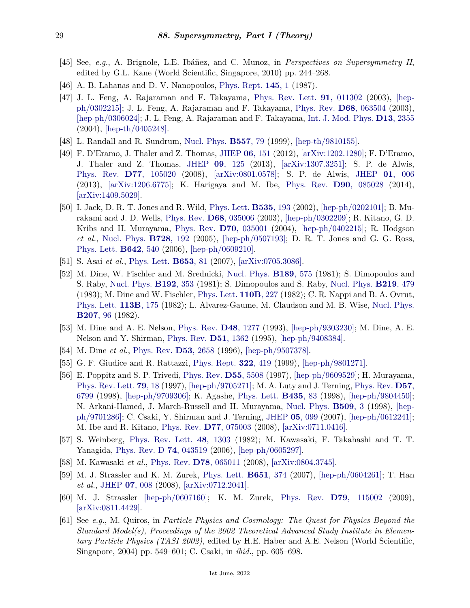- <span id="page-28-0"></span>[45] See, *e.g.*, A. Brignole, L.E. Ibáñez, and C. Munoz, in *Perspectives on Supersymmetry II*, edited by G.L. Kane (World Scientific, Singapore, 2010) pp. 244–268.
- <span id="page-28-1"></span>[46] A. B. Lahanas and D. V. Nanopoulos, [Phys. Rept.](http://doi.org/10.1016/0370-1573(87)90034-2) **[145](http://doi.org/10.1016/0370-1573(87)90034-2)**, 1 (1987).
- <span id="page-28-3"></span>[47] J. L. Feng, A. Rajaraman and F. Takayama, [Phys. Rev. Lett.](http://doi.org/10.1103/PhysRevLett.91.011302) **91**[, 011302](http://doi.org/10.1103/PhysRevLett.91.011302) (2003), [\[hep](https://arxiv.org/abs/hep-ph/0302215)[ph/0302215\];](https://arxiv.org/abs/hep-ph/0302215) J. L. Feng, A. Rajaraman and F. Takayama, [Phys. Rev.](http://doi.org/10.1103/PhysRevD.68.063504) **D68**[, 063504](http://doi.org/10.1103/PhysRevD.68.063504) (2003), [\[hep-ph/0306024\];](https://arxiv.org/abs/hep-ph/0306024) J. L. Feng, A. Rajaraman and F. Takayama, [Int. J. Mod. Phys.](http://doi.org/10.1142/S0218271804006474) **D13**[, 2355](http://doi.org/10.1142/S0218271804006474) (2004), [\[hep-th/0405248\].](https://arxiv.org/abs/hep-th/0405248)
- <span id="page-28-2"></span>[48] L. Randall and R. Sundrum, [Nucl. Phys.](http://doi.org/10.1016/S0550-3213(99)00359-4) **[B557](http://doi.org/10.1016/S0550-3213(99)00359-4)**, 79 (1999), [\[hep-th/9810155\].](https://arxiv.org/abs/hep-th/9810155)
- <span id="page-28-4"></span>[49] F. D'Eramo, J. Thaler and Z. Thomas, [JHEP](http://doi.org/10.1007/JHEP06(2012)151) **06**[, 151](http://doi.org/10.1007/JHEP06(2012)151) (2012), [\[arXiv:1202.1280\];](https://arxiv.org/abs/1202.1280) F. D'Eramo, J. Thaler and Z. Thomas, [JHEP](http://doi.org/10.1007/JHEP09(2013)125) **09**[, 125](http://doi.org/10.1007/JHEP09(2013)125) (2013), [\[arXiv:1307.3251\];](https://arxiv.org/abs/1307.3251) S. P. de Alwis, [Phys. Rev.](http://doi.org/10.1103/PhysRevD.77.105020) **D77**[, 105020](http://doi.org/10.1103/PhysRevD.77.105020) (2008), [\[arXiv:0801.0578\];](https://arxiv.org/abs/0801.0578) S. P. de Alwis, [JHEP](http://doi.org/10.1007/JHEP01(2013)006) **01**[, 006](http://doi.org/10.1007/JHEP01(2013)006) (2013), [\[arXiv:1206.6775\];](https://arxiv.org/abs/1206.6775) K. Harigaya and M. Ibe, [Phys. Rev.](http://doi.org/10.1103/PhysRevD.90.085028) **D90**[, 085028](http://doi.org/10.1103/PhysRevD.90.085028) (2014), [\[arXiv:1409.5029\].](https://arxiv.org/abs/1409.5029)
- <span id="page-28-5"></span>[50] I. Jack, D. R. T. Jones and R. Wild, [Phys. Lett.](http://doi.org/10.1016/S0370-2693(02)01775-6) **[B535](http://doi.org/10.1016/S0370-2693(02)01775-6)**, 193 (2002), [\[hep-ph/0202101\];](https://arxiv.org/abs/hep-ph/0202101) B. Murakami and J. D. Wells, [Phys. Rev.](http://doi.org/10.1103/PhysRevD.68.035006) **D68**[, 035006](http://doi.org/10.1103/PhysRevD.68.035006) (2003), [\[hep-ph/0302209\];](https://arxiv.org/abs/hep-ph/0302209) R. Kitano, G. D. Kribs and H. Murayama, [Phys. Rev.](http://doi.org/10.1103/PhysRevD.70.035001) **D70**[, 035001](http://doi.org/10.1103/PhysRevD.70.035001) (2004), [\[hep-ph/0402215\];](https://arxiv.org/abs/hep-ph/0402215) R. Hodgson *et al.*, [Nucl. Phys.](http://doi.org/10.1016/j.nuclphysb.2005.09.013) **[B728](http://doi.org/10.1016/j.nuclphysb.2005.09.013)**, 192 (2005), [\[hep-ph/0507193\];](https://arxiv.org/abs/hep-ph/0507193) D. R. T. Jones and G. G. Ross, [Phys. Lett.](http://doi.org/10.1016/j.physletb.2006.10.010) **[B642](http://doi.org/10.1016/j.physletb.2006.10.010)**, 540 (2006), [\[hep-ph/0609210\].](https://arxiv.org/abs/hep-ph/0609210)
- <span id="page-28-6"></span>[51] S. Asai *et al.*, [Phys. Lett.](http://doi.org/10.1016/j.physletb.2007.06.080) **[B653](http://doi.org/10.1016/j.physletb.2007.06.080)**, 81 (2007), [\[arXiv:0705.3086\].](https://arxiv.org/abs/0705.3086)
- <span id="page-28-7"></span>[52] M. Dine, W. Fischler and M. Srednicki, [Nucl. Phys.](http://doi.org/10.1016/0550-3213(81)90582-4) **[B189](http://doi.org/10.1016/0550-3213(81)90582-4)**, 575 (1981); S. Dimopoulos and S. Raby, [Nucl. Phys.](http://doi.org/10.1016/0550-3213(81)90430-2) **[B192](http://doi.org/10.1016/0550-3213(81)90430-2)**, 353 (1981); S. Dimopoulos and S. Raby, [Nucl. Phys.](http://doi.org/10.1016/0550-3213(83)90652-1) **[B219](http://doi.org/10.1016/0550-3213(83)90652-1)**, 479 (1983); M. Dine and W. Fischler, [Phys. Lett.](http://doi.org/10.1016/0370-2693(82)91241-2) **[110B](http://doi.org/10.1016/0370-2693(82)91241-2)**, 227 (1982); C. R. Nappi and B. A. Ovrut, [Phys. Lett.](http://doi.org/10.1016/0370-2693(82)90418-X) **[113B](http://doi.org/10.1016/0370-2693(82)90418-X)**, 175 (1982); L. Alvarez-Gaume, M. Claudson and M. B. Wise, [Nucl. Phys.](http://doi.org/10.1016/0550-3213(82)90138-9) **[B207](http://doi.org/10.1016/0550-3213(82)90138-9)**, 96 (1982).
- <span id="page-28-15"></span>[53] M. Dine and A. E. Nelson, [Phys. Rev.](http://doi.org/10.1103/PhysRevD.48.1277) **D48**[, 1277](http://doi.org/10.1103/PhysRevD.48.1277) (1993), [\[hep-ph/9303230\];](https://arxiv.org/abs/hep-ph/9303230) M. Dine, A. E. Nelson and Y. Shirman, [Phys. Rev.](http://doi.org/10.1103/PhysRevD.51.1362) **D51**[, 1362](http://doi.org/10.1103/PhysRevD.51.1362) (1995), [\[hep-ph/9408384\].](https://arxiv.org/abs/hep-ph/9408384)
- [54] M. Dine *et al.*, [Phys. Rev.](http://doi.org/10.1103/PhysRevD.53.2658) **D53**[, 2658](http://doi.org/10.1103/PhysRevD.53.2658) (1996), [\[hep-ph/9507378\].](https://arxiv.org/abs/hep-ph/9507378)
- <span id="page-28-8"></span>[55] G. F. Giudice and R. Rattazzi, [Phys. Rept.](http://doi.org/10.1016/S0370-1573(99)00042-3) **322**[, 419](http://doi.org/10.1016/S0370-1573(99)00042-3) (1999), [\[hep-ph/9801271\].](https://arxiv.org/abs/hep-ph/9801271)
- <span id="page-28-9"></span>[56] E. Poppitz and S. P. Trivedi, [Phys. Rev.](http://doi.org/10.1103/PhysRevD.55.5508) **D55**[, 5508](http://doi.org/10.1103/PhysRevD.55.5508) (1997), [\[hep-ph/9609529\];](https://arxiv.org/abs/hep-ph/9609529) H. Murayama, [Phys. Rev. Lett.](http://doi.org/10.1103/PhysRevLett.79.18) **79**[, 18](http://doi.org/10.1103/PhysRevLett.79.18) (1997), [\[hep-ph/9705271\];](https://arxiv.org/abs/hep-ph/9705271) M. A. Luty and J. Terning, [Phys. Rev.](http://doi.org/10.1103/PhysRevD.57.6799) **[D57](http://doi.org/10.1103/PhysRevD.57.6799)**, [6799](http://doi.org/10.1103/PhysRevD.57.6799) (1998), [\[hep-ph/9709306\];](https://arxiv.org/abs/hep-ph/9709306) K. Agashe, [Phys. Lett.](http://doi.org/10.1016/S0370-2693(98)00779-5) **[B435](http://doi.org/10.1016/S0370-2693(98)00779-5)**, 83 (1998), [\[hep-ph/9804450\];](https://arxiv.org/abs/hep-ph/9804450) N. Arkani-Hamed, J. March-Russell and H. Murayama, [Nucl. Phys.](http://doi.org/10.1016/S0550-3213(97)00573-7) **[B509](http://doi.org/10.1016/S0550-3213(97)00573-7)**, 3 (1998), [\[hep](https://arxiv.org/abs/hep-ph/9701286)[ph/9701286\];](https://arxiv.org/abs/hep-ph/9701286) C. Csaki, Y. Shirman and J. Terning, [JHEP](http://doi.org/10.1088/1126-6708/2007/05/099) **05**[, 099](http://doi.org/10.1088/1126-6708/2007/05/099) (2007), [\[hep-ph/0612241\];](https://arxiv.org/abs/hep-ph/0612241) M. Ibe and R. Kitano, [Phys. Rev.](http://doi.org/10.1103/PhysRevD.77.075003) **D77**[, 075003](http://doi.org/10.1103/PhysRevD.77.075003) (2008), [\[arXiv:0711.0416\].](https://arxiv.org/abs/0711.0416)
- <span id="page-28-10"></span>[57] S. Weinberg, [Phys. Rev. Lett.](http://doi.org/10.1103/PhysRevLett.48.1303) **48**[, 1303](http://doi.org/10.1103/PhysRevLett.48.1303) (1982); M. Kawasaki, F. Takahashi and T. T. Yanagida, [Phys. Rev. D](http://doi.org/10.1103/PhysRevD.74.043519) **74**[, 043519](http://doi.org/10.1103/PhysRevD.74.043519) (2006), [\[hep-ph/0605297\].](https://arxiv.org/abs/hep-ph/0605297)
- <span id="page-28-11"></span>[58] M. Kawasaki *et al.*, [Phys. Rev.](http://doi.org/10.1103/PhysRevD.78.065011) **D78**[, 065011](http://doi.org/10.1103/PhysRevD.78.065011) (2008), [\[arXiv:0804.3745\].](https://arxiv.org/abs/0804.3745)
- <span id="page-28-12"></span>[59] M. J. Strassler and K. M. Zurek, [Phys. Lett.](http://doi.org/10.1016/j.physletb.2007.06.055) **[B651](http://doi.org/10.1016/j.physletb.2007.06.055)**, 374 (2007), [\[hep-ph/0604261\];](https://arxiv.org/abs/hep-ph/0604261) T. Han *et al.*, [JHEP](http://doi.org/10.1088/1126-6708/2008/07/008) **07**[, 008](http://doi.org/10.1088/1126-6708/2008/07/008) (2008), [\[arXiv:0712.2041\].](https://arxiv.org/abs/0712.2041)
- <span id="page-28-13"></span>[60] M. J. Strassler [\[hep-ph/0607160\];](https://arxiv.org/abs/hep-ph/0607160) K. M. Zurek, [Phys. Rev.](http://doi.org/10.1103/PhysRevD.79.115002) **D79**[, 115002](http://doi.org/10.1103/PhysRevD.79.115002) (2009), [\[arXiv:0811.4429\].](https://arxiv.org/abs/0811.4429)
- <span id="page-28-14"></span>[61] See *e.g.*, M. Quiros, in *Particle Physics and Cosmology: The Quest for Physics Beyond the Standard Model(s), Proceedings of the 2002 Theoretical Advanced Study Institute in Elementary Particle Physics (TASI 2002),* edited by H.E. Haber and A.E. Nelson (World Scientific, Singapore, 2004) pp. 549–601; C. Csaki, in *ibid.*, pp. 605–698.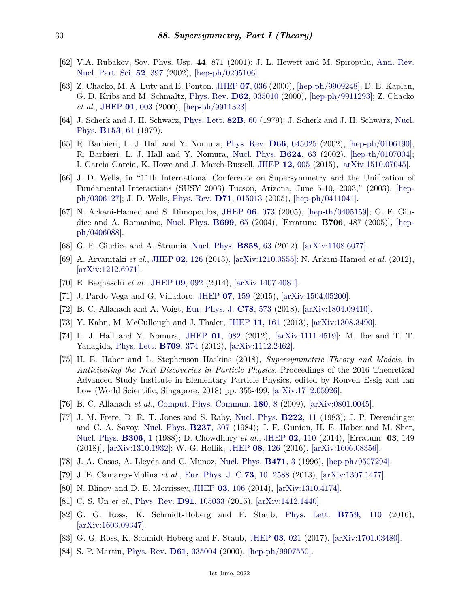- <span id="page-29-0"></span>[62] V.A. Rubakov, Sov. Phys. Usp. **44**, 871 (2001); J. L. Hewett and M. Spiropulu, [Ann. Rev.](http://doi.org/10.1146/annurev.nucl.52.050102.090706) [Nucl. Part. Sci.](http://doi.org/10.1146/annurev.nucl.52.050102.090706) **52**[, 397](http://doi.org/10.1146/annurev.nucl.52.050102.090706) (2002), [\[hep-ph/0205106\].](https://arxiv.org/abs/hep-ph/0205106)
- <span id="page-29-1"></span>[63] Z. Chacko, M. A. Luty and E. Ponton, [JHEP](http://doi.org/10.1088/1126-6708/2000/07/036) **07**[, 036](http://doi.org/10.1088/1126-6708/2000/07/036) (2000), [\[hep-ph/9909248\];](https://arxiv.org/abs/hep-ph/9909248) D. E. Kaplan, G. D. Kribs and M. Schmaltz, [Phys. Rev.](http://doi.org/10.1103/PhysRevD.62.035010) **D62**[, 035010](http://doi.org/10.1103/PhysRevD.62.035010) (2000), [\[hep-ph/9911293\];](https://arxiv.org/abs/hep-ph/9911293) Z. Chacko *et al.*, [JHEP](http://doi.org/10.1088/1126-6708/2000/01/003) **01**[, 003](http://doi.org/10.1088/1126-6708/2000/01/003) (2000), [\[hep-ph/9911323\].](https://arxiv.org/abs/hep-ph/9911323)
- <span id="page-29-2"></span>[64] J. Scherk and J. H. Schwarz, [Phys. Lett.](http://doi.org/10.1016/0370-2693(79)90425-8) **[82B](http://doi.org/10.1016/0370-2693(79)90425-8)**, 60 (1979); J. Scherk and J. H. Schwarz, [Nucl.](http://doi.org/10.1016/0550-3213(79)90592-3) [Phys.](http://doi.org/10.1016/0550-3213(79)90592-3) **[B153](http://doi.org/10.1016/0550-3213(79)90592-3)**, 61 (1979).
- <span id="page-29-3"></span>[65] R. Barbieri, L. J. Hall and Y. Nomura, [Phys. Rev.](http://doi.org/10.1103/PhysRevD.66.045025) **D66**[, 045025](http://doi.org/10.1103/PhysRevD.66.045025) (2002), [\[hep-ph/0106190\];](https://arxiv.org/abs/hep-ph/0106190) R. Barbieri, L. J. Hall and Y. Nomura, [Nucl. Phys.](http://doi.org/10.1016/S0550-3213(01)00649-6) **[B624](http://doi.org/10.1016/S0550-3213(01)00649-6)**, 63 (2002), [\[hep-th/0107004\];](https://arxiv.org/abs/hep-th/0107004) I. Garcia Garcia, K. Howe and J. March-Russell, [JHEP](http://doi.org/10.1007/JHEP12(2015)005) **12**[, 005](http://doi.org/10.1007/JHEP12(2015)005) (2015), [\[arXiv:1510.07045\].](https://arxiv.org/abs/1510.07045)
- <span id="page-29-4"></span>[66] J. D. Wells, in "11th International Conference on Supersymmetry and the Unification of Fundamental Interactions (SUSY 2003) Tucson, Arizona, June 5-10, 2003," (2003), [\[hep](https://arxiv.org/abs/hep-ph/0306127)[ph/0306127\];](https://arxiv.org/abs/hep-ph/0306127) J. D. Wells, [Phys. Rev.](http://doi.org/10.1103/PhysRevD.71.015013) **D71**[, 015013](http://doi.org/10.1103/PhysRevD.71.015013) (2005), [\[hep-ph/0411041\].](https://arxiv.org/abs/hep-ph/0411041)
- <span id="page-29-5"></span>[67] N. Arkani-Hamed and S. Dimopoulos, [JHEP](http://doi.org/10.1088/1126-6708/2005/06/073) **06**[, 073](http://doi.org/10.1088/1126-6708/2005/06/073) (2005), [\[hep-th/0405159\];](https://arxiv.org/abs/hep-th/0405159) G. F. Giudice and A. Romanino, [Nucl. Phys.](http://doi.org/10.1016/j.nuclphysb.2004.11.048) **[B699](http://doi.org/10.1016/j.nuclphysb.2004.11.048)**, 65 (2004), [Erratum: **B706**, 487 (2005)], [\[hep](https://arxiv.org/abs/hep-ph/0406088)[ph/0406088\].](https://arxiv.org/abs/hep-ph/0406088)
- <span id="page-29-7"></span><span id="page-29-6"></span>[68] G. F. Giudice and A. Strumia, [Nucl. Phys.](http://doi.org/10.1016/j.nuclphysb.2012.01.001) **[B858](http://doi.org/10.1016/j.nuclphysb.2012.01.001)**, 63 (2012), [\[arXiv:1108.6077\].](https://arxiv.org/abs/1108.6077)
- [69] A. Arvanitaki *et al.*, [JHEP](http://doi.org/10.1007/JHEP02(2013)126) **02**[, 126](http://doi.org/10.1007/JHEP02(2013)126) (2013), [\[arXiv:1210.0555\];](https://arxiv.org/abs/1210.0555) N. Arkani-Hamed *et al.* (2012), [\[arXiv:1212.6971\].](https://arxiv.org/abs/1212.6971)
- <span id="page-29-8"></span>[70] E. Bagnaschi *et al.*, [JHEP](http://doi.org/10.1007/JHEP09(2014)092) **09**[, 092](http://doi.org/10.1007/JHEP09(2014)092) (2014), [\[arXiv:1407.4081\].](https://arxiv.org/abs/1407.4081)
- [71] J. Pardo Vega and G. Villadoro, [JHEP](http://doi.org/10.1007/JHEP07(2015)159) **07**[, 159](http://doi.org/10.1007/JHEP07(2015)159) (2015), [\[arXiv:1504.05200\].](https://arxiv.org/abs/1504.05200)
- <span id="page-29-9"></span>[72] B. C. Allanach and A. Voigt, [Eur. Phys. J.](http://doi.org/10.1140/epjc/s10052-018-6046-z) **C78**[, 573](http://doi.org/10.1140/epjc/s10052-018-6046-z) (2018), [\[arXiv:1804.09410\].](https://arxiv.org/abs/1804.09410)
- <span id="page-29-10"></span>[73] Y. Kahn, M. McCullough and J. Thaler, [JHEP](http://doi.org/10.1007/JHEP11(2013)161) **11**[, 161](http://doi.org/10.1007/JHEP11(2013)161) (2013), [\[arXiv:1308.3490\].](https://arxiv.org/abs/1308.3490)
- <span id="page-29-11"></span>[74] L. J. Hall and Y. Nomura, [JHEP](http://doi.org/10.1007/JHEP01(2012)082) **01**[, 082](http://doi.org/10.1007/JHEP01(2012)082) (2012), [\[arXiv:1111.4519\];](https://arxiv.org/abs/1111.4519) M. Ibe and T. T. Yanagida, [Phys. Lett.](http://doi.org/10.1016/j.physletb.2012.02.034) **[B709](http://doi.org/10.1016/j.physletb.2012.02.034)**, 374 (2012), [\[arXiv:1112.2462\].](https://arxiv.org/abs/1112.2462)
- <span id="page-29-12"></span>[75] H. E. Haber and L. Stephenson Haskins (2018), *Supersymmetric Theory and Models*, in *Anticipating the Next Discoveries in Particle Physics*, Proceedings of the 2016 Theoretical Advanced Study Institute in Elementary Particle Physics, edited by Rouven Essig and Ian Low (World Scientific, Singapore, 2018) pp. 355-499, [\[arXiv:1712.05926\].](https://arxiv.org/abs/1712.05926)
- <span id="page-29-13"></span>[76] B. C. Allanach *et al.*, [Comput. Phys. Commun.](http://doi.org/10.1016/j.cpc.2008.08.004) **[180](http://doi.org/10.1016/j.cpc.2008.08.004)**, 8 (2009), [\[arXiv:0801.0045\].](https://arxiv.org/abs/0801.0045)
- <span id="page-29-14"></span>[77] J. M. Frere, D. R. T. Jones and S. Raby, [Nucl. Phys.](http://doi.org/10.1016/0550-3213(83)90606-5) **[B222](http://doi.org/10.1016/0550-3213(83)90606-5)**, 11 (1983); J. P. Derendinger and C. A. Savoy, [Nucl. Phys.](http://doi.org/10.1016/0550-3213(84)90162-7) **[B237](http://doi.org/10.1016/0550-3213(84)90162-7)**, 307 (1984); J. F. Gunion, H. E. Haber and M. Sher, [Nucl. Phys.](http://doi.org/10.1016/0550-3213(88)90168-X) **[B306](http://doi.org/10.1016/0550-3213(88)90168-X)**, 1 (1988); D. Chowdhury *et al.*, [JHEP](http://doi.org/10.1007/JHEP03(2018)149) **02**[, 110](http://doi.org/10.1007/JHEP03(2018)149) (2014), [Erratum: **03**, 149 (2018)], [\[arXiv:1310.1932\];](https://arxiv.org/abs/1310.1932) W. G. Hollik, [JHEP](http://doi.org/10.1007/JHEP08(2016)126) **08**[, 126](http://doi.org/10.1007/JHEP08(2016)126) (2016), [\[arXiv:1606.08356\].](https://arxiv.org/abs/1606.08356)
- <span id="page-29-16"></span><span id="page-29-15"></span>[78] J. A. Casas, A. Lleyda and C. Munoz, [Nucl. Phys.](http://doi.org/10.1016/0550-3213(96)00194-0) **[B471](http://doi.org/10.1016/0550-3213(96)00194-0)**, 3 (1996), [\[hep-ph/9507294\].](https://arxiv.org/abs/hep-ph/9507294)
- <span id="page-29-17"></span>[79] J. E. Camargo-Molina *et al.*, [Eur. Phys. J. C](http://doi.org/10.1140/epjc/s10052-013-2588-2) **73**[, 10, 2588](http://doi.org/10.1140/epjc/s10052-013-2588-2) (2013), [\[arXiv:1307.1477\].](https://arxiv.org/abs/1307.1477)
- <span id="page-29-18"></span>[80] N. Blinov and D. E. Morrissey, [JHEP](http://doi.org/10.1007/JHEP03(2014)106) **03**[, 106](http://doi.org/10.1007/JHEP03(2014)106) (2014), [\[arXiv:1310.4174\].](https://arxiv.org/abs/1310.4174)
- [81] C. S. Ün *et al.*, [Phys. Rev.](http://doi.org/10.1103/PhysRevD.91.105033) **D91**[, 105033](http://doi.org/10.1103/PhysRevD.91.105033) (2015), [\[arXiv:1412.1440\].](https://arxiv.org/abs/1412.1440)
- [82] G. G. Ross, K. Schmidt-Hoberg and F. Staub, [Phys. Lett.](http://doi.org/10.1016/j.physletb.2016.05.053) **B759**[, 110](http://doi.org/10.1016/j.physletb.2016.05.053) (2016), [\[arXiv:1603.09347\].](https://arxiv.org/abs/1603.09347)
- <span id="page-29-20"></span><span id="page-29-19"></span>[83] G. G. Ross, K. Schmidt-Hoberg and F. Staub, [JHEP](http://doi.org/10.1007/JHEP03(2017)021) **03**[, 021](http://doi.org/10.1007/JHEP03(2017)021) (2017), [\[arXiv:1701.03480\].](https://arxiv.org/abs/1701.03480)
- [84] S. P. Martin, [Phys. Rev.](http://doi.org/10.1103/PhysRevD.61.035004) **D61**[, 035004](http://doi.org/10.1103/PhysRevD.61.035004) (2000), [\[hep-ph/9907550\].](https://arxiv.org/abs/hep-ph/9907550)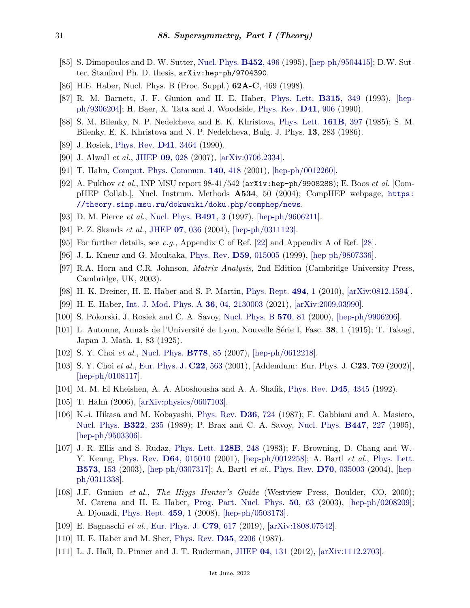- <span id="page-30-0"></span>[85] S. Dimopoulos and D. W. Sutter, [Nucl. Phys.](http://doi.org/10.1016/0550-3213(95)00421-N) **[B452](http://doi.org/10.1016/0550-3213(95)00421-N)**, 496 (1995), [\[hep-ph/9504415\];](https://arxiv.org/abs/hep-ph/9504415) D.W. Sutter, Stanford Ph. D. thesis, arXiv:hep-ph/9704390.
- <span id="page-30-1"></span>[86] H.E. Haber, Nucl. Phys. B (Proc. Suppl.) **62A-C**, 469 (1998).
- <span id="page-30-2"></span>[87] R. M. Barnett, J. F. Gunion and H. E. Haber, [Phys. Lett.](http://doi.org/10.1016/0370-2693(93)91623-U) **[B315](http://doi.org/10.1016/0370-2693(93)91623-U)**, 349 (1993), [\[hep](https://arxiv.org/abs/hep-ph/9306204)[ph/9306204\];](https://arxiv.org/abs/hep-ph/9306204) H. Baer, X. Tata and J. Woodside, [Phys. Rev.](http://doi.org/10.1103/PhysRevD.41.906) **D41**[, 906](http://doi.org/10.1103/PhysRevD.41.906) (1990).
- <span id="page-30-3"></span>[88] S. M. Bilenky, N. P. Nedelcheva and E. K. Khristova, [Phys. Lett.](http://doi.org/10.1016/0370-2693(85)90786-5) **[161B](http://doi.org/10.1016/0370-2693(85)90786-5)**, 397 (1985); S. M. Bilenky, E. K. Khristova and N. P. Nedelcheva, Bulg. J. Phys. **13**, 283 (1986).
- <span id="page-30-4"></span>[89] J. Rosiek, [Phys. Rev.](http://doi.org/10.1103/PhysRevD.41.3464) **D41**[, 3464](http://doi.org/10.1103/PhysRevD.41.3464) (1990).
- <span id="page-30-5"></span>[90] J. Alwall *et al.*, [JHEP](http://doi.org/10.1088/1126-6708/2007/09/028) **09**[, 028](http://doi.org/10.1088/1126-6708/2007/09/028) (2007), [\[arXiv:0706.2334\].](https://arxiv.org/abs/0706.2334)
- [91] T. Hahn, [Comput. Phys. Commun.](http://doi.org/10.1016/S0010-4655(01)00290-9) **140**[, 418](http://doi.org/10.1016/S0010-4655(01)00290-9) (2001), [\[hep-ph/0012260\].](https://arxiv.org/abs/hep-ph/0012260)
- <span id="page-30-6"></span>[92] A. Pukhov *et al.*, INP MSU report 98-41/542 (arXiv:hep-ph/9908288); E. Boos *et al.* [CompHEP Collab.], Nucl. Instrum. Methods **A534**, 50 (2004); CompHEP webpage, [https:](https://theory.sinp.msu.ru/dokuwiki/doku.php/comphep/news) [//theory.sinp.msu.ru/dokuwiki/doku.php/comphep/news](https://theory.sinp.msu.ru/dokuwiki/doku.php/comphep/news).
- <span id="page-30-8"></span><span id="page-30-7"></span>[93] D. M. Pierce *et al.*, [Nucl. Phys.](http://doi.org/10.1016/S0550-3213(96)00683-9) **[B491](http://doi.org/10.1016/S0550-3213(96)00683-9)**, 3 (1997), [\[hep-ph/9606211\].](https://arxiv.org/abs/hep-ph/9606211)
- [94] P. Z. Skands *et al.*, [JHEP](http://doi.org/10.1088/1126-6708/2004/07/036) **07**[, 036](http://doi.org/10.1088/1126-6708/2004/07/036) (2004), [\[hep-ph/0311123\].](https://arxiv.org/abs/hep-ph/0311123)
- <span id="page-30-9"></span>[95] For further details, see *e.g.*, Appendix C of Ref. [\[22\]](#page-26-14) and Appendix A of Ref. [\[28\]](#page-27-3).
- <span id="page-30-10"></span>[96] J. L. Kneur and G. Moultaka, [Phys. Rev.](http://doi.org/10.1103/PhysRevD.59.015005) **D59**[, 015005](http://doi.org/10.1103/PhysRevD.59.015005) (1999), [\[hep-ph/9807336\].](https://arxiv.org/abs/hep-ph/9807336)
- <span id="page-30-11"></span>[97] R.A. Horn and C.R. Johnson, *Matrix Analysis*, 2nd Edition (Cambridge University Press, Cambridge, UK, 2003).
- <span id="page-30-12"></span>[98] H. K. Dreiner, H. E. Haber and S. P. Martin, [Phys. Rept.](http://doi.org/10.1016/j.physrep.2010.05.002) **[494](http://doi.org/10.1016/j.physrep.2010.05.002)**, 1 (2010), [\[arXiv:0812.1594\].](https://arxiv.org/abs/0812.1594)
- <span id="page-30-13"></span>[99] H. E. Haber, [Int. J. Mod. Phys. A](http://doi.org/10.1142/S0217751X21300027) **36**[, 04, 2130003](http://doi.org/10.1142/S0217751X21300027) (2021), [\[arXiv:2009.03990\].](https://arxiv.org/abs/2009.03990)
- <span id="page-30-14"></span>[100] S. Pokorski, J. Rosiek and C. A. Savoy, [Nucl. Phys. B](http://doi.org/10.1016/S0550-3213(99)00628-8) **[570](http://doi.org/10.1016/S0550-3213(99)00628-8)**, 81 (2000), [\[hep-ph/9906206\].](https://arxiv.org/abs/hep-ph/9906206)
- <span id="page-30-15"></span>[101] L. Autonne, Annals de l'Université de Lyon, Nouvelle Série I, Fasc. **38**, 1 (1915); T. Takagi, Japan J. Math. **1**, 83 (1925).
- <span id="page-30-16"></span>[102] S. Y. Choi *et al.*, [Nucl. Phys.](http://doi.org/10.1016/j.nuclphysb.2007.04.019) **[B778](http://doi.org/10.1016/j.nuclphysb.2007.04.019)**, 85 (2007), [\[hep-ph/0612218\].](https://arxiv.org/abs/hep-ph/0612218)
- <span id="page-30-17"></span>[103] S. Y. Choi *et al.*, [Eur. Phys. J.](http://doi.org/10.1007/s100520100808) **C22**[, 563](http://doi.org/10.1007/s100520100808) (2001), [Addendum: Eur. Phys. J. **C23**, 769 (2002)], [\[hep-ph/0108117\].](https://arxiv.org/abs/hep-ph/0108117)
- <span id="page-30-18"></span>[104] M. M. El Kheishen, A. A. Aboshousha and A. A. Shafik, [Phys. Rev.](http://doi.org/10.1103/PhysRevD.45.4345) **D45**[, 4345](http://doi.org/10.1103/PhysRevD.45.4345) (1992).
- <span id="page-30-19"></span>[105] T. Hahn (2006), [\[arXiv:physics/0607103\].](https://arxiv.org/abs/physics/0607103)
- <span id="page-30-20"></span>[106] K.-i. Hikasa and M. Kobayashi, [Phys. Rev.](http://doi.org/10.1103/PhysRevD.36.724) **D36**[, 724](http://doi.org/10.1103/PhysRevD.36.724) (1987); F. Gabbiani and A. Masiero, [Nucl. Phys.](http://doi.org/10.1016/0550-3213(89)90492-6) **[B322](http://doi.org/10.1016/0550-3213(89)90492-6)**, 235 (1989); P. Brax and C. A. Savoy, [Nucl. Phys.](http://doi.org/10.1016/0550-3213(95)00216-F) **[B447](http://doi.org/10.1016/0550-3213(95)00216-F)**, 227 (1995), [\[hep-ph/9503306\].](https://arxiv.org/abs/hep-ph/9503306)
- <span id="page-30-21"></span>[107] J. R. Ellis and S. Rudaz, [Phys. Lett.](http://doi.org/10.1016/0370-2693(83)90402-1) **[128B](http://doi.org/10.1016/0370-2693(83)90402-1)**, 248 (1983); F. Browning, D. Chang and W.- Y. Keung, [Phys. Rev.](http://doi.org/10.1103/PhysRevD.64.015010) **D64**[, 015010](http://doi.org/10.1103/PhysRevD.64.015010) (2001), [\[hep-ph/0012258\];](https://arxiv.org/abs/hep-ph/0012258) A. Bartl *et al.*, [Phys. Lett.](http://doi.org/10.1016/j.physletb.2003.08.047) **[B573](http://doi.org/10.1016/j.physletb.2003.08.047)**, 153 (2003), [\[hep-ph/0307317\];](https://arxiv.org/abs/hep-ph/0307317) A. Bartl *et al.*, [Phys. Rev.](http://doi.org/10.1103/PhysRevD.70.035003) **D70**[, 035003](http://doi.org/10.1103/PhysRevD.70.035003) (2004), [\[hep](https://arxiv.org/abs/hep-ph/0311338)[ph/0311338\].](https://arxiv.org/abs/hep-ph/0311338)
- <span id="page-30-22"></span>[108] J.F. Gunion *et al.*, *The Higgs Hunter's Guide* (Westview Press, Boulder, CO, 2000); M. Carena and H. E. Haber, [Prog. Part. Nucl. Phys.](http://doi.org/10.1016/S0146-6410(02)00177-1) **50**[, 63](http://doi.org/10.1016/S0146-6410(02)00177-1) (2003), [\[hep-ph/0208209\];](https://arxiv.org/abs/hep-ph/0208209) A. Djouadi, [Phys. Rept.](http://doi.org/10.1016/j.physrep.2007.10.005) **[459](http://doi.org/10.1016/j.physrep.2007.10.005)**, 1 (2008), [\[hep-ph/0503173\].](https://arxiv.org/abs/hep-ph/0503173)
- <span id="page-30-23"></span>[109] E. Bagnaschi *et al.*, [Eur. Phys. J.](http://doi.org/10.1140/epjc/s10052-019-7114-8) **C79**[, 617](http://doi.org/10.1140/epjc/s10052-019-7114-8) (2019), [\[arXiv:1808.07542\].](https://arxiv.org/abs/1808.07542)
- <span id="page-30-24"></span>[110] H. E. Haber and M. Sher, [Phys. Rev.](http://doi.org/10.1103/PhysRevD.35.2206) **D35**[, 2206](http://doi.org/10.1103/PhysRevD.35.2206) (1987).
- <span id="page-30-25"></span>[111] L. J. Hall, D. Pinner and J. T. Ruderman, [JHEP](http://doi.org/10.1007/JHEP04(2012)131) **04**[, 131](http://doi.org/10.1007/JHEP04(2012)131) (2012), [\[arXiv:1112.2703\].](https://arxiv.org/abs/1112.2703)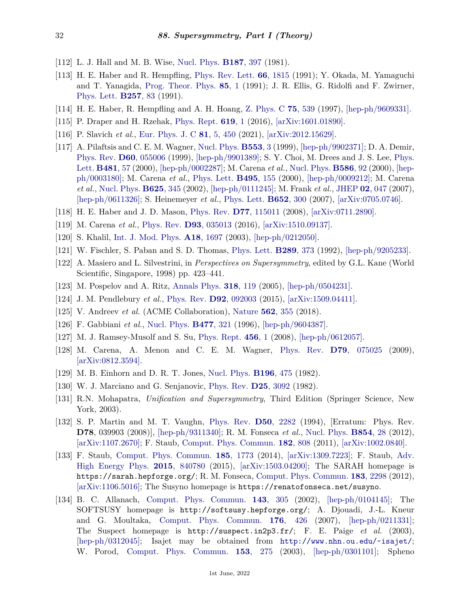- <span id="page-31-0"></span>[112] L. J. Hall and M. B. Wise, [Nucl. Phys.](http://doi.org/10.1016/0550-3213(81)90469-7) **[B187](http://doi.org/10.1016/0550-3213(81)90469-7)**, 397 (1981).
- <span id="page-31-1"></span>[113] H. E. Haber and R. Hempfling, [Phys. Rev. Lett.](http://doi.org/10.1103/PhysRevLett.66.1815) **66**[, 1815](http://doi.org/10.1103/PhysRevLett.66.1815) (1991); Y. Okada, M. Yamaguchi and T. Yanagida, [Prog. Theor. Phys.](http://doi.org/10.1143/ptp/85.1.1) **85**[, 1](http://doi.org/10.1143/ptp/85.1.1) (1991); J. R. Ellis, G. Ridolfi and F. Zwirner, [Phys. Lett.](http://doi.org/10.1016/0370-2693(91)90863-L) **[B257](http://doi.org/10.1016/0370-2693(91)90863-L)**, 83 (1991).
- <span id="page-31-2"></span>[114] H. E. Haber, R. Hempfling and A. H. Hoang, [Z. Phys. C](http://doi.org/10.1007/s002880050498) **75**[, 539](http://doi.org/10.1007/s002880050498) (1997), [\[hep-ph/9609331\].](https://arxiv.org/abs/hep-ph/9609331)
- <span id="page-31-3"></span>[115] P. Draper and H. Rzehak, [Phys. Rept.](http://doi.org/10.1016/j.physrep.2016.01.001) **[619](http://doi.org/10.1016/j.physrep.2016.01.001)**, 1 (2016), [\[arXiv:1601.01890\].](https://arxiv.org/abs/1601.01890)
- <span id="page-31-4"></span>[116] P. Slavich *et al.*, [Eur. Phys. J. C](http://doi.org/10.1140/epjc/s10052-021-09198-2) **81**[, 5, 450](http://doi.org/10.1140/epjc/s10052-021-09198-2) (2021), [\[arXiv:2012.15629\].](https://arxiv.org/abs/2012.15629)
- <span id="page-31-5"></span>[117] A. Pilaftsis and C. E. M. Wagner, [Nucl. Phys.](http://doi.org/10.1016/S0550-3213(99)00261-8) **[B553](http://doi.org/10.1016/S0550-3213(99)00261-8)**, 3 (1999), [\[hep-ph/9902371\];](https://arxiv.org/abs/hep-ph/9902371) D. A. Demir, [Phys. Rev.](http://doi.org/10.1103/PhysRevD.60.055006) **D60**[, 055006](http://doi.org/10.1103/PhysRevD.60.055006) (1999), [\[hep-ph/9901389\];](https://arxiv.org/abs/hep-ph/9901389) S. Y. Choi, M. Drees and J. S. Lee, [Phys.](http://doi.org/10.1016/S0370-2693(00)00421-4) [Lett.](http://doi.org/10.1016/S0370-2693(00)00421-4) **[B481](http://doi.org/10.1016/S0370-2693(00)00421-4)**, 57 (2000), [\[hep-ph/0002287\];](https://arxiv.org/abs/hep-ph/0002287) M. Carena *et al.*, [Nucl. Phys.](http://doi.org/10.1016/S0550-3213(00)00358-8) **[B586](http://doi.org/10.1016/S0550-3213(00)00358-8)**, 92 (2000), [\[hep](https://arxiv.org/abs/hep-ph/0003180)[ph/0003180\];](https://arxiv.org/abs/hep-ph/0003180) M. Carena *et al.*, [Phys. Lett.](http://doi.org/10.1016/S0370-2693(00)01215-6) **[B495](http://doi.org/10.1016/S0370-2693(00)01215-6)**, 155 (2000), [\[hep-ph/0009212\];](https://arxiv.org/abs/hep-ph/0009212) M. Carena *et al.*, [Nucl. Phys.](http://doi.org/10.1016/S0550-3213(02)00014-7) **[B625](http://doi.org/10.1016/S0550-3213(02)00014-7)**, 345 (2002), [\[hep-ph/0111245\];](https://arxiv.org/abs/hep-ph/0111245) M. Frank *et al.*, [JHEP](http://doi.org/10.1088/1126-6708/2007/02/047) **02**[, 047](http://doi.org/10.1088/1126-6708/2007/02/047) (2007), [\[hep-ph/0611326\];](https://arxiv.org/abs/hep-ph/0611326) S. Heinemeyer *et al.*, [Phys. Lett.](http://doi.org/10.1016/j.physletb.2007.07.030) **[B652](http://doi.org/10.1016/j.physletb.2007.07.030)**, 300 (2007), [\[arXiv:0705.0746\].](https://arxiv.org/abs/0705.0746)
- <span id="page-31-6"></span>[118] H. E. Haber and J. D. Mason, [Phys. Rev.](http://doi.org/10.1103/PhysRevD.77.115011) **D77**[, 115011](http://doi.org/10.1103/PhysRevD.77.115011) (2008), [\[arXiv:0711.2890\].](https://arxiv.org/abs/0711.2890)
- <span id="page-31-7"></span>[119] M. Carena *et al.*, [Phys. Rev.](http://doi.org/10.1103/PhysRevD.93.035013) **D93**[, 035013](http://doi.org/10.1103/PhysRevD.93.035013) (2016), [\[arXiv:1510.09137\].](https://arxiv.org/abs/1510.09137)
- <span id="page-31-8"></span>[120] S. Khalil, [Int. J. Mod. Phys.](http://doi.org/10.1142/S0217751X03013570) **A18**[, 1697](http://doi.org/10.1142/S0217751X03013570) (2003), [\[hep-ph/0212050\].](https://arxiv.org/abs/hep-ph/0212050)
- <span id="page-31-9"></span>[121] W. Fischler, S. Paban and S. D. Thomas, [Phys. Lett.](http://doi.org/10.1016/0370-2693(92)91234-Z) **[B289](http://doi.org/10.1016/0370-2693(92)91234-Z)**, 373 (1992), [\[hep-ph/9205233\].](https://arxiv.org/abs/hep-ph/9205233)
- [122] A. Masiero and L. Silvestrini, in *Perspectives on Supersymmetry*, edited by G.L. Kane (World Scientific, Singapore, 1998) pp. 423–441.
- <span id="page-31-10"></span>[123] M. Pospelov and A. Ritz, [Annals Phys.](http://doi.org/10.1016/j.aop.2005.04.002) **318**[, 119](http://doi.org/10.1016/j.aop.2005.04.002) (2005), [\[hep-ph/0504231\].](https://arxiv.org/abs/hep-ph/0504231)
- <span id="page-31-11"></span>[124] J. M. Pendlebury *et al.*, [Phys. Rev.](http://doi.org/10.1103/PhysRevD.92.092003) **D92**[, 092003](http://doi.org/10.1103/PhysRevD.92.092003) (2015), [\[arXiv:1509.04411\].](https://arxiv.org/abs/1509.04411)
- <span id="page-31-12"></span>[125] V. Andreev *et al.* (ACME Collaboration), [Nature](http://doi.org/10.1038/s41586-018-0599-8) **562**[, 355](http://doi.org/10.1038/s41586-018-0599-8) (2018).
- <span id="page-31-13"></span>[126] F. Gabbiani *et al.*, [Nucl. Phys.](http://doi.org/10.1016/0550-3213(96)00390-2) **[B477](http://doi.org/10.1016/0550-3213(96)00390-2)**, 321 (1996), [\[hep-ph/9604387\].](https://arxiv.org/abs/hep-ph/9604387)
- [127] M. J. Ramsey-Musolf and S. Su, [Phys. Rept.](http://doi.org/10.1016/j.physrep.2007.10.001) **[456](http://doi.org/10.1016/j.physrep.2007.10.001)**, 1 (2008), [\[hep-ph/0612057\].](https://arxiv.org/abs/hep-ph/0612057)
- <span id="page-31-14"></span>[128] M. Carena, A. Menon and C. E. M. Wagner, [Phys. Rev.](http://doi.org/10.1103/PhysRevD.79.075025) **D79**[, 075025](http://doi.org/10.1103/PhysRevD.79.075025) (2009), [\[arXiv:0812.3594\].](https://arxiv.org/abs/0812.3594)
- <span id="page-31-15"></span>[129] M. B. Einhorn and D. R. T. Jones, [Nucl. Phys.](http://doi.org/10.1016/0550-3213(82)90502-8) **[B196](http://doi.org/10.1016/0550-3213(82)90502-8)**, 475 (1982).
- [130] W. J. Marciano and G. Senjanovic, [Phys. Rev.](http://doi.org/10.1103/PhysRevD.25.3092) **D25**[, 3092](http://doi.org/10.1103/PhysRevD.25.3092) (1982).
- <span id="page-31-16"></span>[131] R.N. Mohapatra, *Unification and Supersymmetry*, Third Edition (Springer Science, New York, 2003).
- <span id="page-31-17"></span>[132] S. P. Martin and M. T. Vaughn, [Phys. Rev.](http://doi.org/10.1103/PhysRevD.50.2282) **D50**[, 2282](http://doi.org/10.1103/PhysRevD.50.2282) (1994), [Erratum: Phys. Rev. **D78**, 039903 (2008)], [\[hep-ph/9311340\];](https://arxiv.org/abs/hep-ph/9311340) R. M. Fonseca *et al.*, [Nucl. Phys.](http://doi.org/10.1016/j.nuclphysb.2011.08.017) **[B854](http://doi.org/10.1016/j.nuclphysb.2011.08.017)**, 28 (2012), [\[arXiv:1107.2670\];](https://arxiv.org/abs/1107.2670) F. Staub, [Comput. Phys. Commun.](http://doi.org/10.1016/j.cpc.2010.11.030) **182**[, 808](http://doi.org/10.1016/j.cpc.2010.11.030) (2011), [\[arXiv:1002.0840\].](https://arxiv.org/abs/1002.0840)
- <span id="page-31-18"></span>[133] F. Staub, [Comput. Phys. Commun.](http://doi.org/10.1016/j.cpc.2014.02.018) **185**[, 1773](http://doi.org/10.1016/j.cpc.2014.02.018) (2014), [\[arXiv:1309.7223\];](https://arxiv.org/abs/1309.7223) F. Staub, [Adv.](http://doi.org/10.1155/2015/840780) [High Energy Phys.](http://doi.org/10.1155/2015/840780) **2015**[, 840780](http://doi.org/10.1155/2015/840780) (2015), [\[arXiv:1503.04200\];](https://arxiv.org/abs/1503.04200) The SARAH homepage is https://sarah.hepforge.org/; R. M. Fonseca, [Comput. Phys. Commun.](http://doi.org/10.1016/j.cpc.2012.05.017) **183**[, 2298](http://doi.org/10.1016/j.cpc.2012.05.017) (2012), [\[arXiv:1106.5016\];](https://arxiv.org/abs/1106.5016) The Susyno homepage is https://renatofonseca.net/susyno.
- <span id="page-31-19"></span>[134] B. C. Allanach, [Comput. Phys. Commun.](http://doi.org/10.1016/S0010-4655(01)00460-X) **143**[, 305](http://doi.org/10.1016/S0010-4655(01)00460-X) (2002), [\[hep-ph/0104145\];](https://arxiv.org/abs/hep-ph/0104145) The SOFTSUSY homepage is http://softsusy.hepforge.org/; A. Djouadi, J.-L. Kneur and G. Moultaka, [Comput. Phys. Commun.](http://doi.org/10.1016/j.cpc.2006.11.009) **176**[, 426](http://doi.org/10.1016/j.cpc.2006.11.009) (2007), [\[hep-ph/0211331\];](https://arxiv.org/abs/hep-ph/0211331) The Suspect homepage is http://suspect.in2p3.fr/; F. E. Paige *et al.* (2003), [\[hep-ph/0312045\];](https://arxiv.org/abs/hep-ph/0312045) Isajet may be obtained from <http://www.nhn.ou.edu/~isajet/>; W. Porod, [Comput. Phys. Commun.](http://doi.org/10.1016/S0010-4655(03)00222-4) **153**[, 275](http://doi.org/10.1016/S0010-4655(03)00222-4) (2003), [\[hep-ph/0301101\];](https://arxiv.org/abs/hep-ph/0301101) Spheno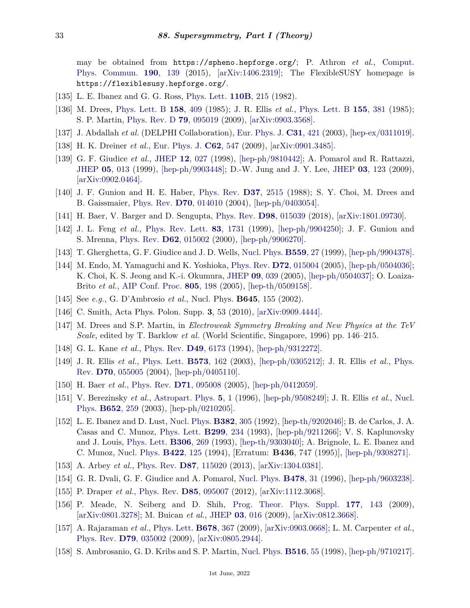may be obtained from https://spheno.hepforge.org/; P. Athron *et al.*, [Comput.](http://doi.org/10.1016/j.cpc.2014.12.020) [Phys. Commun.](http://doi.org/10.1016/j.cpc.2014.12.020) **190**[, 139](http://doi.org/10.1016/j.cpc.2014.12.020) (2015), [\[arXiv:1406.2319\];](https://arxiv.org/abs/1406.2319) The FlexibleSUSY homepage is https://flexiblesusy.hepforge.org/.

- <span id="page-32-4"></span><span id="page-32-0"></span>[135] L. E. Ibanez and G. G. Ross, [Phys. Lett.](http://doi.org/10.1016/0370-2693(82)91239-4) **[110B](http://doi.org/10.1016/0370-2693(82)91239-4)**, 215 (1982).
- [136] M. Drees, [Phys. Lett. B](http://doi.org/10.1016/0370-2693(85)90442-3) **158**[, 409](http://doi.org/10.1016/0370-2693(85)90442-3) (1985); J. R. Ellis *et al.*, [Phys. Lett. B](http://doi.org/10.1016/0370-2693(85)91591-6) **155**[, 381](http://doi.org/10.1016/0370-2693(85)91591-6) (1985); S. P. Martin, [Phys. Rev. D](http://doi.org/10.1103/PhysRevD.79.095019) **79**[, 095019](http://doi.org/10.1103/PhysRevD.79.095019) (2009), [\[arXiv:0903.3568\].](https://arxiv.org/abs/0903.3568)
- <span id="page-32-1"></span>[137] J. Abdallah *et al.* (DELPHI Collaboration), [Eur. Phys. J.](http://doi.org/10.1140/epjc/s2003-01355-5) **C31**[, 421](http://doi.org/10.1140/epjc/s2003-01355-5) (2003), [\[hep-ex/0311019\].](https://arxiv.org/abs/hep-ex/0311019)
- <span id="page-32-2"></span>[138] H. K. Dreiner *et al.*, [Eur. Phys. J.](http://doi.org/10.1140/epjc/s10052-009-1042-y) **C62**[, 547](http://doi.org/10.1140/epjc/s10052-009-1042-y) (2009), [\[arXiv:0901.3485\].](https://arxiv.org/abs/0901.3485)
- <span id="page-32-3"></span>[139] G. F. Giudice *et al.*, [JHEP](http://doi.org/10.1088/1126-6708/1998/12/027) **12**[, 027](http://doi.org/10.1088/1126-6708/1998/12/027) (1998), [\[hep-ph/9810442\];](https://arxiv.org/abs/hep-ph/9810442) A. Pomarol and R. Rattazzi, [JHEP](http://doi.org/10.1088/1126-6708/1999/05/013) **05**[, 013](http://doi.org/10.1088/1126-6708/1999/05/013) (1999), [\[hep-ph/9903448\];](https://arxiv.org/abs/hep-ph/9903448) D.-W. Jung and J. Y. Lee, [JHEP](http://doi.org/10.1088/1126-6708/2009/03/123) **03**[, 123](http://doi.org/10.1088/1126-6708/2009/03/123) (2009), [\[arXiv:0902.0464\].](https://arxiv.org/abs/0902.0464)
- <span id="page-32-5"></span>[140] J. F. Gunion and H. E. Haber, [Phys. Rev.](http://doi.org/10.1103/PhysRevD.37.2515) **D37**[, 2515](http://doi.org/10.1103/PhysRevD.37.2515) (1988); S. Y. Choi, M. Drees and B. Gaissmaier, [Phys. Rev.](http://doi.org/10.1103/PhysRevD.70.014010) **D70**[, 014010](http://doi.org/10.1103/PhysRevD.70.014010) (2004), [\[hep-ph/0403054\].](https://arxiv.org/abs/hep-ph/0403054)
- <span id="page-32-7"></span><span id="page-32-6"></span>[141] H. Baer, V. Barger and D. Sengupta, [Phys. Rev.](http://doi.org/10.1103/PhysRevD.98.015039) **D98**[, 015039](http://doi.org/10.1103/PhysRevD.98.015039) (2018), [\[arXiv:1801.09730\].](https://arxiv.org/abs/1801.09730)
- [142] J. L. Feng *et al.*, [Phys. Rev. Lett.](http://doi.org/10.1103/PhysRevLett.83.1731) **83**[, 1731](http://doi.org/10.1103/PhysRevLett.83.1731) (1999), [\[hep-ph/9904250\];](https://arxiv.org/abs/hep-ph/9904250) J. F. Gunion and S. Mrenna, [Phys. Rev.](http://doi.org/10.1103/PhysRevD.62.015002) **D62**[, 015002](http://doi.org/10.1103/PhysRevD.62.015002) (2000), [\[hep-ph/9906270\].](https://arxiv.org/abs/hep-ph/9906270)
- <span id="page-32-8"></span>[143] T. Gherghetta, G. F. Giudice and J. D. Wells, [Nucl. Phys.](http://doi.org/10.1016/S0550-3213(99)00429-0) **[B559](http://doi.org/10.1016/S0550-3213(99)00429-0)**, 27 (1999), [\[hep-ph/9904378\].](https://arxiv.org/abs/hep-ph/9904378)
- <span id="page-32-9"></span>[144] M. Endo, M. Yamaguchi and K. Yoshioka, [Phys. Rev.](http://doi.org/10.1103/PhysRevD.72.015004) **D72**[, 015004](http://doi.org/10.1103/PhysRevD.72.015004) (2005), [\[hep-ph/0504036\];](https://arxiv.org/abs/hep-ph/0504036) K. Choi, K. S. Jeong and K.-i. Okumura, [JHEP](http://doi.org/10.1088/1126-6708/2005/09/039) **09**[, 039](http://doi.org/10.1088/1126-6708/2005/09/039) (2005), [\[hep-ph/0504037\];](https://arxiv.org/abs/hep-ph/0504037) O. Loaiza-Brito *et al.*, [AIP Conf. Proc.](http://doi.org/10.1063/1.2149698) **805**[, 198](http://doi.org/10.1063/1.2149698) (2005), [\[hep-th/0509158\].](https://arxiv.org/abs/hep-th/0509158)
- <span id="page-32-10"></span>[145] See *e.g.*, G. D'Ambrosio *et al.*, Nucl. Phys. **B645**, 155 (2002).
- <span id="page-32-11"></span>[146] C. Smith, Acta Phys. Polon. Supp. **3**, 53 (2010), [\[arXiv:0909.4444\].](https://arxiv.org/abs/0909.4444)
- <span id="page-32-12"></span>[147] M. Drees and S.P. Martin, in *Electroweak Symmetry Breaking and New Physics at the TeV Scale*, edited by T. Barklow *et al.* (World Scientific, Singapore, 1996) pp. 146–215.
- <span id="page-32-13"></span>[148] G. L. Kane *et al.*, [Phys. Rev.](http://doi.org/10.1103/PhysRevD.49.6173) **D49**[, 6173](http://doi.org/10.1103/PhysRevD.49.6173) (1994), [\[hep-ph/9312272\].](https://arxiv.org/abs/hep-ph/9312272)
- <span id="page-32-14"></span>[149] J. R. Ellis *et al.*, [Phys. Lett.](http://doi.org/10.1016/j.physletb.2003.08.056) **[B573](http://doi.org/10.1016/j.physletb.2003.08.056)**, 162 (2003), [\[hep-ph/0305212\];](https://arxiv.org/abs/hep-ph/0305212) J. R. Ellis *et al.*, [Phys.](http://doi.org/10.1103/PhysRevD.70.055005) [Rev.](http://doi.org/10.1103/PhysRevD.70.055005) **D70**[, 055005](http://doi.org/10.1103/PhysRevD.70.055005) (2004), [\[hep-ph/0405110\].](https://arxiv.org/abs/hep-ph/0405110)
- <span id="page-32-16"></span><span id="page-32-15"></span>[150] H. Baer *et al.*, [Phys. Rev.](http://doi.org/10.1103/PhysRevD.71.095008) **D71**[, 095008](http://doi.org/10.1103/PhysRevD.71.095008) (2005), [\[hep-ph/0412059\].](https://arxiv.org/abs/hep-ph/0412059)
- [151] V. Berezinsky *et al.*, [Astropart. Phys.](http://doi.org/10.1016/0927-6505(95)00048-8) **5**[, 1](http://doi.org/10.1016/0927-6505(95)00048-8) (1996), [\[hep-ph/9508249\];](https://arxiv.org/abs/hep-ph/9508249) J. R. Ellis *et al.*, [Nucl.](http://doi.org/10.1016/S0550-3213(02)01144-6) [Phys.](http://doi.org/10.1016/S0550-3213(02)01144-6) **[B652](http://doi.org/10.1016/S0550-3213(02)01144-6)**, 259 (2003), [\[hep-ph/0210205\].](https://arxiv.org/abs/hep-ph/0210205)
- <span id="page-32-17"></span>[152] L. E. Ibanez and D. Lust, [Nucl. Phys.](http://doi.org/10.1016/0550-3213(92)90189-I) **[B382](http://doi.org/10.1016/0550-3213(92)90189-I)**, 305 (1992), [\[hep-th/9202046\];](https://arxiv.org/abs/hep-th/9202046) B. de Carlos, J. A. Casas and C. Munoz, [Phys. Lett.](http://doi.org/10.1016/0370-2693(93)90254-F) **[B299](http://doi.org/10.1016/0370-2693(93)90254-F)**, 234 (1993), [\[hep-ph/9211266\];](https://arxiv.org/abs/hep-ph/9211266) V. S. Kaplunovsky and J. Louis, [Phys. Lett.](http://doi.org/10.1016/0370-2693(93)90078-V) **[B306](http://doi.org/10.1016/0370-2693(93)90078-V)**, 269 (1993), [\[hep-th/9303040\];](https://arxiv.org/abs/hep-th/9303040) A. Brignole, L. E. Ibanez and C. Munoz, [Nucl. Phys.](http://doi.org/10.1016/0550-3213(94)00600-J) **[B422](http://doi.org/10.1016/0550-3213(94)00600-J)**, 125 (1994), [Erratum: **B436**, 747 (1995)], [\[hep-ph/9308271\].](https://arxiv.org/abs/hep-ph/9308271)
- <span id="page-32-19"></span><span id="page-32-18"></span>[153] A. Arbey *et al.*, [Phys. Rev.](http://doi.org/10.1103/PhysRevD.87.115020) **D87**[, 115020](http://doi.org/10.1103/PhysRevD.87.115020) (2013), [\[arXiv:1304.0381\].](https://arxiv.org/abs/1304.0381)
- <span id="page-32-20"></span>[154] G. R. Dvali, G. F. Giudice and A. Pomarol, [Nucl. Phys.](http://doi.org/10.1016/0550-3213(96)00404-X) **[B478](http://doi.org/10.1016/0550-3213(96)00404-X)**, 31 (1996), [\[hep-ph/9603238\].](https://arxiv.org/abs/hep-ph/9603238)
- <span id="page-32-21"></span>[155] P. Draper *et al.*, [Phys. Rev.](http://doi.org/10.1103/PhysRevD.85.095007) **D85**[, 095007](http://doi.org/10.1103/PhysRevD.85.095007) (2012), [\[arXiv:1112.3068\].](https://arxiv.org/abs/1112.3068)
- [156] P. Meade, N. Seiberg and D. Shih, [Prog. Theor. Phys. Suppl.](http://doi.org/10.1143/PTPS.177.143) **177**[, 143](http://doi.org/10.1143/PTPS.177.143) (2009), [\[arXiv:0801.3278\];](https://arxiv.org/abs/0801.3278) M. Buican *et al.*, [JHEP](http://doi.org/10.1088/1126-6708/2009/03/016) **03**[, 016](http://doi.org/10.1088/1126-6708/2009/03/016) (2009), [\[arXiv:0812.3668\].](https://arxiv.org/abs/0812.3668)
- <span id="page-32-22"></span>[157] A. Rajaraman *et al.*, [Phys. Lett.](http://doi.org/10.1016/j.physletb.2009.06.047) **[B678](http://doi.org/10.1016/j.physletb.2009.06.047)**, 367 (2009), [\[arXiv:0903.0668\];](https://arxiv.org/abs/0903.0668) L. M. Carpenter *et al.*, [Phys. Rev.](http://doi.org/10.1103/PhysRevD.79.035002) **D79**[, 035002](http://doi.org/10.1103/PhysRevD.79.035002) (2009), [\[arXiv:0805.2944\].](https://arxiv.org/abs/0805.2944)
- <span id="page-32-23"></span>[158] S. Ambrosanio, G. D. Kribs and S. P. Martin, [Nucl. Phys.](http://doi.org/10.1016/S0550-3213(98)00041-8) **[B516](http://doi.org/10.1016/S0550-3213(98)00041-8)**, 55 (1998), [\[hep-ph/9710217\].](https://arxiv.org/abs/hep-ph/9710217)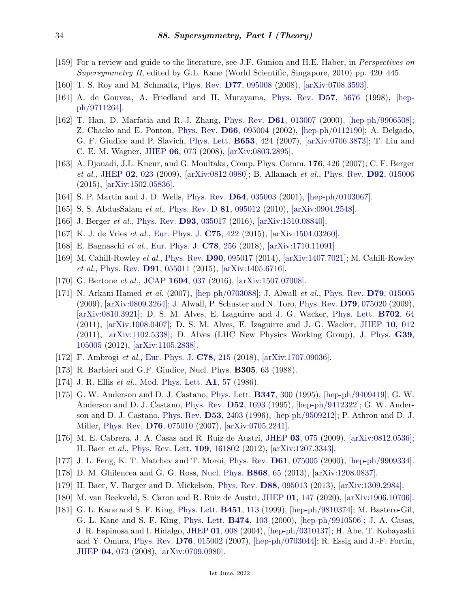- <span id="page-33-0"></span>[159] For a review and guide to the literature, see J.F. Gunion and H.E. Haber, in *Perspectives on Supersymmetry II*, edited by G.L. Kane (World Scientific, Singapore, 2010) pp. 420–445.
- <span id="page-33-1"></span>[160] T. S. Roy and M. Schmaltz, [Phys. Rev.](http://doi.org/10.1103/PhysRevD.77.095008) **D77**[, 095008](http://doi.org/10.1103/PhysRevD.77.095008) (2008), [\[arXiv:0708.3593\].](https://arxiv.org/abs/0708.3593)
- <span id="page-33-2"></span>[161] A. de Gouvea, A. Friedland and H. Murayama, [Phys. Rev.](http://doi.org/10.1103/PhysRevD.57.5676) **D57**[, 5676](http://doi.org/10.1103/PhysRevD.57.5676) (1998), [\[hep](https://arxiv.org/abs/hep-ph/9711264)[ph/9711264\].](https://arxiv.org/abs/hep-ph/9711264)
- <span id="page-33-3"></span>[162] T. Han, D. Marfatia and R.-J. Zhang, [Phys. Rev.](http://doi.org/10.1103/PhysRevD.61.013007) **D61**[, 013007](http://doi.org/10.1103/PhysRevD.61.013007) (2000), [\[hep-ph/9906508\];](https://arxiv.org/abs/hep-ph/9906508) Z. Chacko and E. Ponton, [Phys. Rev.](http://doi.org/10.1103/PhysRevD.66.095004) **D66**[, 095004](http://doi.org/10.1103/PhysRevD.66.095004) (2002), [\[hep-ph/0112190\];](https://arxiv.org/abs/hep-ph/0112190) A. Delgado, G. F. Giudice and P. Slavich, [Phys. Lett.](http://doi.org/10.1016/j.physletb.2007.07.057) **[B653](http://doi.org/10.1016/j.physletb.2007.07.057)**, 424 (2007), [\[arXiv:0706.3873\];](https://arxiv.org/abs/0706.3873) T. Liu and C. E. M. Wagner, [JHEP](http://doi.org/10.1088/1126-6708/2008/06/073) **06**[, 073](http://doi.org/10.1088/1126-6708/2008/06/073) (2008), [\[arXiv:0803.2895\].](https://arxiv.org/abs/0803.2895)
- <span id="page-33-4"></span>[163] A. Djouadi, J.L. Kneur, and G. Moultaka, Comp. Phys. Comm. **176**, 426 (2007); C. F. Berger *et al.*, [JHEP](http://doi.org/10.1088/1126-6708/2009/02/023) **02**[, 023](http://doi.org/10.1088/1126-6708/2009/02/023) (2009), [\[arXiv:0812.0980\];](https://arxiv.org/abs/0812.0980) B. Allanach *et al.*, [Phys. Rev.](http://doi.org/10.1103/PhysRevD.92.015006) **D92**[, 015006](http://doi.org/10.1103/PhysRevD.92.015006) (2015), [\[arXiv:1502.05836\].](https://arxiv.org/abs/1502.05836)
- <span id="page-33-5"></span>[164] S. P. Martin and J. D. Wells, [Phys. Rev.](http://doi.org/10.1103/PhysRevD.64.035003) **D64**[, 035003](http://doi.org/10.1103/PhysRevD.64.035003) (2001), [\[hep-ph/0103067\].](https://arxiv.org/abs/hep-ph/0103067)
- <span id="page-33-6"></span>[165] S. S. AbdusSalam *et al.*, [Phys. Rev. D](http://doi.org/10.1103/PhysRevD.81.095012) **81**[, 095012](http://doi.org/10.1103/PhysRevD.81.095012) (2010), [\[arXiv:0904.2548\].](https://arxiv.org/abs/0904.2548)
- <span id="page-33-7"></span>[166] J. Berger *et al.*, [Phys. Rev.](http://doi.org/10.1103/PhysRevD.93.035017) **D93**[, 035017](http://doi.org/10.1103/PhysRevD.93.035017) (2016), [\[arXiv:1510.08840\].](https://arxiv.org/abs/1510.08840)
- <span id="page-33-8"></span>[167] K. J. de Vries *et al.*, [Eur. Phys. J.](http://doi.org/10.1140/epjc/s10052-015-3599-y) **C75**[, 422](http://doi.org/10.1140/epjc/s10052-015-3599-y) (2015), [\[arXiv:1504.03260\].](https://arxiv.org/abs/1504.03260)
- <span id="page-33-9"></span>[168] E. Bagnaschi *et al.*, [Eur. Phys. J.](http://doi.org/10.1140/epjc/s10052-018-5697-0) **C78**[, 256](http://doi.org/10.1140/epjc/s10052-018-5697-0) (2018), [\[arXiv:1710.11091\].](https://arxiv.org/abs/1710.11091)
- <span id="page-33-10"></span>[169] M. Cahill-Rowley *et al.*, [Phys. Rev.](http://doi.org/10.1103/PhysRevD.90.095017) **D90**[, 095017](http://doi.org/10.1103/PhysRevD.90.095017) (2014), [\[arXiv:1407.7021\];](https://arxiv.org/abs/1407.7021) M. Cahill-Rowley *et al.*, [Phys. Rev.](http://doi.org/10.1103/PhysRevD.91.055011) **D91**[, 055011](http://doi.org/10.1103/PhysRevD.91.055011) (2015), [\[arXiv:1405.6716\].](https://arxiv.org/abs/1405.6716)
- <span id="page-33-11"></span>[170] G. Bertone *et al.*, [JCAP](http://doi.org/10.1088/1475-7516/2016/04/037) **[1604](http://doi.org/10.1088/1475-7516/2016/04/037)**, 037 (2016), [\[arXiv:1507.07008\].](https://arxiv.org/abs/1507.07008)
- <span id="page-33-12"></span>[171] N. Arkani-Hamed *et al.* (2007), [\[hep-ph/0703088\];](https://arxiv.org/abs/hep-ph/0703088) J. Alwall *et al.*, [Phys. Rev.](http://doi.org/10.1103/PhysRevD.79.015005) **D79**[, 015005](http://doi.org/10.1103/PhysRevD.79.015005) (2009), [\[arXiv:0809.3264\];](https://arxiv.org/abs/0809.3264) J. Alwall, P. Schuster and N. Toro, [Phys. Rev.](http://doi.org/10.1103/PhysRevD.79.075020) **D79**[, 075020](http://doi.org/10.1103/PhysRevD.79.075020) (2009), [\[arXiv:0810.3921\];](https://arxiv.org/abs/0810.3921) D. S. M. Alves, E. Izaguirre and J. G. Wacker, [Phys. Lett.](http://doi.org/10.1016/j.physletb.2011.06.067) **[B702](http://doi.org/10.1016/j.physletb.2011.06.067)**, 64 (2011), [\[arXiv:1008.0407\];](https://arxiv.org/abs/1008.0407) D. S. M. Alves, E. Izaguirre and J. G. Wacker, [JHEP](http://doi.org/10.1007/JHEP10(2011)012) **10**[, 012](http://doi.org/10.1007/JHEP10(2011)012) (2011), [\[arXiv:1102.5338\];](https://arxiv.org/abs/1102.5338) D. Alves (LHC New Physics Working Group), [J. Phys.](http://doi.org/10.1088/0954-3899/39/10/105005) **[G39](http://doi.org/10.1088/0954-3899/39/10/105005)**, [105005](http://doi.org/10.1088/0954-3899/39/10/105005) (2012), [\[arXiv:1105.2838\].](https://arxiv.org/abs/1105.2838)
- <span id="page-33-13"></span>[172] F. Ambrogi *et al.*, [Eur. Phys. J.](http://doi.org/10.1140/epjc/s10052-018-5660-0) **C78**[, 215](http://doi.org/10.1140/epjc/s10052-018-5660-0) (2018), [\[arXiv:1707.09036\].](https://arxiv.org/abs/1707.09036)
- <span id="page-33-14"></span>[173] R. Barbieri and G.F. Giudice, Nucl. Phys. **B305**, 63 (1988).
- <span id="page-33-16"></span>[174] J. R. Ellis *et al.*, [Mod. Phys. Lett.](http://doi.org/10.1142/S0217732386000105) **A1**[, 57](http://doi.org/10.1142/S0217732386000105) (1986).
- [175] G. W. Anderson and D. J. Castano, [Phys. Lett.](http://doi.org/10.1016/0370-2693(95)00051-L) **[B347](http://doi.org/10.1016/0370-2693(95)00051-L)**, 300 (1995), [\[hep-ph/9409419\];](https://arxiv.org/abs/hep-ph/9409419) G. W. Anderson and D. J. Castano, [Phys. Rev.](http://doi.org/10.1103/PhysRevD.52.1693) **D52**[, 1693](http://doi.org/10.1103/PhysRevD.52.1693) (1995), [\[hep-ph/9412322\];](https://arxiv.org/abs/hep-ph/9412322) G. W. Anderson and D. J. Castano, [Phys. Rev.](http://doi.org/10.1103/PhysRevD.53.2403) **D53**[, 2403](http://doi.org/10.1103/PhysRevD.53.2403) (1996), [\[hep-ph/9509212\];](https://arxiv.org/abs/hep-ph/9509212) P. Athron and D. J. Miller, [Phys. Rev.](http://doi.org/10.1103/PhysRevD.76.075010) **D76**[, 075010](http://doi.org/10.1103/PhysRevD.76.075010) (2007), [\[arXiv:0705.2241\].](https://arxiv.org/abs/0705.2241)
- <span id="page-33-20"></span>[176] M. E. Cabrera, J. A. Casas and R. Ruiz de Austri, [JHEP](http://doi.org/10.1088/1126-6708/2009/03/075) **03**[, 075](http://doi.org/10.1088/1126-6708/2009/03/075) (2009), [\[arXiv:0812.0536\];](https://arxiv.org/abs/0812.0536) H. Baer *et al.*, [Phys. Rev. Lett.](http://doi.org/10.1103/PhysRevLett.109.161802) **109**[, 161802](http://doi.org/10.1103/PhysRevLett.109.161802) (2012), [\[arXiv:1207.3343\].](https://arxiv.org/abs/1207.3343)
- <span id="page-33-21"></span>[177] J. L. Feng, K. T. Matchev and T. Moroi, [Phys. Rev.](http://doi.org/10.1103/PhysRevD.61.075005) **D61**[, 075005](http://doi.org/10.1103/PhysRevD.61.075005) (2000), [\[hep-ph/9909334\].](https://arxiv.org/abs/hep-ph/9909334)
- <span id="page-33-15"></span>[178] D. M. Ghilencea and G. G. Ross, [Nucl. Phys.](http://doi.org/10.1016/j.nuclphysb.2012.11.007) **[B868](http://doi.org/10.1016/j.nuclphysb.2012.11.007)**, 65 (2013), [\[arXiv:1208.0837\].](https://arxiv.org/abs/1208.0837)
- <span id="page-33-17"></span>[179] H. Baer, V. Barger and D. Mickelson, [Phys. Rev.](http://doi.org/10.1103/PhysRevD.88.095013) **D88**[, 095013](http://doi.org/10.1103/PhysRevD.88.095013) (2013), [\[arXiv:1309.2984\].](https://arxiv.org/abs/1309.2984)
- <span id="page-33-18"></span>[180] M. van Beekveld, S. Caron and R. Ruiz de Austri, [JHEP](http://doi.org/10.1007/JHEP01(2020)147) **01**[, 147](http://doi.org/10.1007/JHEP01(2020)147) (2020), [\[arXiv:1906.10706\].](https://arxiv.org/abs/1906.10706)
- <span id="page-33-19"></span>[181] G. L. Kane and S. F. King, [Phys. Lett.](http://doi.org/10.1016/S0370-2693(99)00190-2) **[B451](http://doi.org/10.1016/S0370-2693(99)00190-2)**, 113 (1999), [\[hep-ph/9810374\];](https://arxiv.org/abs/hep-ph/9810374) M. Bastero-Gil, G. L. Kane and S. F. King, [Phys. Lett.](http://doi.org/10.1016/S0370-2693(00)00002-2) **[B474](http://doi.org/10.1016/S0370-2693(00)00002-2)**, 103 (2000), [\[hep-ph/9910506\];](https://arxiv.org/abs/hep-ph/9910506) J. A. Casas, J. R. Espinosa and I. Hidalgo, [JHEP](http://doi.org/10.1088/1126-6708/2004/01/008) **01**[, 008](http://doi.org/10.1088/1126-6708/2004/01/008) (2004), [\[hep-ph/0310137\];](https://arxiv.org/abs/hep-ph/0310137) H. Abe, T. Kobayashi and Y. Omura, [Phys. Rev.](http://doi.org/10.1103/PhysRevD.76.015002) **D76**[, 015002](http://doi.org/10.1103/PhysRevD.76.015002) (2007), [\[hep-ph/0703044\];](https://arxiv.org/abs/hep-ph/0703044) R. Essig and J.-F. Fortin, [JHEP](http://doi.org/10.1088/1126-6708/2008/04/073) **04**[, 073](http://doi.org/10.1088/1126-6708/2008/04/073) (2008), [\[arXiv:0709.0980\].](https://arxiv.org/abs/0709.0980)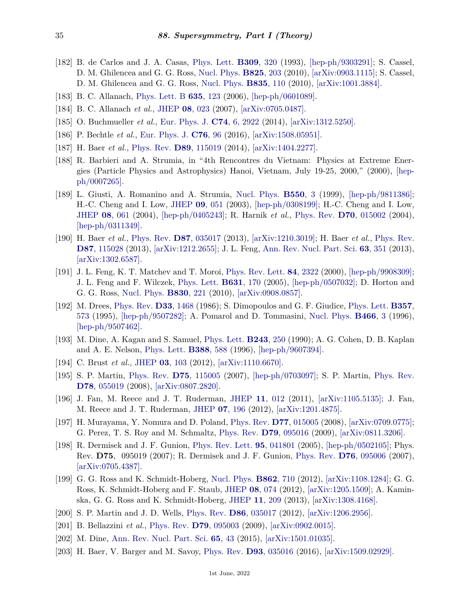- <span id="page-34-0"></span>[182] B. de Carlos and J. A. Casas, [Phys. Lett.](http://doi.org/10.1016/0370-2693(93)90940-J) **[B309](http://doi.org/10.1016/0370-2693(93)90940-J)**, 320 (1993), [\[hep-ph/9303291\];](https://arxiv.org/abs/hep-ph/9303291) S. Cassel, D. M. Ghilencea and G. G. Ross, [Nucl. Phys.](http://doi.org/10.1016/j.nuclphysb.2009.09.021) **[B825](http://doi.org/10.1016/j.nuclphysb.2009.09.021)**, 203 (2010), [\[arXiv:0903.1115\];](https://arxiv.org/abs/0903.1115) S. Cassel, D. M. Ghilencea and G. G. Ross, [Nucl. Phys.](http://doi.org/10.1016/j.nuclphysb.2010.03.031) **[B835](http://doi.org/10.1016/j.nuclphysb.2010.03.031)**, 110 (2010), [\[arXiv:1001.3884\].](https://arxiv.org/abs/1001.3884)
- <span id="page-34-1"></span>[183] B. C. Allanach, [Phys. Lett. B](http://doi.org/10.1016/j.physletb.2006.02.052) **635**[, 123](http://doi.org/10.1016/j.physletb.2006.02.052) (2006), [\[hep-ph/0601089\].](https://arxiv.org/abs/hep-ph/0601089)
- <span id="page-34-2"></span>[184] B. C. Allanach *et al.*, [JHEP](http://doi.org/10.1088/1126-6708/2007/08/023) **08**[, 023](http://doi.org/10.1088/1126-6708/2007/08/023) (2007), [\[arXiv:0705.0487\].](https://arxiv.org/abs/0705.0487)
- <span id="page-34-3"></span>[185] O. Buchmueller *et al.*, [Eur. Phys. J.](http://doi.org/10.1140/epjc/s10052-014-2922-3) **C74**[, 6, 2922](http://doi.org/10.1140/epjc/s10052-014-2922-3) (2014), [\[arXiv:1312.5250\].](https://arxiv.org/abs/1312.5250)
- <span id="page-34-4"></span>[186] P. Bechtle *et al.*, [Eur. Phys. J.](http://doi.org/10.1140/epjc/s10052-015-3864-0) **[C76](http://doi.org/10.1140/epjc/s10052-015-3864-0)**, 96 (2016), [\[arXiv:1508.05951\].](https://arxiv.org/abs/1508.05951)
- <span id="page-34-5"></span>[187] H. Baer *et al.*, [Phys. Rev.](http://doi.org/10.1103/PhysRevD.89.115019) **D89**[, 115019](http://doi.org/10.1103/PhysRevD.89.115019) (2014), [\[arXiv:1404.2277\].](https://arxiv.org/abs/1404.2277)
- <span id="page-34-6"></span>[188] R. Barbieri and A. Strumia, in "4th Rencontres du Vietnam: Physics at Extreme Energies (Particle Physics and Astrophysics) Hanoi, Vietnam, July 19-25, 2000," (2000), [\[hep](https://arxiv.org/abs/hep-ph/0007265)[ph/0007265\].](https://arxiv.org/abs/hep-ph/0007265)
- <span id="page-34-7"></span>[189] L. Giusti, A. Romanino and A. Strumia, [Nucl. Phys.](http://doi.org/10.1016/S0550-3213(99)00153-4) **[B550](http://doi.org/10.1016/S0550-3213(99)00153-4)**, 3 (1999), [\[hep-ph/9811386\];](https://arxiv.org/abs/hep-ph/9811386) H.-C. Cheng and I. Low, [JHEP](http://doi.org/10.1088/1126-6708/2003/09/051) **09**[, 051](http://doi.org/10.1088/1126-6708/2003/09/051) (2003), [\[hep-ph/0308199\];](https://arxiv.org/abs/hep-ph/0308199) H.-C. Cheng and I. Low, [JHEP](http://doi.org/10.1088/1126-6708/2004/08/061) **08**[, 061](http://doi.org/10.1088/1126-6708/2004/08/061) (2004), [\[hep-ph/0405243\];](https://arxiv.org/abs/hep-ph/0405243) R. Harnik *et al.*, [Phys. Rev.](http://doi.org/10.1103/PhysRevD.70.015002) **D70**[, 015002](http://doi.org/10.1103/PhysRevD.70.015002) (2004), [\[hep-ph/0311349\].](https://arxiv.org/abs/hep-ph/0311349)
- <span id="page-34-8"></span>[190] H. Baer *et al.*, [Phys. Rev.](http://doi.org/10.1103/PhysRevD.87.035017) **D87**[, 035017](http://doi.org/10.1103/PhysRevD.87.035017) (2013), [\[arXiv:1210.3019\];](https://arxiv.org/abs/1210.3019) H. Baer *et al.*, [Phys. Rev.](http://doi.org/10.1103/PhysRevD.87.115028) **D87**[, 115028](http://doi.org/10.1103/PhysRevD.87.115028) (2013), [\[arXiv:1212.2655\];](https://arxiv.org/abs/1212.2655) J. L. Feng, [Ann. Rev. Nucl. Part. Sci.](http://doi.org/10.1146/annurev-nucl-102010-130447) **63**[, 351](http://doi.org/10.1146/annurev-nucl-102010-130447) (2013), [\[arXiv:1302.6587\].](https://arxiv.org/abs/1302.6587)
- <span id="page-34-9"></span>[191] J. L. Feng, K. T. Matchev and T. Moroi, [Phys. Rev. Lett.](http://doi.org/10.1103/PhysRevLett.84.2322) **84**[, 2322](http://doi.org/10.1103/PhysRevLett.84.2322) (2000), [\[hep-ph/9908309\];](https://arxiv.org/abs/hep-ph/9908309) J. L. Feng and F. Wilczek, [Phys. Lett.](http://doi.org/10.1016/j.physletb.2005.10.007) **[B631](http://doi.org/10.1016/j.physletb.2005.10.007)**, 170 (2005), [\[hep-ph/0507032\];](https://arxiv.org/abs/hep-ph/0507032) D. Horton and G. G. Ross, [Nucl. Phys.](http://doi.org/10.1016/j.nuclphysb.2009.12.031) **[B830](http://doi.org/10.1016/j.nuclphysb.2009.12.031)**, 221 (2010), [\[arXiv:0908.0857\].](https://arxiv.org/abs/0908.0857)
- <span id="page-34-10"></span>[192] M. Drees, [Phys. Rev.](http://doi.org/10.1103/PhysRevD.33.1468) **D33**[, 1468](http://doi.org/10.1103/PhysRevD.33.1468) (1986); S. Dimopoulos and G. F. Giudice, [Phys. Lett.](http://doi.org/10.1016/0370-2693(95)00961-J) **[B357](http://doi.org/10.1016/0370-2693(95)00961-J)**, [573](http://doi.org/10.1016/0370-2693(95)00961-J) (1995), [\[hep-ph/9507282\];](https://arxiv.org/abs/hep-ph/9507282) A. Pomarol and D. Tommasini, [Nucl. Phys.](http://doi.org/10.1016/0550-3213(96)00074-0) **[B466](http://doi.org/10.1016/0550-3213(96)00074-0)**, 3 (1996), [\[hep-ph/9507462\].](https://arxiv.org/abs/hep-ph/9507462)
- <span id="page-34-11"></span>[193] M. Dine, A. Kagan and S. Samuel, [Phys. Lett.](http://doi.org/10.1016/0370-2693(90)90847-Y) **[B243](http://doi.org/10.1016/0370-2693(90)90847-Y)**, 250 (1990); A. G. Cohen, D. B. Kaplan and A. E. Nelson, [Phys. Lett.](http://doi.org/10.1016/S0370-2693(96)01183-5) **[B388](http://doi.org/10.1016/S0370-2693(96)01183-5)**, 588 (1996), [\[hep-ph/9607394\].](https://arxiv.org/abs/hep-ph/9607394)
- <span id="page-34-12"></span>[194] C. Brust *et al.*, [JHEP](http://doi.org/10.1007/JHEP03(2012)103) **03**[, 103](http://doi.org/10.1007/JHEP03(2012)103) (2012), [\[arXiv:1110.6670\].](https://arxiv.org/abs/1110.6670)
- <span id="page-34-13"></span>[195] S. P. Martin, [Phys. Rev.](http://doi.org/10.1103/PhysRevD.75.115005) **D75**[, 115005](http://doi.org/10.1103/PhysRevD.75.115005) (2007), [\[hep-ph/0703097\];](https://arxiv.org/abs/hep-ph/0703097) S. P. Martin, [Phys. Rev.](http://doi.org/10.1103/PhysRevD.78.055019) **D78**[, 055019](http://doi.org/10.1103/PhysRevD.78.055019) (2008), [\[arXiv:0807.2820\].](https://arxiv.org/abs/0807.2820)
- <span id="page-34-14"></span>[196] J. Fan, M. Reece and J. T. Ruderman, [JHEP](http://doi.org/10.1007/JHEP11(2011)012) **11**[, 012](http://doi.org/10.1007/JHEP11(2011)012) (2011), [\[arXiv:1105.5135\];](https://arxiv.org/abs/1105.5135) J. Fan, M. Reece and J. T. Ruderman, [JHEP](http://doi.org/10.1007/JHEP07(2012)196) **07**[, 196](http://doi.org/10.1007/JHEP07(2012)196) (2012), [\[arXiv:1201.4875\].](https://arxiv.org/abs/1201.4875)
- <span id="page-34-15"></span>[197] H. Murayama, Y. Nomura and D. Poland, [Phys. Rev.](http://doi.org/10.1103/PhysRevD.77.015005) **D77**[, 015005](http://doi.org/10.1103/PhysRevD.77.015005) (2008), [\[arXiv:0709.0775\];](https://arxiv.org/abs/0709.0775) G. Perez, T. S. Roy and M. Schmaltz, [Phys. Rev.](http://doi.org/10.1103/PhysRevD.79.095016) **D79**[, 095016](http://doi.org/10.1103/PhysRevD.79.095016) (2009), [\[arXiv:0811.3206\].](https://arxiv.org/abs/0811.3206)
- <span id="page-34-16"></span>[198] R. Dermisek and J. F. Gunion, [Phys. Rev. Lett.](http://doi.org/10.1103/PhysRevLett.95.041801) **95**[, 041801](http://doi.org/10.1103/PhysRevLett.95.041801) (2005), [\[hep-ph/0502105\];](https://arxiv.org/abs/hep-ph/0502105) Phys. Rev. **D75**, 095019 (2007); R. Dermisek and J. F. Gunion, [Phys. Rev.](http://doi.org/10.1103/PhysRevD.76.095006) **D76**[, 095006](http://doi.org/10.1103/PhysRevD.76.095006) (2007), [\[arXiv:0705.4387\].](https://arxiv.org/abs/0705.4387)
- <span id="page-34-17"></span>[199] G. G. Ross and K. Schmidt-Hoberg, [Nucl. Phys.](http://doi.org/10.1016/j.nuclphysb.2012.05.007) **[B862](http://doi.org/10.1016/j.nuclphysb.2012.05.007)**, 710 (2012), [\[arXiv:1108.1284\];](https://arxiv.org/abs/1108.1284) G. G. Ross, K. Schmidt-Hoberg and F. Staub, [JHEP](http://doi.org/10.1007/JHEP08(2012)074) **08**[, 074](http://doi.org/10.1007/JHEP08(2012)074) (2012), [\[arXiv:1205.1509\];](https://arxiv.org/abs/1205.1509) A. Kaminska, G. G. Ross and K. Schmidt-Hoberg, [JHEP](http://doi.org/10.1007/JHEP11(2013)209) **11**[, 209](http://doi.org/10.1007/JHEP11(2013)209) (2013), [\[arXiv:1308.4168\].](https://arxiv.org/abs/1308.4168)
- <span id="page-34-18"></span>[200] S. P. Martin and J. D. Wells, [Phys. Rev.](http://doi.org/10.1103/PhysRevD.86.035017) **D86**[, 035017](http://doi.org/10.1103/PhysRevD.86.035017) (2012), [\[arXiv:1206.2956\].](https://arxiv.org/abs/1206.2956)
- <span id="page-34-19"></span>[201] B. Bellazzini *et al.*, [Phys. Rev.](http://doi.org/10.1103/PhysRevD.79.095003) **D79**[, 095003](http://doi.org/10.1103/PhysRevD.79.095003) (2009), [\[arXiv:0902.0015\].](https://arxiv.org/abs/0902.0015)
- <span id="page-34-20"></span>[202] M. Dine, [Ann. Rev. Nucl. Part. Sci.](http://doi.org/10.1146/annurev-nucl-102014-022053) **65**[, 43](http://doi.org/10.1146/annurev-nucl-102014-022053) (2015), [\[arXiv:1501.01035\].](https://arxiv.org/abs/1501.01035)
- <span id="page-34-21"></span>[203] H. Baer, V. Barger and M. Savoy, [Phys. Rev.](http://doi.org/10.1103/PhysRevD.93.035016) **D93**[, 035016](http://doi.org/10.1103/PhysRevD.93.035016) (2016), [\[arXiv:1509.02929\].](https://arxiv.org/abs/1509.02929)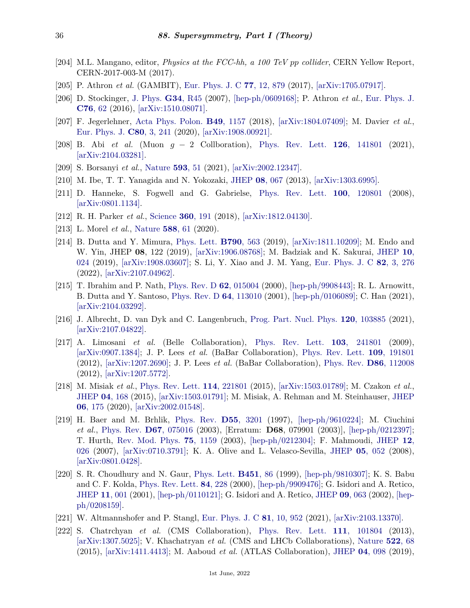- <span id="page-35-0"></span>[204] M.L. Mangano, editor, *Physics at the FCC-hh, a 100 TeV pp collider*, CERN Yellow Report, CERN-2017-003-M (2017).
- <span id="page-35-1"></span>[205] P. Athron *et al.* (GAMBIT), [Eur. Phys. J. C](http://doi.org/10.1140/epjc/s10052-017-5196-8) **77**[, 12, 879](http://doi.org/10.1140/epjc/s10052-017-5196-8) (2017), [\[arXiv:1705.07917\].](https://arxiv.org/abs/1705.07917)
- <span id="page-35-2"></span>[206] D. Stockinger, [J. Phys.](http://doi.org/10.1088/0954-3899/34/2/R01) **G34**[, R45](http://doi.org/10.1088/0954-3899/34/2/R01) (2007), [\[hep-ph/0609168\];](https://arxiv.org/abs/hep-ph/0609168) P. Athron *et al.*, [Eur. Phys. J.](http://doi.org/10.1140/epjc/s10052-015-3870-2) **[C76](http://doi.org/10.1140/epjc/s10052-015-3870-2)**, 62 (2016), [\[arXiv:1510.08071\].](https://arxiv.org/abs/1510.08071)
- <span id="page-35-3"></span>[207] F. Jegerlehner, [Acta Phys. Polon.](http://doi.org/10.5506/APhysPolB.49.1157) **B49**[, 1157](http://doi.org/10.5506/APhysPolB.49.1157) (2018), [\[arXiv:1804.07409\];](https://arxiv.org/abs/1804.07409) M. Davier *et al.*, [Eur. Phys. J.](http://doi.org/10.1140/epjc/s10052-020-7792-2) **C80**[, 3, 241](http://doi.org/10.1140/epjc/s10052-020-7792-2) (2020), [\[arXiv:1908.00921\].](https://arxiv.org/abs/1908.00921)
- <span id="page-35-4"></span>[208] B. Abi *et al.* (Muon *g* − 2 Collboration), [Phys. Rev. Lett.](http://doi.org/10.1103/PhysRevLett.126.141801) **126**[, 141801](http://doi.org/10.1103/PhysRevLett.126.141801) (2021), [\[arXiv:2104.03281\].](https://arxiv.org/abs/2104.03281)
- <span id="page-35-5"></span>[209] S. Borsanyi *et al.*, [Nature](http://doi.org/10.1038/s41586-021-03418-1) **[593](http://doi.org/10.1038/s41586-021-03418-1)**, 51 (2021), [\[arXiv:2002.12347\].](https://arxiv.org/abs/2002.12347)
- <span id="page-35-6"></span>[210] M. Ibe, T. T. Yanagida and N. Yokozaki, [JHEP](http://doi.org/10.1007/JHEP08(2013)067) **08**[, 067](http://doi.org/10.1007/JHEP08(2013)067) (2013), [\[arXiv:1303.6995\].](https://arxiv.org/abs/1303.6995)
- <span id="page-35-7"></span>[211] D. Hanneke, S. Fogwell and G. Gabrielse, [Phys. Rev. Lett.](http://doi.org/10.1103/PhysRevLett.100.120801) **100**[, 120801](http://doi.org/10.1103/PhysRevLett.100.120801) (2008), [\[arXiv:0801.1134\].](https://arxiv.org/abs/0801.1134)
- <span id="page-35-8"></span>[212] R. H. Parker *et al.*, [Science](http://doi.org/10.1126/science.aap7706) **360**[, 191](http://doi.org/10.1126/science.aap7706) (2018), [\[arXiv:1812.04130\].](https://arxiv.org/abs/1812.04130)
- <span id="page-35-9"></span>[213] L. Morel *et al.*, [Nature](http://doi.org/10.1038/s41586-020-2964-7) **[588](http://doi.org/10.1038/s41586-020-2964-7)**, 61 (2020).
- <span id="page-35-10"></span>[214] B. Dutta and Y. Mimura, [Phys. Lett.](http://doi.org/10.1016/j.physletb.2018.12.070) **[B790](http://doi.org/10.1016/j.physletb.2018.12.070)**, 563 (2019), [\[arXiv:1811.10209\];](https://arxiv.org/abs/1811.10209) M. Endo and W. Yin, JHEP **08**, 122 (2019), [\[arXiv:1906.08768\];](https://arxiv.org/abs/1906.08768) M. Badziak and K. Sakurai, [JHEP](http://doi.org/10.1007/JHEP10(2019)024) **[10](http://doi.org/10.1007/JHEP10(2019)024)**, [024](http://doi.org/10.1007/JHEP10(2019)024) (2019), [\[arXiv:1908.03607\];](https://arxiv.org/abs/1908.03607) S. Li, Y. Xiao and J. M. Yang, [Eur. Phys. J. C](http://doi.org/10.1140/epjc/s10052-022-10242-y) **82**[, 3, 276](http://doi.org/10.1140/epjc/s10052-022-10242-y) (2022), [\[arXiv:2107.04962\].](https://arxiv.org/abs/2107.04962)
- <span id="page-35-11"></span>[215] T. Ibrahim and P. Nath, [Phys. Rev. D](http://doi.org/10.1103/PhysRevD.62.015004) **62**[, 015004](http://doi.org/10.1103/PhysRevD.62.015004) (2000), [\[hep-ph/9908443\];](https://arxiv.org/abs/hep-ph/9908443) R. L. Arnowitt, B. Dutta and Y. Santoso, [Phys. Rev. D](http://doi.org/10.1103/PhysRevD.64.113010) **64**[, 113010](http://doi.org/10.1103/PhysRevD.64.113010) (2001), [\[hep-ph/0106089\];](https://arxiv.org/abs/hep-ph/0106089) C. Han (2021),  $\arXiv:2104.03292$ .
- <span id="page-35-12"></span>[216] J. Albrecht, D. van Dyk and C. Langenbruch, [Prog. Part. Nucl. Phys.](http://doi.org/10.1016/j.ppnp.2021.103885) **120**[, 103885](http://doi.org/10.1016/j.ppnp.2021.103885) (2021), [\[arXiv:2107.04822\].](https://arxiv.org/abs/2107.04822)
- <span id="page-35-13"></span>[217] A. Limosani *et al.* (Belle Collaboration), [Phys. Rev. Lett.](http://doi.org/10.1103/PhysRevLett.103.241801) **103**[, 241801](http://doi.org/10.1103/PhysRevLett.103.241801) (2009), [\[arXiv:0907.1384\];](https://arxiv.org/abs/0907.1384) J. P. Lees *et al.* (BaBar Collaboration), [Phys. Rev. Lett.](http://doi.org/10.1103/PhysRevLett.109.191801) **109**[, 191801](http://doi.org/10.1103/PhysRevLett.109.191801) (2012), [\[arXiv:1207.2690\];](https://arxiv.org/abs/1207.2690) J. P. Lees *et al.* (BaBar Collaboration), [Phys. Rev.](http://doi.org/10.1103/PhysRevD.86.112008) **D86**[, 112008](http://doi.org/10.1103/PhysRevD.86.112008) (2012), [\[arXiv:1207.5772\].](https://arxiv.org/abs/1207.5772)
- <span id="page-35-14"></span>[218] M. Misiak *et al.*, [Phys. Rev. Lett.](http://doi.org/10.1103/PhysRevLett.114.221801) **114**[, 221801](http://doi.org/10.1103/PhysRevLett.114.221801) (2015), [\[arXiv:1503.01789\];](https://arxiv.org/abs/1503.01789) M. Czakon *et al.*, [JHEP](http://doi.org/10.1007/JHEP04(2015)168) **04**[, 168](http://doi.org/10.1007/JHEP04(2015)168) (2015), [\[arXiv:1503.01791\];](https://arxiv.org/abs/1503.01791) M. Misiak, A. Rehman and M. Steinhauser, [JHEP](http://doi.org/10.1007/JHEP06(2020)175) **06**[, 175](http://doi.org/10.1007/JHEP06(2020)175) (2020), [\[arXiv:2002.01548\].](https://arxiv.org/abs/2002.01548)
- <span id="page-35-15"></span>[219] H. Baer and M. Brhlik, [Phys. Rev.](http://doi.org/10.1103/PhysRevD.55.3201) **D55**[, 3201](http://doi.org/10.1103/PhysRevD.55.3201) (1997), [\[hep-ph/9610224\];](https://arxiv.org/abs/hep-ph/9610224) M. Ciuchini *et al.*, [Phys. Rev.](http://doi.org/10.1103/PhysRevD.67.075016) **D67**[, 075016](http://doi.org/10.1103/PhysRevD.67.075016) (2003), [Erratum: **D68**, 079901 (2003)], [\[hep-ph/0212397\];](https://arxiv.org/abs/hep-ph/0212397) T. Hurth, [Rev. Mod. Phys.](http://doi.org/10.1103/RevModPhys.75.1159) **75**[, 1159](http://doi.org/10.1103/RevModPhys.75.1159) (2003), [\[hep-ph/0212304\];](https://arxiv.org/abs/hep-ph/0212304) F. Mahmoudi, [JHEP](http://doi.org/10.1088/1126-6708/2007/12/026) **[12](http://doi.org/10.1088/1126-6708/2007/12/026)**, [026](http://doi.org/10.1088/1126-6708/2007/12/026) (2007), [\[arXiv:0710.3791\];](https://arxiv.org/abs/0710.3791) K. A. Olive and L. Velasco-Sevilla, [JHEP](http://doi.org/10.1088/1126-6708/2008/05/052) **05**[, 052](http://doi.org/10.1088/1126-6708/2008/05/052) (2008), [\[arXiv:0801.0428\].](https://arxiv.org/abs/0801.0428)
- <span id="page-35-16"></span>[220] S. R. Choudhury and N. Gaur, [Phys. Lett.](http://doi.org/10.1016/S0370-2693(99)00203-8) **[B451](http://doi.org/10.1016/S0370-2693(99)00203-8)**, 86 (1999), [\[hep-ph/9810307\];](https://arxiv.org/abs/hep-ph/9810307) K. S. Babu and C. F. Kolda, [Phys. Rev. Lett.](http://doi.org/10.1103/PhysRevLett.84.228) **84**[, 228](http://doi.org/10.1103/PhysRevLett.84.228) (2000), [\[hep-ph/9909476\];](https://arxiv.org/abs/hep-ph/9909476) G. Isidori and A. Retico, [JHEP](http://doi.org/10.1088/1126-6708/2001/11/001) **11**[, 001](http://doi.org/10.1088/1126-6708/2001/11/001) (2001), [\[hep-ph/0110121\];](https://arxiv.org/abs/hep-ph/0110121) G. Isidori and A. Retico, [JHEP](http://doi.org/10.1088/1126-6708/2002/09/063) **09**[, 063](http://doi.org/10.1088/1126-6708/2002/09/063) (2002), [\[hep](https://arxiv.org/abs/hep-ph/0208159)[ph/0208159\].](https://arxiv.org/abs/hep-ph/0208159)
- <span id="page-35-17"></span>[221] W. Altmannshofer and P. Stangl, [Eur. Phys. J. C](http://doi.org/10.1140/epjc/s10052-021-09725-1) **81**[, 10, 952](http://doi.org/10.1140/epjc/s10052-021-09725-1) (2021), [\[arXiv:2103.13370\].](https://arxiv.org/abs/2103.13370)
- <span id="page-35-18"></span>[222] S. Chatrchyan *et al.* (CMS Collaboration), [Phys. Rev. Lett.](http://doi.org/10.1103/PhysRevLett.111.101804) **111**[, 101804](http://doi.org/10.1103/PhysRevLett.111.101804) (2013), [\[arXiv:1307.5025\];](https://arxiv.org/abs/1307.5025) V. Khachatryan *et al.* (CMS and LHCb Collaborations), [Nature](http://doi.org/10.1038/nature14474) **[522](http://doi.org/10.1038/nature14474)**, 68 (2015), [\[arXiv:1411.4413\];](https://arxiv.org/abs/1411.4413) M. Aaboud *et al.* (ATLAS Collaboration), [JHEP](http://doi.org/10.1007/JHEP04(2019)098) **04**[, 098](http://doi.org/10.1007/JHEP04(2019)098) (2019),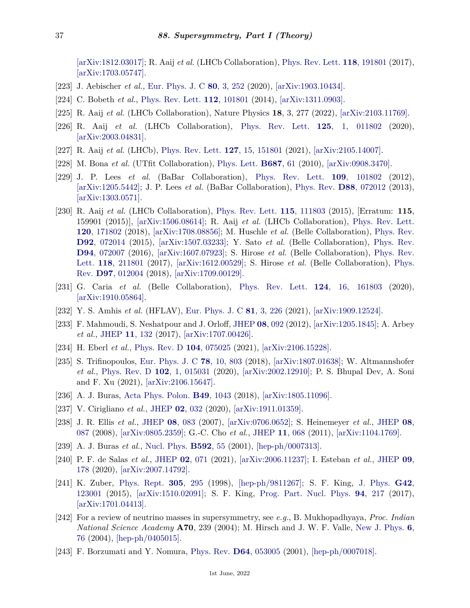[\[arXiv:1812.03017\];](https://arxiv.org/abs/1812.03017) R. Aaij *et al.* (LHCb Collaboration), [Phys. Rev. Lett.](http://doi.org/10.1103/PhysRevLett.118.191801) **118**[, 191801](http://doi.org/10.1103/PhysRevLett.118.191801) (2017), [\[arXiv:1703.05747\].](https://arxiv.org/abs/1703.05747)

- <span id="page-36-1"></span><span id="page-36-0"></span>[223] J. Aebischer *et al.*, [Eur. Phys. J. C](http://doi.org/10.1140/epjc/s10052-020-7817-x) **80**[, 3, 252](http://doi.org/10.1140/epjc/s10052-020-7817-x) (2020), [\[arXiv:1903.10434\].](https://arxiv.org/abs/1903.10434)
- [224] C. Bobeth *et al.*, [Phys. Rev. Lett.](http://doi.org/10.1103/PhysRevLett.112.101801) **112**[, 101801](http://doi.org/10.1103/PhysRevLett.112.101801) (2014), [\[arXiv:1311.0903\].](https://arxiv.org/abs/1311.0903)
- <span id="page-36-2"></span>[225] R. Aaij *et al.* (LHCb Collaboration), Nature Physics **18**, 3, 277 (2022), [\[arXiv:2103.11769\].](https://arxiv.org/abs/2103.11769)
- <span id="page-36-3"></span>[226] R. Aaij *et al.* (LHCb Collaboration), [Phys. Rev. Lett.](http://doi.org/10.1103/PhysRevLett.125.011802) **125**[, 1, 011802](http://doi.org/10.1103/PhysRevLett.125.011802) (2020), [\[arXiv:2003.04831\].](https://arxiv.org/abs/2003.04831)
- <span id="page-36-4"></span>[227] R. Aaij *et al.* (LHCb), [Phys. Rev. Lett.](http://doi.org/10.1103/PhysRevLett.127.151801) **127**[, 15, 151801](http://doi.org/10.1103/PhysRevLett.127.151801) (2021), [\[arXiv:2105.14007\].](https://arxiv.org/abs/2105.14007)
- <span id="page-36-5"></span>[228] M. Bona *et al.* (UTfit Collaboration), [Phys. Lett.](http://doi.org/10.1016/j.physletb.2010.02.063) **[B687](http://doi.org/10.1016/j.physletb.2010.02.063)**, 61 (2010), [\[arXiv:0908.3470\].](https://arxiv.org/abs/0908.3470)
- <span id="page-36-6"></span>[229] J. P. Lees *et al.* (BaBar Collaboration), [Phys. Rev. Lett.](http://doi.org/10.1103/PhysRevLett.109.101802) **109**[, 101802](http://doi.org/10.1103/PhysRevLett.109.101802) (2012), [\[arXiv:1205.5442\];](https://arxiv.org/abs/1205.5442) J. P. Lees *et al.* (BaBar Collaboration), [Phys. Rev.](http://doi.org/10.1103/PhysRevD.88.072012) **D88**[, 072012](http://doi.org/10.1103/PhysRevD.88.072012) (2013), [\[arXiv:1303.0571\].](https://arxiv.org/abs/1303.0571)
- <span id="page-36-7"></span>[230] R. Aaij *et al.* (LHCb Collaboration), [Phys. Rev. Lett.](http://doi.org/10.1103/PhysRevLett.115.159901) **115**[, 111803](http://doi.org/10.1103/PhysRevLett.115.159901) (2015), [Erratum: **115**, 159901 (2015)], [\[arXiv:1506.08614\];](https://arxiv.org/abs/1506.08614) R. Aaij *et al.* (LHCb Collaboration), [Phys. Rev. Lett.](http://doi.org/10.1103/PhysRevLett.120.171802) **120**[, 171802](http://doi.org/10.1103/PhysRevLett.120.171802) (2018), [\[arXiv:1708.08856\];](https://arxiv.org/abs/1708.08856) M. Huschle *et al.* (Belle Collaboration), [Phys. Rev.](http://doi.org/10.1103/PhysRevD.92.072014) **D92**[, 072014](http://doi.org/10.1103/PhysRevD.92.072014) (2015), [\[arXiv:1507.03233\];](https://arxiv.org/abs/1507.03233) Y. Sato *et al.* (Belle Collaboration), [Phys. Rev.](http://doi.org/10.1103/PhysRevD.94.072007) **D94**[, 072007](http://doi.org/10.1103/PhysRevD.94.072007) (2016), [\[arXiv:1607.07923\];](https://arxiv.org/abs/1607.07923) S. Hirose *et al.* (Belle Collaboration), [Phys. Rev.](http://doi.org/10.1103/PhysRevLett.118.211801) [Lett.](http://doi.org/10.1103/PhysRevLett.118.211801) **118**[, 211801](http://doi.org/10.1103/PhysRevLett.118.211801) (2017), [\[arXiv:1612.00529\];](https://arxiv.org/abs/1612.00529) S. Hirose *et al.* (Belle Collaboration), [Phys.](http://doi.org/10.1103/PhysRevD.97.012004) [Rev.](http://doi.org/10.1103/PhysRevD.97.012004) **D97**[, 012004](http://doi.org/10.1103/PhysRevD.97.012004) (2018), [\[arXiv:1709.00129\].](https://arxiv.org/abs/1709.00129)
- <span id="page-36-8"></span>[231] G. Caria *et al.* (Belle Collaboration), [Phys. Rev. Lett.](http://doi.org/10.1103/PhysRevLett.124.161803) **124**[, 16, 161803](http://doi.org/10.1103/PhysRevLett.124.161803) (2020), [\[arXiv:1910.05864\].](https://arxiv.org/abs/1910.05864)
- <span id="page-36-9"></span>[232] Y. S. Amhis *et al.* (HFLAV), [Eur. Phys. J. C](http://doi.org/10.1140/epjc/s10052-020-8156-7) **81**[, 3, 226](http://doi.org/10.1140/epjc/s10052-020-8156-7) (2021), [\[arXiv:1909.12524\].](https://arxiv.org/abs/1909.12524)
- <span id="page-36-10"></span>[233] F. Mahmoudi, S. Neshatpour and J. Orloff, [JHEP](http://doi.org/10.1007/JHEP08(2012)092) **08**[, 092](http://doi.org/10.1007/JHEP08(2012)092) (2012), [\[arXiv:1205.1845\];](https://arxiv.org/abs/1205.1845) A. Arbey *et al.*, [JHEP](http://doi.org/10.1007/JHEP11(2017)132) **11**[, 132](http://doi.org/10.1007/JHEP11(2017)132) (2017), [\[arXiv:1707.00426\].](https://arxiv.org/abs/1707.00426)
- <span id="page-36-12"></span><span id="page-36-11"></span>[234] H. Eberl *et al.*, [Phys. Rev. D](http://doi.org/10.1103/PhysRevD.104.075025) **104**[, 075025](http://doi.org/10.1103/PhysRevD.104.075025) (2021), [\[arXiv:2106.15228\].](https://arxiv.org/abs/2106.15228)
- [235] S. Trifinopoulos, [Eur. Phys. J. C](http://doi.org/10.1140/epjc/s10052-018-6280-4) **78**[, 10, 803](http://doi.org/10.1140/epjc/s10052-018-6280-4) (2018), [\[arXiv:1807.01638\];](https://arxiv.org/abs/1807.01638) W. Altmannshofer *et al.*, [Phys. Rev. D](http://doi.org/10.1103/PhysRevD.102.015031) **102**[, 1, 015031](http://doi.org/10.1103/PhysRevD.102.015031) (2020), [\[arXiv:2002.12910\];](https://arxiv.org/abs/2002.12910) P. S. Bhupal Dev, A. Soni and F. Xu (2021), [\[arXiv:2106.15647\].](https://arxiv.org/abs/2106.15647)
- <span id="page-36-14"></span><span id="page-36-13"></span>[236] A. J. Buras, [Acta Phys. Polon.](http://doi.org/10.5506/APhysPolB.49.1043) **B49**[, 1043](http://doi.org/10.5506/APhysPolB.49.1043) (2018), [\[arXiv:1805.11096\].](https://arxiv.org/abs/1805.11096)
- [237] V. Cirigliano *et al.*, [JHEP](http://doi.org/10.1007/JHEP02(2020)032) **02**[, 032](http://doi.org/10.1007/JHEP02(2020)032) (2020), [\[arXiv:1911.01359\].](https://arxiv.org/abs/1911.01359)
- <span id="page-36-15"></span>[238] J. R. Ellis *et al.*, [JHEP](http://doi.org/10.1088/1126-6708/2007/08/083) **08**[, 083](http://doi.org/10.1088/1126-6708/2007/08/083) (2007), [\[arXiv:0706.0652\];](https://arxiv.org/abs/0706.0652) S. Heinemeyer *et al.*, [JHEP](http://doi.org/10.1088/1126-6708/2008/08/087) **[08](http://doi.org/10.1088/1126-6708/2008/08/087)**, [087](http://doi.org/10.1088/1126-6708/2008/08/087) (2008), [\[arXiv:0805.2359\];](https://arxiv.org/abs/0805.2359) G.-C. Cho *et al.*, [JHEP](http://doi.org/10.1007/JHEP11(2011)068) **11**[, 068](http://doi.org/10.1007/JHEP11(2011)068) (2011), [\[arXiv:1104.1769\].](https://arxiv.org/abs/1104.1769)
- <span id="page-36-16"></span>[239] A. J. Buras *et al.*, [Nucl. Phys.](http://doi.org/10.1016/S0550-3213(00)00582-4) **[B592](http://doi.org/10.1016/S0550-3213(00)00582-4)**, 55 (2001), [\[hep-ph/0007313\].](https://arxiv.org/abs/hep-ph/0007313)
- <span id="page-36-17"></span>[240] P. F. de Salas *et al.*, [JHEP](http://doi.org/10.1007/JHEP02(2021)071) **02**[, 071](http://doi.org/10.1007/JHEP02(2021)071) (2021), [\[arXiv:2006.11237\];](https://arxiv.org/abs/2006.11237) I. Esteban *et al.*, [JHEP](http://doi.org/10.1007/JHEP09(2020)178) **[09](http://doi.org/10.1007/JHEP09(2020)178)**, [178](http://doi.org/10.1007/JHEP09(2020)178) (2020), [\[arXiv:2007.14792\].](https://arxiv.org/abs/2007.14792)
- <span id="page-36-18"></span>[241] K. Zuber, [Phys. Rept.](http://doi.org/10.1016/S0370-1573(98)00033-7) **305**[, 295](http://doi.org/10.1016/S0370-1573(98)00033-7) (1998), [\[hep-ph/9811267\];](https://arxiv.org/abs/hep-ph/9811267) S. F. King, [J. Phys.](http://doi.org/10.1088/0954-3899/42/12/123001) **[G42](http://doi.org/10.1088/0954-3899/42/12/123001)**, [123001](http://doi.org/10.1088/0954-3899/42/12/123001) (2015), [\[arXiv:1510.02091\];](https://arxiv.org/abs/1510.02091) S. F. King, [Prog. Part. Nucl. Phys.](http://doi.org/10.1016/j.ppnp.2017.01.003) **94**[, 217](http://doi.org/10.1016/j.ppnp.2017.01.003) (2017), [\[arXiv:1701.04413\].](https://arxiv.org/abs/1701.04413)
- <span id="page-36-19"></span>[242] For a review of neutrino masses in supersymmetry, see *e.g.*, B. Mukhopadhyaya, *Proc. Indian National Science Academy* **A70**, 239 (2004); M. Hirsch and J. W. F. Valle, [New J. Phys.](http://doi.org/10.1088/1367-2630/6/1/076) **[6](http://doi.org/10.1088/1367-2630/6/1/076)**, [76](http://doi.org/10.1088/1367-2630/6/1/076) (2004), [\[hep-ph/0405015\].](https://arxiv.org/abs/hep-ph/0405015)
- <span id="page-36-20"></span>[243] F. Borzumati and Y. Nomura, [Phys. Rev.](http://doi.org/10.1103/PhysRevD.64.053005) **D64**[, 053005](http://doi.org/10.1103/PhysRevD.64.053005) (2001), [\[hep-ph/0007018\].](https://arxiv.org/abs/hep-ph/0007018)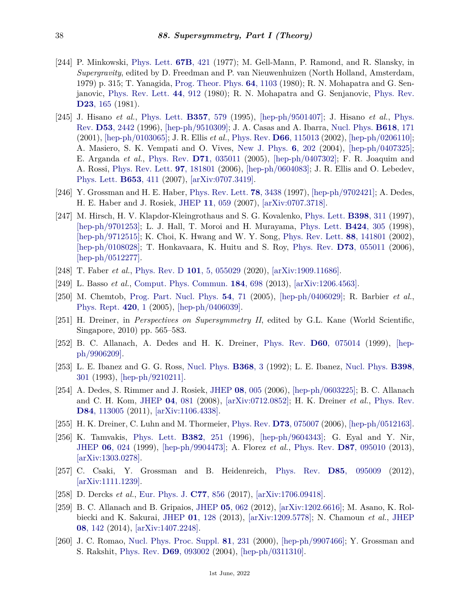- <span id="page-37-0"></span>[244] P. Minkowski, [Phys. Lett.](http://doi.org/10.1016/0370-2693(77)90435-X) **67B**[, 421](http://doi.org/10.1016/0370-2693(77)90435-X) (1977); M. Gell-Mann, P. Ramond, and R. Slansky, in *Supergravity*, edited by D. Freedman and P. van Nieuwenhuizen (North Holland, Amsterdam, 1979) p. 315; T. Yanagida, [Prog. Theor. Phys.](http://doi.org/10.1143/PTP.64.1103) **64**[, 1103](http://doi.org/10.1143/PTP.64.1103) (1980); R. N. Mohapatra and G. Senjanovic, [Phys. Rev. Lett.](http://doi.org/10.1103/PhysRevLett.44.912) **44**[, 912](http://doi.org/10.1103/PhysRevLett.44.912) (1980); R. N. Mohapatra and G. Senjanovic, [Phys. Rev.](http://doi.org/10.1103/PhysRevD.23.165) **D23**[, 165](http://doi.org/10.1103/PhysRevD.23.165) (1981).
- <span id="page-37-1"></span>[245] J. Hisano *et al.*, [Phys. Lett.](http://doi.org/10.1016/0370-2693(95)00954-J) **[B357](http://doi.org/10.1016/0370-2693(95)00954-J)**, 579 (1995), [\[hep-ph/9501407\];](https://arxiv.org/abs/hep-ph/9501407) J. Hisano *et al.*, [Phys.](http://doi.org/10.1103/PhysRevD.53.2442) [Rev.](http://doi.org/10.1103/PhysRevD.53.2442) **D53**[, 2442](http://doi.org/10.1103/PhysRevD.53.2442) (1996), [\[hep-ph/9510309\];](https://arxiv.org/abs/hep-ph/9510309) J. A. Casas and A. Ibarra, [Nucl. Phys.](http://doi.org/10.1016/S0550-3213(01)00475-8) **[B618](http://doi.org/10.1016/S0550-3213(01)00475-8)**, 171 (2001), [\[hep-ph/0103065\];](https://arxiv.org/abs/hep-ph/0103065) J. R. Ellis *et al.*, [Phys. Rev.](http://doi.org/10.1103/PhysRevD.66.115013) **D66**[, 115013](http://doi.org/10.1103/PhysRevD.66.115013) (2002), [\[hep-ph/0206110\];](https://arxiv.org/abs/hep-ph/0206110) A. Masiero, S. K. Vempati and O. Vives, [New J. Phys.](http://doi.org/10.1088/1367-2630/6/1/202) **6**[, 202](http://doi.org/10.1088/1367-2630/6/1/202) (2004), [\[hep-ph/0407325\];](https://arxiv.org/abs/hep-ph/0407325) E. Arganda *et al.*, [Phys. Rev.](http://doi.org/10.1103/PhysRevD.71.035011) **D71**[, 035011](http://doi.org/10.1103/PhysRevD.71.035011) (2005), [\[hep-ph/0407302\];](https://arxiv.org/abs/hep-ph/0407302) F. R. Joaquim and A. Rossi, [Phys. Rev. Lett.](http://doi.org/10.1103/PhysRevLett.97.181801) **97**[, 181801](http://doi.org/10.1103/PhysRevLett.97.181801) (2006), [\[hep-ph/0604083\];](https://arxiv.org/abs/hep-ph/0604083) J. R. Ellis and O. Lebedev, [Phys. Lett.](http://doi.org/10.1016/j.physletb.2007.08.031) **[B653](http://doi.org/10.1016/j.physletb.2007.08.031)**, 411 (2007), [\[arXiv:0707.3419\].](https://arxiv.org/abs/0707.3419)
- <span id="page-37-2"></span>[246] Y. Grossman and H. E. Haber, [Phys. Rev. Lett.](http://doi.org/10.1103/PhysRevLett.78.3438) **78**[, 3438](http://doi.org/10.1103/PhysRevLett.78.3438) (1997), [\[hep-ph/9702421\];](https://arxiv.org/abs/hep-ph/9702421) A. Dedes, H. E. Haber and J. Rosiek, [JHEP](http://doi.org/10.1088/1126-6708/2007/11/059) **11**[, 059](http://doi.org/10.1088/1126-6708/2007/11/059) (2007), [\[arXiv:0707.3718\].](https://arxiv.org/abs/0707.3718)
- <span id="page-37-3"></span>[247] M. Hirsch, H. V. Klapdor-Kleingrothaus and S. G. Kovalenko, [Phys. Lett.](http://doi.org/10.1016/S0370-2693(97)00234-7) **[B398](http://doi.org/10.1016/S0370-2693(97)00234-7)**, 311 (1997), [\[hep-ph/9701253\];](https://arxiv.org/abs/hep-ph/9701253) L. J. Hall, T. Moroi and H. Murayama, [Phys. Lett.](http://doi.org/10.1016/S0370-2693(98)00196-8) **[B424](http://doi.org/10.1016/S0370-2693(98)00196-8)**, 305 (1998), [\[hep-ph/9712515\];](https://arxiv.org/abs/hep-ph/9712515) K. Choi, K. Hwang and W. Y. Song, [Phys. Rev. Lett.](http://doi.org/10.1103/PhysRevLett.88.141801) **88**[, 141801](http://doi.org/10.1103/PhysRevLett.88.141801) (2002), [\[hep-ph/0108028\];](https://arxiv.org/abs/hep-ph/0108028) T. Honkavaara, K. Huitu and S. Roy, [Phys. Rev.](http://doi.org/10.1103/PhysRevD.73.055011) **D73**[, 055011](http://doi.org/10.1103/PhysRevD.73.055011) (2006), [\[hep-ph/0512277\].](https://arxiv.org/abs/hep-ph/0512277)
- <span id="page-37-4"></span>[248] T. Faber *et al.*, [Phys. Rev. D](http://doi.org/10.1103/PhysRevD.101.055029) **101**[, 5, 055029](http://doi.org/10.1103/PhysRevD.101.055029) (2020), [\[arXiv:1909.11686\].](https://arxiv.org/abs/1909.11686)
- <span id="page-37-5"></span>[249] L. Basso *et al.*, [Comput. Phys. Commun.](http://doi.org/10.1016/j.cpc.2012.11.004) **184**[, 698](http://doi.org/10.1016/j.cpc.2012.11.004) (2013), [\[arXiv:1206.4563\].](https://arxiv.org/abs/1206.4563)
- <span id="page-37-6"></span>[250] M. Chemtob, [Prog. Part. Nucl. Phys.](http://doi.org/10.1016/j.ppnp.2004.06.001) **54**[, 71](http://doi.org/10.1016/j.ppnp.2004.06.001) (2005), [\[hep-ph/0406029\];](https://arxiv.org/abs/hep-ph/0406029) R. Barbier *et al.*, [Phys. Rept.](http://doi.org/10.1016/j.physrep.2005.08.006) **[420](http://doi.org/10.1016/j.physrep.2005.08.006)**, 1 (2005), [\[hep-ph/0406039\].](https://arxiv.org/abs/hep-ph/0406039)
- <span id="page-37-7"></span>[251] H. Dreiner, in *Perspectives on Supersymmetry II*, edited by G.L. Kane (World Scientific, Singapore, 2010) pp. 565–583.
- <span id="page-37-8"></span>[252] B. C. Allanach, A. Dedes and H. K. Dreiner, [Phys. Rev.](http://doi.org/10.1103/PhysRevD.60.075014) **D60**[, 075014](http://doi.org/10.1103/PhysRevD.60.075014) (1999), [\[hep](https://arxiv.org/abs/hep-ph/9906209)[ph/9906209\].](https://arxiv.org/abs/hep-ph/9906209)
- <span id="page-37-9"></span>[253] L. E. Ibanez and G. G. Ross, [Nucl. Phys.](http://doi.org/10.1016/0550-3213(92)90195-H) **[B368](http://doi.org/10.1016/0550-3213(92)90195-H)**, 3 (1992); L. E. Ibanez, [Nucl. Phys.](http://doi.org/10.1016/0550-3213(93)90111-2) **[B398](http://doi.org/10.1016/0550-3213(93)90111-2)**, [301](http://doi.org/10.1016/0550-3213(93)90111-2) (1993), [\[hep-ph/9210211\].](https://arxiv.org/abs/hep-ph/9210211)
- <span id="page-37-10"></span>[254] A. Dedes, S. Rimmer and J. Rosiek, [JHEP](http://doi.org/10.1088/1126-6708/2006/08/005) **08**[, 005](http://doi.org/10.1088/1126-6708/2006/08/005) (2006), [\[hep-ph/0603225\];](https://arxiv.org/abs/hep-ph/0603225) B. C. Allanach and C. H. Kom, [JHEP](http://doi.org/10.1088/1126-6708/2008/04/081) **04**[, 081](http://doi.org/10.1088/1126-6708/2008/04/081) (2008), [\[arXiv:0712.0852\];](https://arxiv.org/abs/0712.0852) H. K. Dreiner *et al.*, [Phys. Rev.](http://doi.org/10.1103/PhysRevD.84.113005) **D84**[, 113005](http://doi.org/10.1103/PhysRevD.84.113005) (2011), [\[arXiv:1106.4338\].](https://arxiv.org/abs/1106.4338)
- <span id="page-37-11"></span>[255] H. K. Dreiner, C. Luhn and M. Thormeier, [Phys. Rev.](http://doi.org/10.1103/PhysRevD.73.075007) **D73**[, 075007](http://doi.org/10.1103/PhysRevD.73.075007) (2006), [\[hep-ph/0512163\].](https://arxiv.org/abs/hep-ph/0512163)
- <span id="page-37-12"></span>[256] K. Tamvakis, [Phys. Lett.](http://doi.org/10.1016/0370-2693(96)00679-X) **[B382](http://doi.org/10.1016/0370-2693(96)00679-X)**, 251 (1996), [\[hep-ph/9604343\];](https://arxiv.org/abs/hep-ph/9604343) G. Eyal and Y. Nir, [JHEP](http://doi.org/10.1088/1126-6708/1999/06/024) **06**[, 024](http://doi.org/10.1088/1126-6708/1999/06/024) (1999), [\[hep-ph/9904473\];](https://arxiv.org/abs/hep-ph/9904473) A. Florez *et al.*, [Phys. Rev.](http://doi.org/10.1103/PhysRevD.87.095010) **D87**[, 095010](http://doi.org/10.1103/PhysRevD.87.095010) (2013),  $\arXiv:1303.0278$ .
- <span id="page-37-13"></span>[257] C. Csaki, Y. Grossman and B. Heidenreich, [Phys. Rev.](http://doi.org/10.1103/PhysRevD.85.095009) **D85**[, 095009](http://doi.org/10.1103/PhysRevD.85.095009) (2012), [\[arXiv:1111.1239\].](https://arxiv.org/abs/1111.1239)
- <span id="page-37-14"></span>[258] D. Dercks *et al.*, [Eur. Phys. J.](http://doi.org/10.1140/epjc/s10052-017-5414-4) **C77**[, 856](http://doi.org/10.1140/epjc/s10052-017-5414-4) (2017), [\[arXiv:1706.09418\].](https://arxiv.org/abs/1706.09418)
- <span id="page-37-15"></span>[259] B. C. Allanach and B. Gripaios, [JHEP](http://doi.org/10.1007/JHEP05(2012)062) **05**[, 062](http://doi.org/10.1007/JHEP05(2012)062) (2012), [\[arXiv:1202.6616\];](https://arxiv.org/abs/1202.6616) M. Asano, K. Rolbiecki and K. Sakurai, [JHEP](http://doi.org/10.1007/JHEP01(2013)128) **01**[, 128](http://doi.org/10.1007/JHEP01(2013)128) (2013), [\[arXiv:1209.5778\];](https://arxiv.org/abs/1209.5778) N. Chamoun *et al.*, [JHEP](http://doi.org/10.1007/JHEP08(2014)142) **08**[, 142](http://doi.org/10.1007/JHEP08(2014)142) (2014), [\[arXiv:1407.2248\].](https://arxiv.org/abs/1407.2248)
- <span id="page-37-16"></span>[260] J. C. Romao, [Nucl. Phys. Proc. Suppl.](http://doi.org/10.1016/S0920-5632(99)00881-6) **81**[, 231](http://doi.org/10.1016/S0920-5632(99)00881-6) (2000), [\[hep-ph/9907466\];](https://arxiv.org/abs/hep-ph/9907466) Y. Grossman and S. Rakshit, [Phys. Rev.](http://doi.org/10.1103/PhysRevD.69.093002) **D69**[, 093002](http://doi.org/10.1103/PhysRevD.69.093002) (2004), [\[hep-ph/0311310\].](https://arxiv.org/abs/hep-ph/0311310)